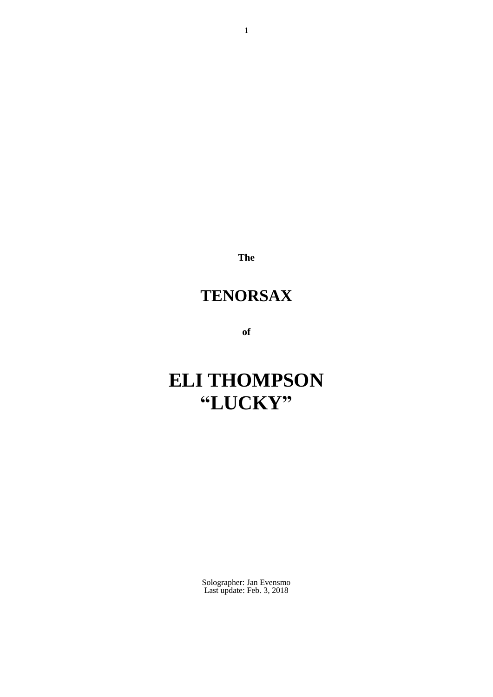**The**

# **TENORSAX**

**of**

# **ELI THOMPSON "LUCKY"**

Solographer: Jan Evensmo Last update: Feb. 3, 2018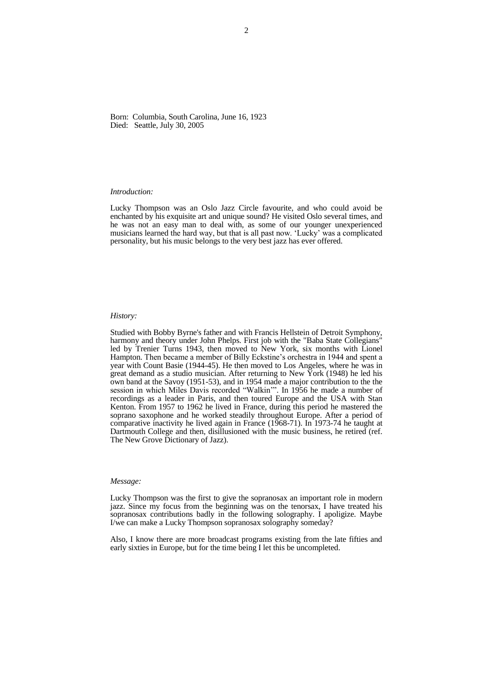Born: Columbia, South Carolina, June 16, 1923 Died: Seattle, July 30, 2005

### *Introduction:*

Lucky Thompson was an Oslo Jazz Circle favourite, and who could avoid be enchanted by his exquisite art and unique sound? He visited Oslo several times, and he was not an easy man to deal with, as some of our younger unexperienced musicians learned the hard way, but that is all past now. 'Lucky' was a complicated personality, but his music belongs to the very best jazz has ever offered.

# *History:*

Studied with Bobby Byrne's father and with Francis Hellstein of Detroit Symphony, harmony and theory under John Phelps. First job with the "Baba State Collegians" led by Trenier Turns 1943, then moved to New York, six months with Lionel Hampton. Then became a member of Billy Eckstine's orchestra in 1944 and spent a year with Count Basie (1944-45). He then moved to Los Angeles, where he was in great demand as a studio musician. After returning to New York (1948) he led his own band at the Savoy (1951-53), and in 1954 made a major contribution to the the session in which Miles Davis recorded "Walkin'". In 1956 he made a number of recordings as a leader in Paris, and then toured Europe and the USA with Stan Kenton. From 1957 to 1962 he lived in France, during this period he mastered the soprano saxophone and he worked steadily throughout Europe. After a period of comparative inactivity he lived again in France (1968-71). In 1973-74 he taught at Dartmouth College and then, disillusioned with the music business, he retired (ref. The New Grove Dictionary of Jazz).

### *Message:*

Lucky Thompson was the first to give the sopranosax an important role in modern jazz. Since my focus from the beginning was on the tenorsax, I have treated his sopranosax contributions badly in the following solography. I apoligize. Maybe I/we can make a Lucky Thompson sopranosax solography someday?

Also, I know there are more broadcast programs existing from the late fifties and early sixties in Europe, but for the time being I let this be uncompleted.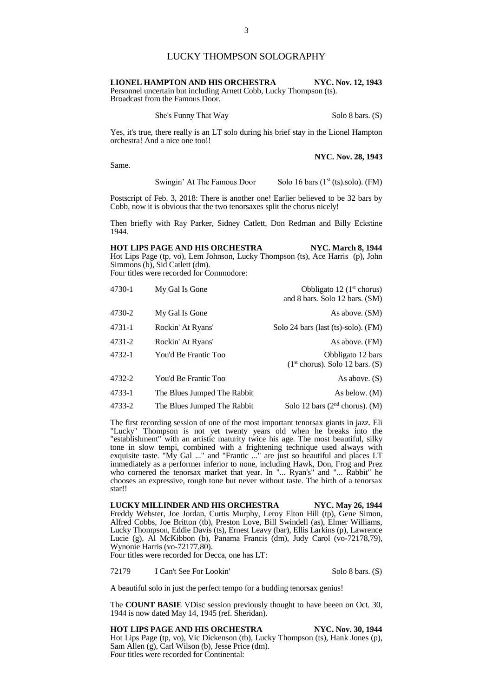# LUCKY THOMPSON SOLOGRAPHY

# **LIONEL HAMPTON AND HIS ORCHESTRA NYC. Nov. 12, 1943** Personnel uncertain but including Arnett Cobb, Lucky Thompson (ts).

Broadcast from the Famous Door.

She's Funny That Way Solo 8 bars. (S)

Yes, it's true, there really is an LT solo during his brief stay in the Lionel Hampton orchestra! And a nice one too!!

**NYC. Nov. 28, 1943**

Same.

Swingin' At The Famous Door Solo 16 bars  $(1<sup>st</sup> (ts).solo).$  (FM)

Postscript of Feb. 3, 2018: There is another one! Earlier believed to be 32 bars by Cobb, now it is obvious that the two tenorsaxes split the chorus nicely!

Then briefly with Ray Parker, Sidney Catlett, Don Redman and Billy Eckstine 1944.

**HOT LIPS PAGE AND HIS ORCHESTRA NYC. March 8, 1944** Hot Lips Page (tp, vo), Lem Johnson, Lucky Thompson (ts), Ace Harris (p), John Simmons (b), Sid Catlett (dm). Four titles were recorded for Commodore:

| Obbligato 12 $(1st$ chorus)<br>and 8 bars. Solo 12 bars. (SM) | My Gal Is Gone              | 4730-1     |
|---------------------------------------------------------------|-----------------------------|------------|
| As above. (SM)                                                | My Gal Is Gone              | 4730-2     |
| Solo 24 bars (last (ts)-solo). (FM)                           | Rockin' At Ryans'           | $4731 - 1$ |
| As above. (FM)                                                | Rockin' At Ryans'           | 4731-2     |
| Obbligato 12 bars<br>$(1st chorus)$ . Solo 12 bars. (S)       | You'd Be Frantic Too        | 4732-1     |
| As above. $(S)$                                               | You'd Be Frantic Too        | 4732-2     |
| As below. (M)                                                 | The Blues Jumped The Rabbit | 4733-1     |
| Solo 12 bars $(2nd$ chorus). (M)                              | The Blues Jumped The Rabbit | 4733-2     |

The first recording session of one of the most important tenorsax giants in jazz. Eli "Lucky" Thompson is not yet twenty years old when he breaks into the "establishment" with an artistic maturity twice his age. The most beautiful, silky tone in slow tempi, combined with a frightening technique used always with exquisite taste. "My Gal ..." and "Frantic ..." are just so beautiful and places LT immediately as a performer inferior to none, including Hawk, Don, Frog and Prez who cornered the tenorsax market that year. In "... Ryan's" and "... Rabbit" he chooses an expressive, rough tone but never without taste. The birth of a tenorsax star!!

**LUCKY MILLINDER AND HIS ORCHESTRA NYC. May 26, 1944** Freddy Webster, Joe Jordan, Curtis Murphy, Leroy Elton Hill (tp), Gene Simon, Alfred Cobbs, Joe Britton (tb), Preston Love, Bill Swindell (as), Elmer Williams, Lucky Thompson, Eddie Davis (ts), Ernest Leavy (bar), Ellis Larkins (p), Lawrence Lucie (g), Al McKibbon (b), Panama Francis (dm), Judy Carol (vo-72178,79), Wynonie Harris (vo-72177,80).

Four titles were recorded for Decca, one has LT:

72179 I Can't See For Lookin' Solo 8 bars. (S)

A beautiful solo in just the perfect tempo for a budding tenorsax genius!

The **COUNT BASIE** VDisc session previously thought to have beeen on Oct. 30, 1944 is now dated May 14, 1945 (ref. Sheridan).

**HOT LIPS PAGE AND HIS ORCHESTRA NYC. Nov. 30, 1944** Hot Lips Page (tp, vo), Vic Dickenson (tb), Lucky Thompson (ts), Hank Jones (p), Sam Allen (g), Carl Wilson (b), Jesse Price (dm). Four titles were recorded for Continental: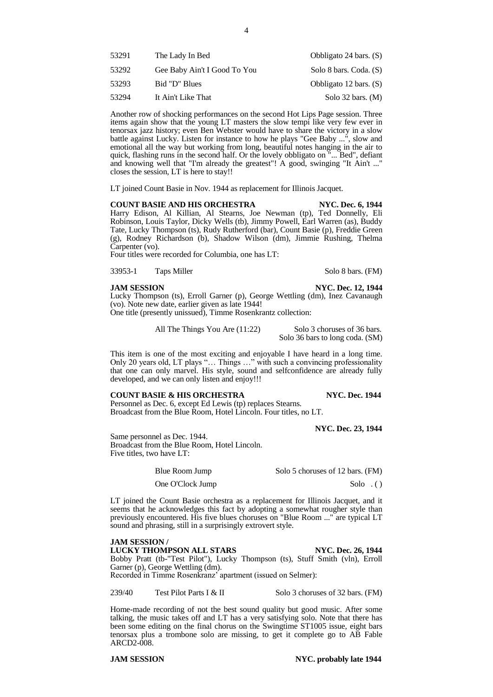| 53291 | The Lady In Bed              | Obbligato 24 bars. $(S)$ |
|-------|------------------------------|--------------------------|
| 53292 | Gee Baby Ain't I Good To You | Solo 8 bars. Coda. (S)   |
| 53293 | Bid "D" Blues                | Obbligato 12 bars. (S)   |
| 53294 | It Ain't Like That           | Solo $32$ bars. (M)      |

Another row of shocking performances on the second Hot Lips Page session. Three items again show that the young LT masters the slow tempi like very few ever in tenorsax jazz history; even Ben Webster would have to share the victory in a slow battle against Lucky. Listen for instance to how he plays "Gee Baby ...", slow and emotional all the way but working from long, beautiful notes hanging in the air to quick, flashing runs in the second half. Or the lovely obbligato on "... Bed", defiant and knowing well that "I'm already the greatest"! A good, swinging "It Ain't ..." closes the session, LT is here to stay!!

LT joined Count Basie in Nov. 1944 as replacement for Illinois Jacquet.

**COUNT BASIE AND HIS ORCHESTRA NYC. Dec. 6, 1944** Harry Edison, Al Killian, Al Stearns, Joe Newman (tp), Ted Donnelly, Eli Robinson, Louis Taylor, Dicky Wells (tb), Jimmy Powell, Earl Warren (as), Buddy Tate, Lucky Thompson (ts), Rudy Rutherford (bar), Count Basie (p), Freddie Green (g), Rodney Richardson (b), Shadow Wilson (dm), Jimmie Rushing, Thelma Carpenter (vo).

Four titles were recorded for Columbia, one has LT:

33953-1 Taps Miller Solo 8 bars. (FM)

**JAM SESSION NYC. Dec. 12, 1944**

Lucky Thompson (ts), Erroll Garner (p), George Wettling (dm), Inez Cavanaugh (vo). Note new date, earlier given as late 1944! One title (presently unissued), Timme Rosenkrantz collection:

All The Things You Are (11:22) Solo 3 choruses of 36 bars. Solo 36 bars to long coda. (SM)

This item is one of the most exciting and enjoyable I have heard in a long time. Only 20 years old, LT plays "… Things …" with such a convincing professionality that one can only marvel. His style, sound and selfconfidence are already fully developed, and we can only listen and enjoy!!!

# **COUNT BASIE & HIS ORCHESTRA NYC. Dec. 1944**

Personnel as Dec. 6, except Ed Lewis (tp) replaces Stearns. Broadcast from the Blue Room, Hotel Lincoln. Four titles, no LT.

**NYC. Dec. 23, 1944**

Same personnel as Dec. 1944. Broadcast from the Blue Room, Hotel Lincoln. Five titles, two have LT:

Blue Room Jump Solo 5 choruses of 12 bars. (FM)

One O'Clock Jump Solo . ( )

LT joined the Count Basie orchestra as a replacement for Illinois Jacquet, and it seems that he acknowledges this fact by adopting a somewhat rougher style than previously encountered. His five blues choruses on "Blue Room ..." are typical LT sound and phrasing, still in a surprisingly extrovert style.

# **JAM SESSION /**

**LUCKY THOMPSON ALL STARS NYC. Dec. 26, 1944**

Bobby Pratt (tb-"Test Pilot"), Lucky Thompson (ts), Stuff Smith (vln), Erroll Garner (p), George Wettling (dm). Recorded in Timme Rosenkranz' apartment (issued on Selmer):

239/40 Test Pilot Parts I & II Solo 3 choruses of 32 bars. (FM)

Home-made recording of not the best sound quality but good music. After some talking, the music takes off and LT has a very satisfying solo. Note that there has been some editing on the final chorus on the Swingtime ST1005 issue, eight bars tenorsax plus a trombone solo are missing, to get it complete go to AB Fable ARCD2-008.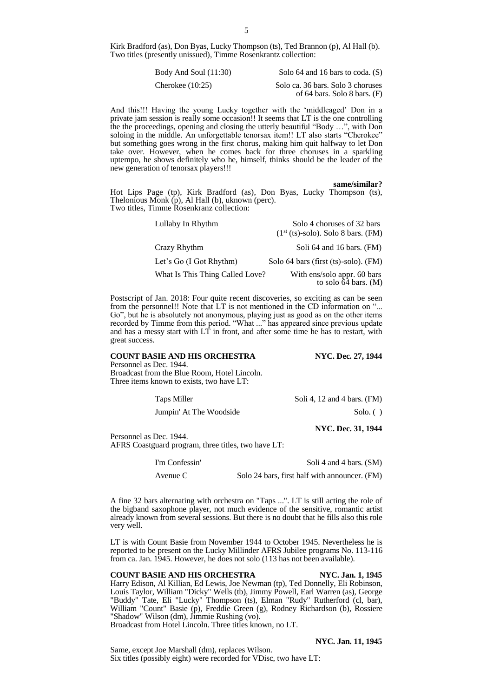Kirk Bradford (as), Don Byas, Lucky Thompson (ts), Ted Brannon (p), Al Hall (b). Two titles (presently unissued), Timme Rosenkrantz collection:

| Body And Soul $(11:30)$ | Solo 64 and 16 bars to coda. $(S)$                                  |
|-------------------------|---------------------------------------------------------------------|
| Cherokee $(10:25)$      | Solo ca. 36 bars. Solo 3 choruses<br>of 64 bars. Solo 8 bars. $(F)$ |

And this!!! Having the young Lucky together with the 'middleaged' Don in a private jam session is really some occasion!! It seems that LT is the one controlling the the proceedings, opening and closing the utterly beautiful "Body …", with Don soloing in the middle. An unforgettable tenorsax item!! LT also starts "Cherokee" but something goes wrong in the first chorus, making him quit halfway to let Don take over. However, when he comes back for three choruses in a sparkling uptempo, he shows definitely who he, himself, thinks should be the leader of the new generation of tenorsax players!!!

### **same/similar?**

Hot Lips Page (tp), Kirk Bradford (as), Don Byas, Lucky Thompson (ts), Thelonious Monk (p), Al Hall (b), uknown (perc). Two titles, Timme Rosenkranz collection:

| Lullaby In Rhythm               | Solo 4 choruses of 32 bars<br>$(1st$ (ts)-solo). Solo 8 bars. (FM) |
|---------------------------------|--------------------------------------------------------------------|
| Crazy Rhythm                    | Soli 64 and 16 bars. (FM)                                          |
| Let's Go (I Got Rhythm)         | Solo 64 bars (first (ts)-solo). (FM)                               |
| What Is This Thing Called Love? | With ens/solo appr. 60 bars<br>to solo $64$ bars. (M)              |

Postscript of Jan. 2018: Four quite recent discoveries, so exciting as can be seen from the personnel!! Note that LT is not mentioned in the CD information on "... Go", but he is absolutely not anonymous, playing just as good as on the other items recorded by Timme from this period. "What ..." has appeared since previous update and has a messy start with  $LT$  in front, and after some time he has to restart, with great success.

# **COUNT BASIE AND HIS ORCHESTRA NYC. Dec. 27, 1944**

Personnel as Dec. 1944. Broadcast from the Blue Room, Hotel Lincoln. Three items known to exists, two have LT:

Taps Miller Soli 4, 12 and 4 bars. (FM)

Jumpin' At The Woodside Solo. ( )

**NYC. Dec. 31, 1944**

Personnel as Dec. 1944. AFRS Coastguard program, three titles, two have LT:

I'm Confessin' Soli 4 and 4 bars. (SM)

Avenue C Solo 24 bars, first half with announcer. (FM)

A fine 32 bars alternating with orchestra on "Taps ...". LT is still acting the role of the bigband saxophone player, not much evidence of the sensitive, romantic artist already known from several sessions. But there is no doubt that he fills also this role very well.

LT is with Count Basie from November 1944 to October 1945. Nevertheless he is reported to be present on the Lucky Millinder AFRS Jubilee programs No. 113-116 from ca. Jan. 1945. However, he does not solo (113 has not been available).

# **COUNT BASIE AND HIS ORCHESTRA NYC. Jan. 1, 1945**

Harry Edison, Al Killian, Ed Lewis, Joe Newman (tp), Ted Donnelly, Eli Robinson, Louis Taylor, William "Dicky" Wells (tb), Jimmy Powell, Earl Warren (as), George "Buddy" Tate, Eli "Lucky" Thompson (ts), Elman "Rudy" Rutherford (cl, bar), William "Count" Basie (p), Freddie Green (g), Rodney Richardson (b), Rossiere "Shadow" Wilson (dm), Jimmie Rushing (vo).

Broadcast from Hotel Lincoln. Three titles known, no LT.

Same, except Joe Marshall (dm), replaces Wilson. Six titles (possibly eight) were recorded for VDisc, two have LT:

# **NYC. Jan. 11, 1945**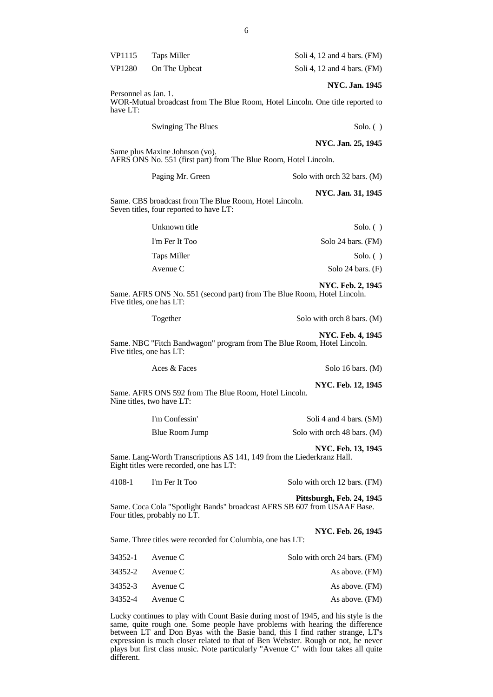| VP1115               | <b>Taps Miller</b>                                                                                | Soli 4, 12 and 4 bars. $(FM)$                                                                       |
|----------------------|---------------------------------------------------------------------------------------------------|-----------------------------------------------------------------------------------------------------|
| <b>VP1280</b>        | On The Upbeat                                                                                     | Soli 4, 12 and 4 bars. (FM)                                                                         |
| Personnel as Jan. 1. |                                                                                                   | <b>NYC. Jan. 1945</b>                                                                               |
| have LT:             |                                                                                                   | WOR-Mutual broadcast from The Blue Room, Hotel Lincoln. One title reported to                       |
|                      | <b>Swinging The Blues</b>                                                                         | $Solo.$ ( )                                                                                         |
|                      | Same plus Maxine Johnson (vo).                                                                    | NYC. Jan. 25, 1945<br>AFRS ONS No. 551 (first part) from The Blue Room, Hotel Lincoln.              |
|                      | Paging Mr. Green                                                                                  | Solo with orch 32 bars. (M)                                                                         |
|                      | Same. CBS broadcast from The Blue Room, Hotel Lincoln.<br>Seven titles, four reported to have LT: | NYC. Jan. 31, 1945                                                                                  |
|                      | Unknown title                                                                                     | $Solo.$ ( )                                                                                         |
|                      | I'm Fer It Too                                                                                    | Solo 24 bars. (FM)                                                                                  |
|                      | <b>Taps Miller</b>                                                                                | $Solo.$ ( )                                                                                         |
|                      | Avenue C                                                                                          | Solo 24 bars. $(F)$                                                                                 |
|                      | Five titles, one has LT:                                                                          | <b>NYC. Feb. 2, 1945</b><br>Same. AFRS ONS No. 551 (second part) from The Blue Room, Hotel Lincoln. |
|                      | Together                                                                                          | Solo with orch 8 bars. (M)                                                                          |
|                      | Five titles, one has LT:                                                                          | <b>NYC. Feb. 4, 1945</b><br>Same. NBC "Fitch Bandwagon" program from The Blue Room, Hotel Lincoln.  |
|                      | Aces & Faces                                                                                      | Solo 16 bars. $(M)$                                                                                 |
|                      |                                                                                                   |                                                                                                     |

**NYC. Feb. 12, 1945** Same. AFRS ONS 592 from The Blue Room, Hotel Lincoln. Nine titles, two have LT:

| I'm Confessin' | Soli 4 and 4 bars. (SM)     |
|----------------|-----------------------------|
| Blue Room Jump | Solo with orch 48 bars. (M) |

**NYC. Feb. 13, 1945** Same. Lang-Worth Transcriptions AS 141, 149 from the Liederkranz Hall. Eight titles were recorded, one has LT:

4108-1 I'm Fer It Too Solo with orch 12 bars. (FM)

# **Pittsburgh, Feb. 24, 1945**

Same. Coca Cola "Spotlight Bands" broadcast AFRS SB 607 from USAAF Base. Four titles, probably no LT.

# **NYC. Feb. 26, 1945**

Same. Three titles were recorded for Columbia, one has LT:

| Solo with orch 24 bars. (FM) | 34352-1 Avenue C |  |
|------------------------------|------------------|--|
| As above. (FM)               | 34352-2 Avenue C |  |
| As above. (FM)               | 34352-3 Avenue C |  |
| As above. (FM)               | 34352-4 Avenue C |  |

Lucky continues to play with Count Basie during most of 1945, and his style is the same, quite rough one. Some people have problems with hearing the difference between LT and Don Byas with the Basie band, this I find rather strange, LT's expression is much closer related to that of Ben Webster. Rough or not, he never plays but first class music. Note particularly "Avenue C" with four takes all quite different.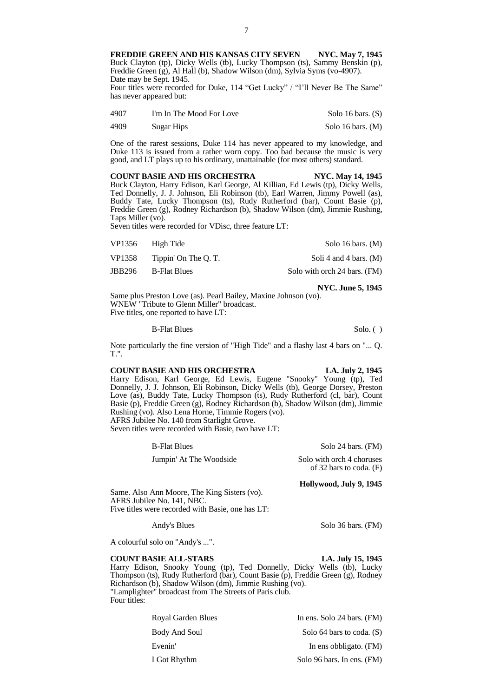FREDDIE GREEN AND HIS KANSAS CITY SEVEN NYC. May 7, 1945 Buck Clayton (tp), Dicky Wells (tb), Lucky Thompson (ts), Sammy Benskin (p), Freddie Green (g), Al Hall (b), Shadow Wilson (dm), Sylvia Syms (vo-4907). Date may be Sept. 1945.

Four titles were recorded for Duke, 114 "Get Lucky" / "I'll Never Be The Same" has never appeared but:

| 4907 | I'm In The Mood For Love | Solo 16 bars. $(S)$ |
|------|--------------------------|---------------------|
| 4909 | Sugar Hips               | Solo 16 bars. $(M)$ |

One of the rarest sessions, Duke 114 has never appeared to my knowledge, and Duke 113 is issued from a rather worn copy. Too bad because the music is very good, and LT plays up to his ordinary, unattainable (for most others) standard.

**COUNT BASIE AND HIS ORCHESTRA NYC. May 14, 1945** Buck Clayton, Harry Edison, Karl George, Al Killian, Ed Lewis (tp), Dicky Wells, Ted Donnelly, J. J. Johnson, Eli Robinson (tb), Earl Warren, Jimmy Powell (as), Buddy Tate, Lucky Thompson (ts), Rudy Rutherford (bar), Count Basie (p), Freddie Green (g), Rodney Richardson (b), Shadow Wilson (dm), Jimmie Rushing, Taps Miller (vo).

Seven titles were recorded for VDisc, three feature LT:

| VP1356 | High Tide           | Solo 16 bars. $(M)$          |
|--------|---------------------|------------------------------|
| VP1358 | Tippin' On The O.T. | Soli 4 and 4 bars. $(M)$     |
| JBB296 | B-Flat Blues        | Solo with orch 24 bars. (FM) |

**NYC. June 5, 1945** Same plus Preston Love (as). Pearl Bailey, Maxine Johnson (vo). WNEW "Tribute to Glenn Miller" broadcast. Five titles, one reported to have LT:

B-Flat Blues Solo. ( )

Note particularly the fine version of "High Tide" and a flashy last 4 bars on "... Q. T.".

# **COUNT BASIE AND HIS ORCHESTRA LA. July 2, 1945**

Harry Edison, Karl George, Ed Lewis, Eugene "Snooky" Young (tp), Ted Donnelly, J. J. Johnson, Eli Robinson, Dicky Wells (tb), George Dorsey, Preston Love (as), Buddy Tate, Lucky Thompson (ts), Rudy Rutherford (cl, bar), Count Basie (p), Freddie Green (g), Rodney Richardson (b), Shadow Wilson (dm), Jimmie Rushing (vo). Also Lena Horne, Timmie Rogers (vo). AFRS Jubilee No. 140 from Starlight Grove.

Seven titles were recorded with Basie, two have LT:

| <b>B-Flat Blues</b>     | Solo 24 bars. (FM)        |
|-------------------------|---------------------------|
| Jumpin' At The Woodside | Solo with orch 4 choruses |
|                         | of 32 bars to coda. $(F)$ |

**Hollywood, July 9, 1945**

Same. Also Ann Moore, The King Sisters (vo). AFRS Jubilee No. 141, NBC. Five titles were recorded with Basie, one has LT:

Andy's Blues Solo 36 bars. (FM)

A colourful solo on "Andy's ...".

# **COUNT BASIE ALL-STARS LA. July 15, 1945**

Harry Edison, Snooky Young (tp), Ted Donnelly, Dicky Wells (tb), Lucky Thompson (ts), Rudy Rutherford (bar), Count Basie (p), Freddie Green (g), Rodney Richardson (b), Shadow Wilson (dm), Jimmie Rushing (vo). "Lamplighter" broadcast from The Streets of Paris club. Four titles:

| Royal Garden Blues | In ens. Solo 24 bars. $(FM)$ |
|--------------------|------------------------------|
| Body And Soul      | Solo 64 bars to coda. $(S)$  |
| Evenin'            | In ens obbligato. (FM)       |
| I Got Rhythm       | Solo 96 bars. In ens. (FM)   |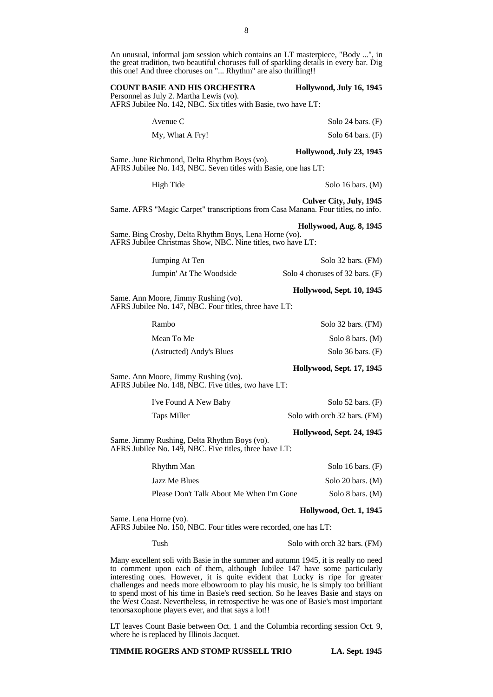An unusual, informal jam session which contains an LT masterpiece, "Body ...", in the great tradition, two beautiful choruses full of sparkling details in every bar. Dig this one! And three choruses on "... Rhythm" are also thrilling!!

| <b>COUNT BASIE AND HIS ORCHESTRA</b>    | Hollywood, July 16, 1945 |
|-----------------------------------------|--------------------------|
| Personnel as July 2. Martha Lewis (vo). |                          |
|                                         |                          |

AFRS Jubilee No. 142, NBC. Six titles with Basie, two have LT:

Avenue C Solo 24 bars. (F)

My, What A Fry! Solo 64 bars. (F)

**Hollywood, July 23, 1945**

Same. June Richmond, Delta Rhythm Boys (vo). AFRS Jubilee No. 143, NBC. Seven titles with Basie, one has LT:

High Tide Solo 16 bars. (M)

**Culver City, July, 1945** Same. AFRS "Magic Carpet" transcriptions from Casa Manana. Four titles, no info.

**Hollywood, Aug. 8, 1945**

Same. Bing Crosby, Delta Rhythm Boys, Lena Horne (vo). AFRS Jubilee Christmas Show, NBC. Nine titles, two have LT:

| Jumping At Ten          | Solo 32 bars. (FM)              |
|-------------------------|---------------------------------|
| Jumpin' At The Woodside | Solo 4 choruses of 32 bars. (F) |

**Hollywood, Sept. 10, 1945** Same. Ann Moore, Jimmy Rushing (vo). AFRS Jubilee No. 147, NBC. Four titles, three have LT:

| Rambo                    | Solo 32 bars. (FM)  |
|--------------------------|---------------------|
| Mean To Me               | Solo 8 bars. (M)    |
| (Astructed) Andy's Blues | Solo 36 bars. $(F)$ |

# **Hollywood, Sept. 17, 1945**

Same. Ann Moore, Jimmy Rushing (vo). AFRS Jubilee No. 148, NBC. Five titles, two have LT:

| I've Found A New Baby | Solo $52$ bars. $(F)$        |
|-----------------------|------------------------------|
| Taps Miller           | Solo with orch 32 bars. (FM) |

# **Hollywood, Sept. 24, 1945**

Same. Jimmy Rushing, Delta Rhythm Boys (vo). AFRS Jubilee No. 149, NBC. Five titles, three have LT:

| Rhythm Man                               | Solo 16 bars. $(F)$ |
|------------------------------------------|---------------------|
| Jazz Me Blues                            | Solo 20 bars. $(M)$ |
| Please Don't Talk About Me When I'm Gone | Solo 8 bars. $(M)$  |

Same. Lena Horne (vo). AFRS Jubilee No. 150, NBC. Four titles were recorded, one has LT:

Tush Solo with orch 32 bars. (FM)

**Hollywood, Oct. 1, 1945**

Many excellent soli with Basie in the summer and autumn 1945, it is really no need to comment upon each of them, although Jubilee 147 have some particularly interesting ones. However, it is quite evident that Lucky is ripe for greater challenges and needs more elbowroom to play his music, he is simply too brilliant to spend most of his time in Basie's reed section. So he leaves Basie and stays on the West Coast. Nevertheless, in retrospective he was one of Basie's most important tenorsaxophone players ever, and that says a lot!!

LT leaves Count Basie between Oct. 1 and the Columbia recording session Oct. 9, where he is replaced by Illinois Jacquet.

**TIMMIE ROGERS AND STOMP RUSSELL TRIO LA. Sept. 1945**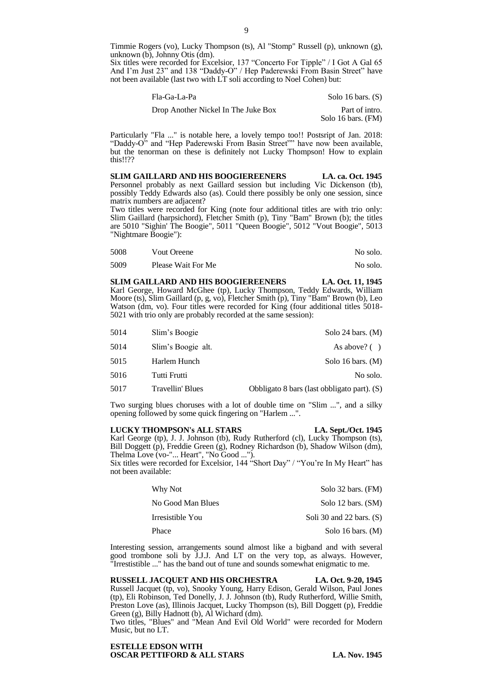Timmie Rogers (vo), Lucky Thompson (ts), Al "Stomp" Russell (p), unknown (g), unknown (b), Johnny Otis (dm).

Six titles were recorded for Excelsior, 137 "Concerto For Tipple" / I Got A Gal 65 And I'm Just 23" and 138 "Daddy-O" / Hep Paderewski From Basin Street" have not been available (last two with LT soli according to Noel Cohen) but:

| Fla-Ga-La-Pa                        | Solo 16 bars. $(S)$                  |
|-------------------------------------|--------------------------------------|
| Drop Another Nickel In The Juke Box | Part of intro.<br>Solo 16 bars. (FM) |

Particularly "Fla ..." is notable here, a lovely tempo too!! Postsript of Jan. 2018: "Daddy-O" and "Hep Paderewski From Basin Street"" have now been available, but the tenorman on these is definitely not Lucky Thompson! How to explain this!!??

**SLIM GAILLARD AND HIS BOOGIEREENERS LA. ca. Oct. 1945** Personnel probably as next Gaillard session but including Vic Dickenson (tb), possibly Teddy Edwards also (as). Could there possibly be only one session, since matrix numbers are adjacent?

Two titles were recorded for King (note four additional titles are with trio only: Slim Gaillard (harpsichord), Fletcher Smith (p), Tiny "Bam" Brown (b); the titles are 5010 "Sighin' The Boogie", 5011 "Queen Boogie", 5012 "Vout Boogie", 5013 "Nightmare Boogie"):

| 5008 | Vout Oreene        | No solo. |
|------|--------------------|----------|
| 5009 | Please Wait For Me | No solo. |

**SLIM GAILLARD AND HIS BOOGIEREENERS LA. Oct. 11, 1945** Karl George, Howard McGhee (tp), Lucky Thompson, Teddy Edwards, William Moore (ts), Slim Gaillard (p, g, vo), Fletcher Smith (p), Tiny "Bam" Brown (b), Leo Watson (dm, vo). Four titles were recorded for King (four additional titles 5018- 5021 with trio only are probably recorded at the same session):

| 5014 | Slim's Boogie      | Solo 24 bars. $(M)$                         |
|------|--------------------|---------------------------------------------|
| 5014 | Slim's Boogie alt. | As above? $( )$                             |
| 5015 | Harlem Hunch       | Solo 16 bars. $(M)$                         |
| 5016 | Tutti Frutti       | No solo.                                    |
| 5017 | Travellin' Blues   | Obbligato 8 bars (last obbligato part). (S) |

Two surging blues choruses with a lot of double time on "Slim ...", and a silky opening followed by some quick fingering on "Harlem ...".

# **LUCKY THOMPSON's ALL STARS LA. Sept./Oct. 1945**

Karl George (tp), J. J. Johnson (tb), Rudy Rutherford (cl), Lucky Thompson (ts), Bill Doggett (p), Freddie Green (g), Rodney Richardson (b), Shadow Wilson (dm), Thelma Love (vo-"... Heart", "No Good ...").

Six titles were recorded for Excelsior, 144 "Short Day" / "You're In My Heart" has not been available:

| Why Not           | Solo 32 bars. (FM)         |
|-------------------|----------------------------|
| No Good Man Blues | Solo 12 bars. (SM)         |
| Irresistible You  | Soli 30 and 22 bars. $(S)$ |
| Phace             | Solo 16 bars. $(M)$        |

Interesting session, arrangements sound almost like a bigband and with several good trombone soli by J.J.J. And LT on the very top, as always. However, "Irrestistible ..." has the band out of tune and sounds somewhat enigmatic to me.

**RUSSELL JACQUET AND HIS ORCHESTRA LA. Oct. 9-20, 1945** Russell Jacquet (tp, vo), Snooky Young, Harry Edison, Gerald Wilson, Paul Jones (tp), Eli Robinson, Ted Donelly, J. J. Johnson (tb), Rudy Rutherford, Willie Smith, Preston Love (as), Illinois Jacquet, Lucky Thompson (ts), Bill Doggett (p), Freddie Green (g), Billy Hadnott (b), Al Wichard (dm).

Two titles, "Blues" and "Mean And Evil Old World" were recorded for Modern Music, but no LT.

# **ESTELLE EDSON WITH OSCAR PETTIFORD & ALL STARS LA. Nov. 1945**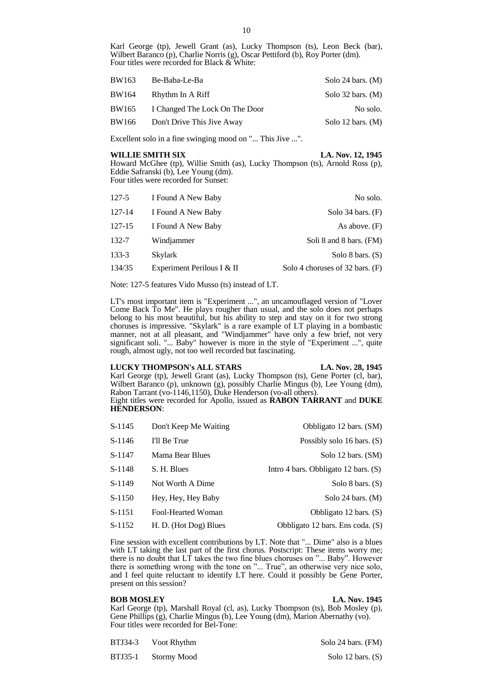Karl George (tp), Jewell Grant (as), Lucky Thompson (ts), Leon Beck (bar), Wilbert Baranco (p), Charlie Norris (g), Oscar Pettiford (b), Roy Porter (dm). Four titles were recorded for Black & White:

| BW163<br>Be-Baba-Le-Ba |                                | Solo 24 bars. $(M)$ |
|------------------------|--------------------------------|---------------------|
| BW164                  | Rhythm In A Riff               | Solo 32 bars. $(M)$ |
| BW165                  | I Changed The Lock On The Door | No solo.            |
| BW166                  | Don't Drive This Jive Away     | Solo 12 bars. $(M)$ |

Excellent solo in a fine swinging mood on "... This Jive ...".

# **WILLIE SMITH SIX LA. Nov. 12, 1945**

Howard McGhee (tp), Willie Smith (as), Lucky Thompson (ts), Arnold Ross (p), Eddie Safranski (b), Lee Young (dm). Four titles were recorded for Sunset:

| 127-5     | I Found A New Baby         | No solo.                        |
|-----------|----------------------------|---------------------------------|
| 127-14    | I Found A New Baby         | Solo $34$ bars. $(F)$           |
| 127-15    | I Found A New Baby         | As above. $(F)$                 |
| 132-7     | Windjammer                 | Soli 8 and 8 bars. (FM)         |
| $133 - 3$ | <b>Skylark</b>             | Solo 8 bars. $(S)$              |
| 134/35    | Experiment Perilous I & II | Solo 4 choruses of 32 bars. (F) |

Note: 127-5 features Vido Musso (ts) instead of LT.

LT's most important item is "Experiment ...", an uncamouflaged version of "Lover Come Back To Me". He plays rougher than usual, and the solo does not perhaps belong to his most beautiful, but his ability to step and stay on it for two strong choruses is impressive. "Skylark" is a rare example of LT playing in a bombastic manner, not at all pleasant, and "Windjammer" have only a few brief, not very significant soli. "... Baby" however is more in the style of "Experiment ...", quite rough, almost ugly, not too well recorded but fascinating.

# **LUCKY THOMPSON's ALL STARS LA. Nov. 28, 1945**

Karl George (tp), Jewell Grant (as), Lucky Thompson (ts), Gene Porter (cl, bar), Wilbert Baranco (p), unknown (g), possibly Charlie Mingus (b), Lee Young (dm), Rabon Tarrant (vo-1146,1150), Duke Henderson (vo-all others). Eight titles were recorded for Apollo, issued as **RABON TARRANT** and **DUKE HENDERSON**:

| S-1145   | Don't Keep Me Waiting | Obbligato 12 bars. (SM)                |
|----------|-----------------------|----------------------------------------|
| $S-1146$ | I'll Be True          | Possibly solo 16 bars. $(S)$           |
| S-1147   | Mama Bear Blues       | Solo 12 bars. (SM)                     |
| S-1148   | S. H. Blues           | Intro 4 bars. Obbligato 12 bars. $(S)$ |
| S-1149   | Not Worth A Dime      | Solo 8 bars. $(S)$                     |
| S-1150   | Hey, Hey, Hey Baby    | Solo 24 bars. $(M)$                    |
| S-1151   | Fool-Hearted Woman    | Obbligato 12 bars. (S)                 |
| S-1152   | H. D. (Hot Dog) Blues | Obbligato 12 bars. Ens coda. (S)       |

Fine session with excellent contributions by LT. Note that "... Dime" also is a blues with LT taking the last part of the first chorus. Postscript: These items worry me; there is no doubt that  $LT$  takes the two fine blues choruses on "... Baby". However there is something wrong with the tone on "... True", an otherwise very nice solo, and I feel quite reluctant to identify LT here. Could it possibly be Gene Porter, present on this session?

# **BOB MOSLEY LA. Nov. 1945**

Karl George (tp), Marshall Royal (cl, as), Lucky Thompson (ts), Bob Mosley (p), Gene Phillips (g), Charlie Mingus (b), Lee Young (dm), Marion Abernathy (vo). Four titles were recorded for Bel-Tone:

| <b>BTJ34-3</b> | Voot Rhythm |
|----------------|-------------|
|                |             |

BTJ35-1 Stormy Mood Solo 12 bars. (S)

Solo 24 bars. (FM)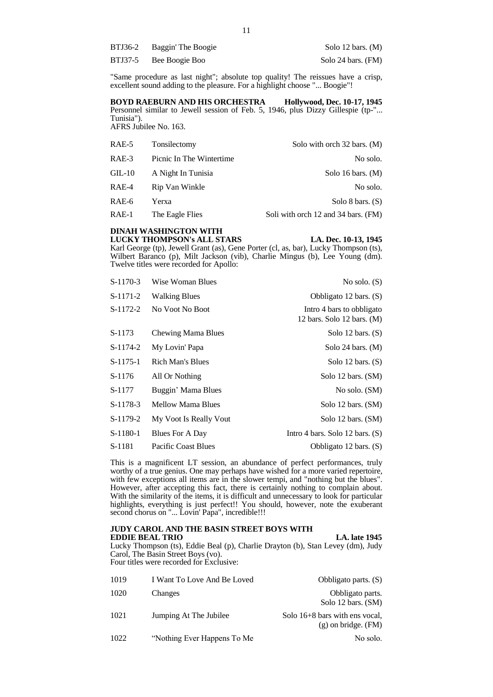| BTJ36-2 | Baggin' The Boogie | Solo 12 bars. $(M)$ |
|---------|--------------------|---------------------|
| BTJ37-5 | Bee Boogie Boo     | Solo 24 bars. (FM)  |

"Same procedure as last night"; absolute top quality! The reissues have a crisp, excellent sound adding to the pleasure. For a highlight choose "... Boogie"!

**BOYD RAEBURN AND HIS ORCHESTRA Hollywood, Dec. 10-17, 1945** Personnel similar to Jewell session of Feb. 5, 1946, plus Dizzy Gillespie (tp-"... Tunisia"). AFRS Jubilee No. 163.

| RAE-5   | Tonsilectomy             | Solo with orch 32 bars. (M)         |
|---------|--------------------------|-------------------------------------|
| RAE-3   | Picnic In The Wintertime | No solo.                            |
| $GL-10$ | A Night In Tunisia       | Solo 16 bars. $(M)$                 |
| RAE-4   | Rip Van Winkle           | No solo.                            |
| RAE-6   | Yerxa                    | Solo 8 bars. $(S)$                  |
| $RAE-1$ | The Eagle Flies          | Soli with orch 12 and 34 bars. (FM) |

# **DINAH WASHINGTON WITH LUCKY THOMPSON's ALL STARS LA. Dec. 10-13, 1945**

Karl George (tp), Jewell Grant (as), Gene Porter (cl, as, bar), Lucky Thompson (ts), Wilbert Baranco (p), Milt Jackson (vib), Charlie Mingus (b), Lee Young (dm). Twelve titles were recorded for Apollo:

| $S-1170-3$ | Wise Woman Blues        | No solo. $(S)$                                            |
|------------|-------------------------|-----------------------------------------------------------|
| $S-1171-2$ | <b>Walking Blues</b>    | Obbligato 12 bars. (S)                                    |
| $S-1172-2$ | No Voot No Boot         | Intro 4 bars to obbligato<br>12 bars. Solo 12 bars. $(M)$ |
| S-1173     | Chewing Mama Blues      | Solo 12 bars. $(S)$                                       |
| S-1174-2   | My Lovin' Papa          | Solo 24 bars. $(M)$                                       |
| $S-1175-1$ | <b>Rich Man's Blues</b> | Solo 12 bars. $(S)$                                       |
| S-1176     | All Or Nothing          | Solo 12 bars. (SM)                                        |
| S-1177     | Buggin' Mama Blues      | No solo. (SM)                                             |
| $S-1178-3$ | Mellow Mama Blues       | Solo 12 bars. (SM)                                        |
| S-1179-2   | My Voot Is Really Vout  | Solo 12 bars. (SM)                                        |
| $S-1180-1$ | Blues For A Day         | Intro 4 bars. Solo 12 bars. $(S)$                         |
| S-1181     | Pacific Coast Blues     | Obbligato 12 bars. (S)                                    |

This is a magnificent LT session, an abundance of perfect performances, truly worthy of a true genius. One may perhaps have wished for a more varied repertoire, with few exceptions all items are in the slower tempi, and "nothing but the blues". However, after accepting this fact, there is certainly nothing to complain about. With the similarity of the items, it is difficult and unnecessary to look for particular highlights, everything is just perfect!! You should, however, note the exuberant second chorus on "... Lovin' Papa", incredible!!!

# **JUDY CAROL AND THE BASIN STREET BOYS WITH EDDIE BEAL TRIO** LA. late 1945

Lucky Thompson (ts), Eddie Beal (p), Charlie Drayton (b), Stan Levey (dm), Judy Carol, The Basin Street Boys (vo). Four titles were recorded for Exclusive:

| 1019 | I Want To Love And Be Loved  | Obbligato parts. $(S)$                                      |
|------|------------------------------|-------------------------------------------------------------|
| 1020 | Changes                      | Obbligato parts.<br>Solo 12 bars. (SM)                      |
| 1021 | Jumping At The Jubilee       | Solo $16+8$ bars with ens vocal,<br>$(g)$ on bridge. $(FM)$ |
| 1022 | "Nothing Ever Happens To Me" | No solo.                                                    |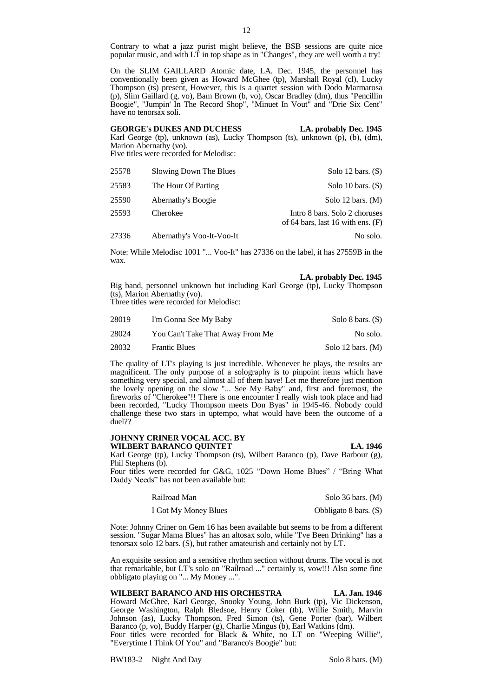Contrary to what a jazz purist might believe, the BSB sessions are quite nice popular music, and with LT in top shape as in "Changes", they are well worth a try!

On the SLIM GAILLARD Atomic date, LA. Dec. 1945, the personnel has conventionally been given as Howard McGhee (tp), Marshall Royal (cl), Lucky Thompson (ts) present, However, this is a quartet session with Dodo Marmarosa (p), Slim Gaillard (g, vo), Bam Brown (b, vo), Oscar Bradley (dm), thus "Pencillin Boogie", "Jumpin' In The Record Shop", "Minuet In Vout" and "Drie Six Cent" have no tenorsax soli.

**GEORGE's DUKES AND DUCHESS LA. probably Dec. 1945** Karl George (tp), unknown (as), Lucky Thompson (ts), unknown (p), (b), (dm), Marion Abernathy (vo). Five titles were recorded for Melodisc:

| 25578 | Slowing Down The Blues    | Solo 12 bars. $(S)$                                                  |
|-------|---------------------------|----------------------------------------------------------------------|
| 25583 | The Hour Of Parting       | Solo 10 bars. $(S)$                                                  |
| 25590 | Abernathy's Boogie        | Solo 12 bars. $(M)$                                                  |
| 25593 | Cherokee                  | Intro 8 bars. Solo 2 choruses<br>of 64 bars, last 16 with ens. $(F)$ |
| 27336 | Abernathy's Voo-It-Voo-It | No solo.                                                             |

Note: While Melodisc 1001 "... Voo-It" has 27336 on the label, it has 27559B in the wax.

**LA. probably Dec. 1945**

Big band, personnel unknown but including Karl George (tp), Lucky Thompson (ts), Marion Abernathy (vo).

Three titles were recorded for Melodisc:

| 28019 | I'm Gonna See My Baby            | Solo 8 bars. $(S)$  |
|-------|----------------------------------|---------------------|
| 28024 | You Can't Take That Away From Me | No solo.            |
| 28032 | <b>Frantic Blues</b>             | Solo 12 bars. $(M)$ |

The quality of LT's playing is just incredible. Whenever he plays, the results are magnificent. The only purpose of a solography is to pinpoint items which have something very special, and almost all of them have! Let me therefore just mention the lovely opening on the slow "... See My Baby" and, first and foremost, the fireworks of "Cherokee"!! There is one encounter I really wish took place and had been recorded, "Lucky Thompson meets Don Byas" in 1945-46. Nobody could challenge these two stars in uptempo, what would have been the outcome of a duel??

# **JOHNNY CRINER VOCAL ACC. BY WILBERT BARANCO QUINTET LA. 1946**

Karl George (tp), Lucky Thompson (ts), Wilbert Baranco (p), Dave Barbour (g), Phil Stephens (b).

Four titles were recorded for G&G, 1025 "Down Home Blues" / "Bring What Daddy Needs" has not been available but:

Railroad Man Solo 36 bars. (M)

I Got My Money Blues Obbligato 8 bars. (S)

Note: Johnny Criner on Gem 16 has been available but seems to be from a different session. "Sugar Mama Blues" has an altosax solo, while "I've Been Drinking" has a tenorsax solo 12 bars. (S), but rather amateurish and certainly not by LT.

An exquisite session and a sensitive rhythm section without drums. The vocal is not that remarkable, but LT's solo on "Railroad ..." certainly is, vow!!! Also some fine obbligato playing on "... My Money ...".

**WILBERT BARANCO AND HIS ORCHESTRA LA. Jan. 1946** Howard McGhee, Karl George, Snooky Young, John Burk (tp), Vic Dickenson, George Washington, Ralph Bledsoe, Henry Coker (tb), Willie Smith, Marvin Johnson (as), Lucky Thompson, Fred Simon (ts), Gene Porter (bar), Wilbert Baranco (p, vo), Buddy Harper (g), Charlie Mingus (b), Earl Watkins (dm). Four titles were recorded for Black & White, no LT on "Weeping Willie", "Everytime I Think Of You" and "Baranco's Boogie" but:

BW183-2 Night And Day Solo 8 bars. (M)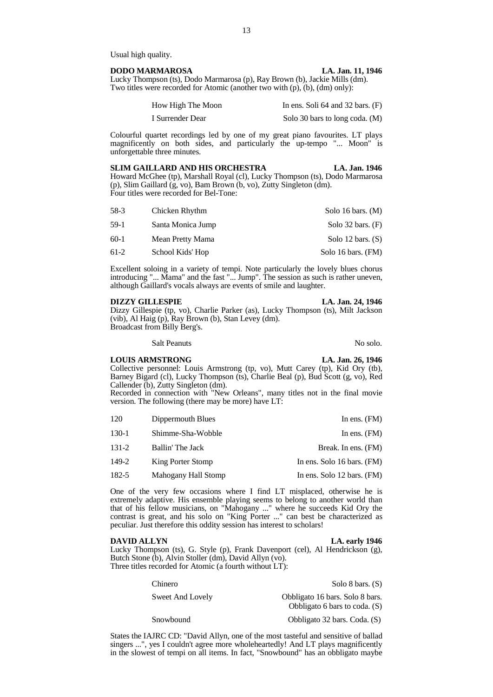Usual high quality.

# **DODO MARMAROSA LA. Jan. 11, 1946**

Lucky Thompson (ts), Dodo Marmarosa (p), Ray Brown (b), Jackie Mills (dm). Two titles were recorded for Atomic (another two with (p), (b), (dm) only):

| How High The Moon | In ens. Soli $64$ and $32$ bars. $(F)$ |
|-------------------|----------------------------------------|
| I Surrender Dear  | Solo 30 bars to long coda. (M)         |

Colourful quartet recordings led by one of my great piano favourites. LT plays magnificently on both sides, and particularly the up-tempo "... Moon" is unforgettable three minutes.

# **SLIM GAILLARD AND HIS ORCHESTRA LA. Jan. 1946** Howard McGhee (tp), Marshall Royal (cl), Lucky Thompson (ts), Dodo Marmarosa (p), Slim Gaillard (g, vo), Bam Brown (b, vo), Zutty Singleton (dm). Four titles were recorded for Bel-Tone:

| 58-3   | Chicken Rhythm    | Solo 16 bars. $(M)$   |
|--------|-------------------|-----------------------|
| $59-1$ | Santa Monica Jump | Solo $32$ bars. $(F)$ |
| $60-1$ | Mean Pretty Mama  | Solo 12 bars. $(S)$   |
| $61-2$ | School Kids' Hop  | Solo 16 bars. (FM)    |

Excellent soloing in a variety of tempi. Note particularly the lovely blues chorus introducing "... Mama" and the fast "... Jump". The session as such is rather uneven, although Gaillard's vocals always are events of smile and laughter.

# **DIZZY GILLESPIE LA. Jan. 24, 1946**

Dizzy Gillespie (tp, vo), Charlie Parker (as), Lucky Thompson (ts), Milt Jackson (vib), Al Haig (p), Ray Brown (b), Stan Levey (dm). Broadcast from Billy Berg's.

Salt Peanuts No solo.

# **LOUIS ARMSTRONG LA. Jan. 26, 1946**

Collective personnel: Louis Armstrong (tp, vo), Mutt Carey (tp), Kid Ory (tb), Barney Bigard (cl), Lucky Thompson (ts), Charlie Beal (p), Bud Scott (g, vo), Red Callender (b), Zutty Singleton (dm).

Recorded in connection with "New Orleans", many titles not in the final movie version. The following (there may be more) have LT:

| 120       | Dippermouth Blues   | In ens. $(FM)$             |
|-----------|---------------------|----------------------------|
| 130-1     | Shimme-Sha-Wobble   | In ens. $(FM)$             |
| $131 - 2$ | Ballin' The Jack    | Break. In ens. (FM)        |
| 149-2     | King Porter Stomp   | In ens. Solo 16 bars. (FM) |
| 182-5     | Mahogany Hall Stomp | In ens. Solo 12 bars. (FM) |

One of the very few occasions where I find LT misplaced, otherwise he is extremely adaptive. His ensemble playing seems to belong to another world than that of his fellow musicians, on "Mahogany ..." where he succeeds Kid Ory the contrast is great, and his solo on "King Porter ..." can best be characterized as peculiar. Just therefore this oddity session has interest to scholars!

# **DAVID ALLYN** LA. early 1946

Lucky Thompson (ts), G. Style (p), Frank Davenport (cel), Al Hendrickson (g), Butch Stone (b), Alvin Stoller (dm), David Allyn (vo). Three titles recorded for Atomic (a fourth without LT):

| Chinero          | Solo 8 bars. $(S)$                                                 |
|------------------|--------------------------------------------------------------------|
| Sweet And Lovely | Obbligato 16 bars. Solo 8 bars.<br>Obbligato 6 bars to coda. $(S)$ |
| Snowbound        | Obbligato 32 bars. Coda. (S)                                       |

States the IAJRC CD: "David Allyn, one of the most tasteful and sensitive of ballad singers ...", yes I couldn't agree more wholeheartedly! And LT plays magnificently in the slowest of tempi on all items. In fact, "Snowbound" has an obbligato maybe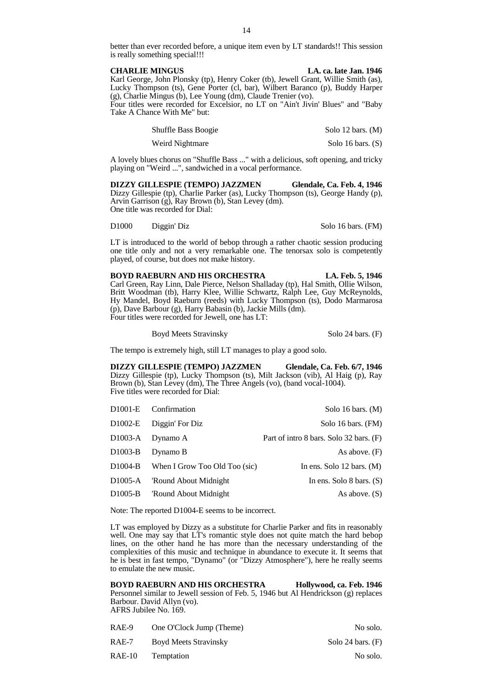better than ever recorded before, a unique item even by LT standards!! This session is really something special!!!

**CHARLIE MINGUS LA. ca. late Jan. 1946** Karl George, John Plonsky (tp), Henry Coker (tb), Jewell Grant, Willie Smith (as), Lucky Thompson (ts), Gene Porter (cl, bar), Wilbert Baranco (p), Buddy Harper (g), Charlie Mingus (b), Lee Young (dm), Claude Trenier (vo). Four titles were recorded for Excelsior, no LT on "Ain't Jivin' Blues" and "Baby Take A Chance With Me" but:

> Shuffle Bass Boogie Solo 12 bars. (M) Weird Nightmare Solo 16 bars. (S)

A lovely blues chorus on "Shuffle Bass ..." with a delicious, soft opening, and tricky playing on "Weird ...", sandwiched in a vocal performance.

**DIZZY GILLESPIE (TEMPO) JAZZMEN Glendale, Ca. Feb. 4, 1946** Dizzy Gillespie (tp), Charlie Parker (as), Lucky Thompson (ts), George Handy (p), Arvin Garrison (g), Ray Brown (b), Stan Levey (dm). One title was recorded for Dial:

D1000 Diggin' Diz Solo 16 bars. (FM)

LT is introduced to the world of bebop through a rather chaotic session producing one title only and not a very remarkable one. The tenorsax solo is competently played, of course, but does not make history.

**BOYD RAEBURN AND HIS ORCHESTRA LA. Feb. 5, 1946** Carl Green, Ray Linn, Dale Pierce, Nelson Shalladay (tp), Hal Smith, Ollie Wilson, Britt Woodman (tb), Harry Klee, Willie Schwartz, Ralph Lee, Guy McReynolds, Hy Mandel, Boyd Raeburn (reeds) with Lucky Thompson (ts), Dodo Marmarosa (p), Dave Barbour (g), Harry Babasin (b), Jackie Mills (dm). Four titles were recorded for Jewell, one has LT:

Boyd Meets Stravinsky Solo 24 bars. (F)

The tempo is extremely high, still LT manages to play a good solo.

**DIZZY GILLESPIE (TEMPO) JAZZMEN Glendale, Ca. Feb. 6/7, 1946** Dizzy Gillespie (tp), Lucky Thompson (ts), Milt Jackson (vib), Al Haig (p), Ray Brown (b), Stan Levey (dm), The Three Angels (vo), (band vocal-1004). Five titles were recorded for Dial:

|                      | D <sub>1001</sub> -E Confirmation | Solo 16 bars. $(M)$                     |
|----------------------|-----------------------------------|-----------------------------------------|
| D1002-E              | Diggin' For Diz                   | Solo 16 bars. (FM)                      |
| D1003-A              | Dynamo A                          | Part of intro 8 bars. Solo 32 bars. (F) |
| D <sub>1003</sub> -B | Dynamo B                          | As above. $(F)$                         |
| D1004-B              | When I Grow Too Old Too (sic)     | In ens. Solo $12 \text{ bars. } (M)$    |
| D <sub>1005</sub> -A | 'Round About Midnight             | In ens. Solo 8 bars. $(S)$              |
| D1005-B              | 'Round About Midnight             | As above. $(S)$                         |

Note: The reported D1004-E seems to be incorrect.

LT was employed by Dizzy as a substitute for Charlie Parker and fits in reasonably well. One may say that LT's romantic style does not quite match the hard bebop lines, on the other hand he has more than the necessary understanding of the complexities of this music and technique in abundance to execute it. It seems that he is best in fast tempo, "Dynamo" (or "Dizzy Atmosphere"), here he really seems to emulate the new music.

**BOYD RAEBURN AND HIS ORCHESTRA Hollywood, ca. Feb. 1946** Personnel similar to Jewell session of Feb. 5, 1946 but Al Hendrickson (g) replaces Barbour. David Allyn (vo). AFRS Jubilee No. 169.

| RAE-9  | One O'Clock Jump (Theme) | No solo.            |
|--------|--------------------------|---------------------|
| RAE-7  | Boyd Meets Stravinsky    | Solo 24 bars. $(F)$ |
| RAE-10 | Temptation               | No solo.            |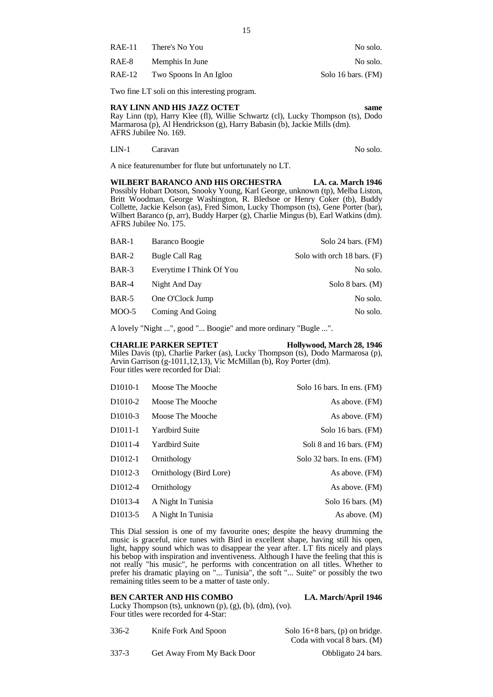| RAE-11 | There's No You         | No solo.           |
|--------|------------------------|--------------------|
| RAE-8  | Memphis In June        | No solo.           |
| RAE-12 | Two Spoons In An Igloo | Solo 16 bars. (FM) |

Two fine LT soli on this interesting program.

# **RAY LINN AND HIS JAZZ OCTET same**

Ray Linn (tp), Harry Klee (fl), Willie Schwartz (cl), Lucky Thompson (ts), Dodo Marmarosa (p), Al Hendrickson (g), Harry Babasin (b), Jackie Mills (dm). AFRS Jubilee No. 169.

LIN-1 Caravan No solo.

A nice featurenumber for flute but unfortunately no LT.

**WILBERT BARANCO AND HIS ORCHESTRA LA. ca. March 1946** Possibly Hobart Dotson, Snooky Young, Karl George, unknown (tp), Melba Liston, Britt Woodman, George Washington, R. Bledsoe or Henry Coker (tb), Buddy Collette, Jackie Kelson (as), Fred Simon, Lucky Thompson (ts), Gene Porter (bar), Wilbert Baranco (p, arr), Buddy Harper (g), Charlie Mingus (b), Earl Watkins (dm). AFRS Jubilee No. 175.

| BAR-1   | Baranco Boogie           | Solo 24 bars. (FM)          |
|---------|--------------------------|-----------------------------|
| BAR-2   | <b>Bugle Call Rag</b>    | Solo with orch 18 bars. (F) |
| BAR-3   | Everytime I Think Of You | No solo.                    |
| BAR-4   | Night And Day            | Solo 8 bars. $(M)$          |
| BAR-5   | One O'Clock Jump         | No solo.                    |
| $MOO-5$ | Coming And Going         | No solo.                    |

A lovely "Night ...", good "... Boogie" and more ordinary "Bugle ...".

# **CHARLIE PARKER SEPTET Hollywood, March 28, 1946**

Miles Davis (tp), Charlie Parker (as), Lucky Thompson (ts), Dodo Marmarosa (p), Arvin Garrison (g-1011,12,13), Vic McMillan (b), Roy Porter (dm). Four titles were recorded for Dial:

| D <sub>1010</sub> -1 | Moose The Mooche        | Solo 16 bars. In ens. (FM) |
|----------------------|-------------------------|----------------------------|
| D <sub>1010</sub> -2 | Moose The Mooche        | As above. (FM)             |
| D <sub>1010</sub> -3 | Moose The Mooche        | As above. (FM)             |
| D <sub>1011</sub> -1 | <b>Yardbird Suite</b>   | Solo 16 bars. (FM)         |
| D <sub>1011</sub> -4 | <b>Yardbird Suite</b>   | Soli 8 and 16 bars. (FM)   |
| D <sub>1012</sub> -1 | Ornithology             | Solo 32 bars. In ens. (FM) |
| D <sub>1012</sub> -3 | Ornithology (Bird Lore) | As above. (FM)             |
| D <sub>1012-4</sub>  | Ornithology             | As above. (FM)             |
| D <sub>1013</sub> -4 | A Night In Tunisia      | Solo 16 bars. $(M)$        |
| D <sub>1013</sub> -5 | A Night In Tunisia      | As above. $(M)$            |

This Dial session is one of my favourite ones; despite the heavy drumming the music is graceful, nice tunes with Bird in excellent shape, having still his open, light, happy sound which was to disappear the year after. LT fits nicely and plays his bebop with inspiration and inventiveness. Although I have the feeling that this is not really "his music", he performs with concentration on all titles. Whether to prefer his dramatic playing on "... Tunisia", the soft "... Suite" or possibly the two remaining titles seem to be a matter of taste only.

# **BEN CARTER AND HIS COMBO LA. March/April 1946**

Lucky Thompson (ts), unknown (p), (g), (b), (dm), (vo). Four titles were recorded for 4-Star:

336-2 Knife Fork And Spoon Solo 16+8 bars, (p) on bridge. Coda with vocal 8 bars. (M)

337-3 Get Away From My Back Door Obbligato 24 bars.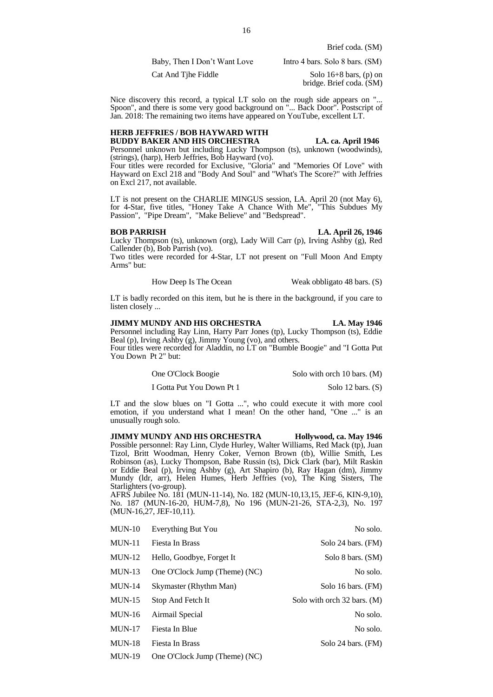Brief coda. (SM)

Baby, Then I Don't Want Love Intro 4 bars. Solo 8 bars. (SM)

Cat And Tihe Fiddle Solo 16+8 bars, (p) on bridge. Brief coda. (SM)

Nice discovery this record, a typical LT solo on the rough side appears on "... Spoon", and there is some very good background on "... Back Door". Postscript of Jan. 2018: The remaining two items have appeared on YouTube, excellent LT.

# **HERB JEFFRIES / BOB HAYWARD WITH BUDDY BAKER AND HIS ORCHESTRA LA. ca. April 1946**

Personnel unknown but including Lucky Thompson (ts), unknown (woodwinds), (strings), (harp), Herb Jeffries, Bob Hayward (vo).

Four titles were recorded for Exclusive, "Gloria" and "Memories Of Love" with Hayward on Excl 218 and "Body And Soul" and "What's The Score?" with Jeffries on Excl 217, not available.

LT is not present on the CHARLIE MINGUS session, LA. April 20 (not May 6), for 4-Star, five titles, "Honey Take A Chance With Me", "This Subdues My Passion", "Pipe Dream", "Make Believe" and "Bedspread".

# **BOB PARRISH LA. April 26, 1946**

Lucky Thompson (ts), unknown (org), Lady Will Carr (p), Irving Ashby (g), Red Callender (b), Bob Parrish (vo).

Two titles were recorded for 4-Star, LT not present on "Full Moon And Empty Arms" but:

How Deep Is The Ocean Weak obbligato 48 bars. (S)

LT is badly recorded on this item, but he is there in the background, if you care to listen closely ...

# **JIMMY MUNDY AND HIS ORCHESTRA LA. May 1946**

Personnel including Ray Linn, Harry Parr Jones (tp), Lucky Thompson (ts), Eddie Beal (p), Irving Ashby (g), Jimmy Young (vo), and others.

Four titles were recorded for Aladdin, no LT on "Bumble Boogie" and "I Gotta Put You Down Pt 2" but:

| One O'Clock Boogie        | Solo with orch 10 bars. (M) |
|---------------------------|-----------------------------|
| I Gotta Put You Down Pt 1 | Solo $12 \text{ bars.}$ (S) |

LT and the slow blues on "I Gotta ...", who could execute it with more cool emotion, if you understand what I mean! On the other hand, "One ..." is an unusually rough solo.

**JIMMY MUNDY AND HIS ORCHESTRA Hollywood, ca. May 1946** Possible personnel: Ray Linn, Clyde Hurley, Walter Williams, Red Mack (tp), Juan Tizol, Britt Woodman, Henry Coker, Vernon Brown (tb), Willie Smith, Les Robinson (as), Lucky Thompson, Babe Russin (ts), Dick Clark (bar), Milt Raskin or Eddie Beal (p), Irving Ashby (g), Art Shapiro (b), Ray Hagan (dm), Jimmy Mundy (ldr, arr), Helen Humes, Herb Jeffries (vo), The King Sisters, The Starlighters (vo-group).

AFRS Jubilee No. 181 (MUN-11-14), No. 182 (MUN-10,13,15, JEF-6, KIN-9,10), No. 187 (MUN-16-20, HUM-7,8), No 196 (MUN-21-26, STA-2,3), No. 197 (MUN-16,27, JEF-10,11).

| $MUN-10$      | Everything But You            | No solo.                    |
|---------------|-------------------------------|-----------------------------|
| $MUN-11$      | Fiesta In Brass               | Solo 24 bars. (FM)          |
| $MUN-12$      | Hello, Goodbye, Forget It     | Solo 8 bars. (SM)           |
| $MUN-13$      | One O'Clock Jump (Theme) (NC) | No solo.                    |
| $MUN-14$      | Skymaster (Rhythm Man)        | Solo 16 bars. (FM)          |
| $MUN-15$      | Stop And Fetch It             | Solo with orch 32 bars. (M) |
| $MUN-16$      | Airmail Special               | No solo.                    |
| $MUN-17$      | Fiesta In Blue                | No solo.                    |
| $MUN-18$      | Fiesta In Brass               | Solo 24 bars. (FM)          |
| <b>MUN-19</b> | One O'Clock Jump (Theme) (NC) |                             |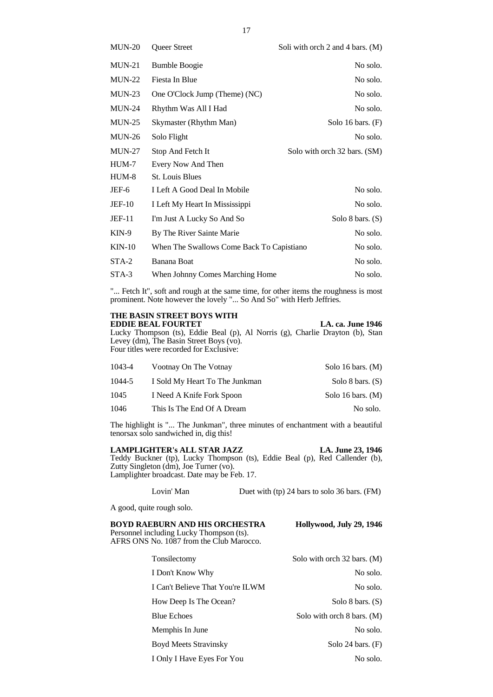| $MUN-20$      | Queer Street                              | Soli with orch 2 and 4 bars. $(M)$ |
|---------------|-------------------------------------------|------------------------------------|
| $MUN-21$      | <b>Bumble Boogie</b>                      | No solo.                           |
| $MUN-22$      | Fiesta In Blue                            | No solo.                           |
| $MUN-23$      | One O'Clock Jump (Theme) (NC)             | No solo.                           |
| <b>MUN-24</b> | Rhythm Was All I Had                      | No solo.                           |
| $MUN-25$      | Skymaster (Rhythm Man)                    | Solo 16 bars. $(F)$                |
| $MUN-26$      | Solo Flight                               | No solo.                           |
| $MUN-27$      | Stop And Fetch It                         | Solo with orch 32 bars. (SM)       |
| HUM-7         | Every Now And Then                        |                                    |
| HUM-8         | <b>St. Louis Blues</b>                    |                                    |
| JEF-6         | I Left A Good Deal In Mobile              | No solo.                           |
| <b>JEF-10</b> | I Left My Heart In Mississippi            | No solo.                           |
| <b>JEF-11</b> | I'm Just A Lucky So And So                | Solo 8 bars. $(S)$                 |
| $KIN-9$       | By The River Sainte Marie                 | No solo.                           |
| $KIN-10$      | When The Swallows Come Back To Capistiano | No solo.                           |
| STA-2         | <b>Banana Boat</b>                        | No solo.                           |
| STA-3         | When Johnny Comes Marching Home           | No solo.                           |
|               |                                           |                                    |

"... Fetch It", soft and rough at the same time, for other items the roughness is most prominent. Note however the lovely "... So And So" with Herb Jeffries.

# **THE BASIN STREET BOYS WITH**

**EDDIE BEAL FOURTET** LA. ca. June 1946 Lucky Thompson (ts), Eddie Beal (p), Al Norris (g), Charlie Drayton (b), Stan Levey (dm), The Basin Street Boys (vo). Four titles were recorded for Exclusive:

| 1043-4 | Vootnay On The Votnay          | Solo 16 bars. $(M)$ |
|--------|--------------------------------|---------------------|
| 1044-5 | I Sold My Heart To The Junkman | Solo 8 bars. $(S)$  |
| 1045   | I Need A Knife Fork Spoon      | Solo 16 bars. $(M)$ |
| 1046   | This Is The End Of A Dream     | No solo.            |

The highlight is "... The Junkman", three minutes of enchantment with a beautiful tenorsax solo sandwiched in, dig this!

**LAMPLIGHTER's ALL STAR JAZZ LA. June 23, 1946** Teddy Buckner (tp), Lucky Thompson (ts), Eddie Beal (p), Red Callender (b), Zutty Singleton (dm), Joe Turner (vo). Lamplighter broadcast. Date may be Feb. 17.

Lovin' Man Duet with (tp) 24 bars to solo 36 bars. (FM)

A good, quite rough solo.

# **BOYD RAEBURN AND HIS ORCHESTRA Hollywood, July 29, 1946**

Personnel including Lucky Thompson (ts). AFRS ONS No. 1087 from the Club Marocco.

| Tonsilectomy                     | Solo with orch 32 bars. (M) |
|----------------------------------|-----------------------------|
| I Don't Know Why                 | No solo.                    |
| I Can't Believe That You're ILWM | No solo.                    |
| How Deep Is The Ocean?           | Solo 8 bars. $(S)$          |
| <b>Blue Echoes</b>               | Solo with orch 8 bars. (M)  |
| Memphis In June                  | No solo.                    |
| <b>Boyd Meets Stravinsky</b>     | Solo 24 bars. $(F)$         |
| I Only I Have Eyes For You       | No solo.                    |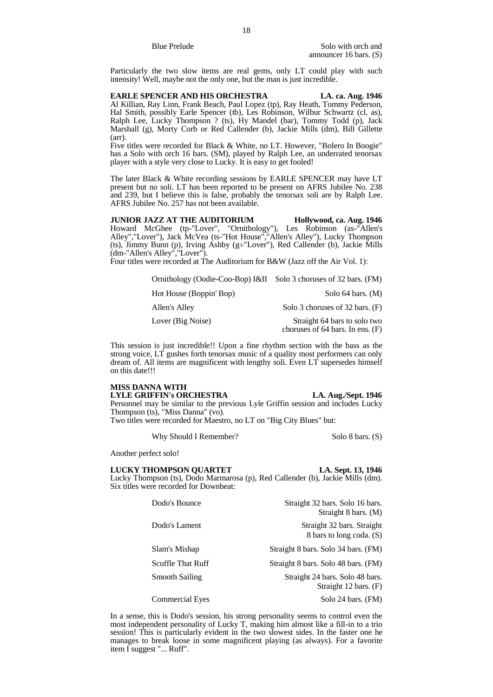Particularly the two slow items are real gems, only LT could play with such intensity! Well, maybe not the only one, but the man is just incredible.

**EARLE SPENCER AND HIS ORCHESTRA LA. ca. Aug. 1946** Al Killian, Ray Linn, Frank Beach, Paul Lopez (tp), Ray Heath, Tommy Pederson, Hal Smith, possibly Earle Spencer (tb), Les Robinson, Wilbur Schwartz (cl, as), Ralph Lee, Lucky Thompson ? (ts), Hy Mandel (bar), Tommy Todd (p), Jack Marshall (g), Morty Corb or Red Callender (b), Jackie Mills (dm), Bill Gillette (arr).

Five titles were recorded for Black & White, no LT. However, "Bolero In Boogie" has a Solo with orch 16 bars. (SM), played by Ralph Lee, an underrated tenorsax player with a style very close to Lucky. It is easy to get fooled!

The later Black & White recording sessions by EARLE SPENCER may have LT present but no soli. LT has been reported to be present on AFRS Jubilee No. 238 and 239, but I believe this is false, probably the tenorsax soli are by Ralph Lee. AFRS Jubilee No. 257 has not been available.

**JUNIOR JAZZ AT THE AUDITORIUM Hollywood, ca. Aug. 1946** Howard McGhee (tp-"Lover", "Ornithology"), Les Robinson (as-"Allen's Alley","Lover"), Jack McVea (ts-"Hot House","Allen's Alley"), Lucky Thompson (ts), Jimmy Bunn (p), Irving Ashby ( $g\div$ "Lover"), Red Callender (b), Jackie Mills (dm-"Allen's Alley","Lover").

Four titles were recorded at The Auditorium for B&W (Jazz off the Air Vol. 1):

| Ornithology (Oodie-Coo-Bop) I&II Solo 3 choruses of 32 bars. (FM) |                                                                      |
|-------------------------------------------------------------------|----------------------------------------------------------------------|
| Hot House (Boppin' Bop)                                           | Solo $64$ bars. $(M)$                                                |
| Allen's Alley                                                     | Solo 3 choruses of 32 bars. (F)                                      |
| Lover (Big Noise)                                                 | Straight 64 bars to solo two<br>choruses of $64$ bars. In ens. $(F)$ |

This session is just incredible!! Upon a fine rhythm section with the bass as the strong voice, LT gushes forth tenorsax music of a quality most performers can only dream of. All items are magnificent with lengthy soli. Even LT supersedes himself on this date!!!

### **MISS DANNA WITH LYLE GRIFFIN's ORCHESTRA LA. Aug./Sept. 1946**

Personnel may be similar to the previous Lyle Griffin session and includes Lucky Thompson (ts), "Miss Danna" (vo).

Two titles were recorded for Maestro, no LT on "Big City Blues" but:

Why Should I Remember? Solo 8 bars. (S)

Another perfect solo!

# LUCKY THOMPSON QUARTET LA. Sept. 13, 1946

Lucky Thompson (ts), Dodo Marmarosa (p), Red Callender (b), Jackie Mills (dm). Six titles were recorded for Downbeat:

| Dodo's Bounce          | Straight 32 bars. Solo 16 bars.<br>Straight 8 bars. (M)            |
|------------------------|--------------------------------------------------------------------|
| Dodo's Lament          | Straight 32 bars. Straight<br>8 bars to long coda. (S)             |
| Slam's Mishap          | Straight 8 bars. Solo 34 bars. (FM)                                |
| Scuffle That Ruff      | Straight 8 bars. Solo 48 bars. (FM)                                |
| <b>Smooth Sailing</b>  | Straight 24 bars. Solo 48 bars.<br>Straight $12 \text{ bars.}$ (F) |
| <b>Commercial Eyes</b> | Solo 24 bars. (FM)                                                 |

In a sense, this is Dodo's session, his strong personality seems to control even the most independent personality of Lucky T, making him almost like a fill-in to a trio session! This is particularly evident in the two slowest sides. In the faster one he manages to break loose in some magnificent playing (as always). For a favorite item I suggest "... Ruff".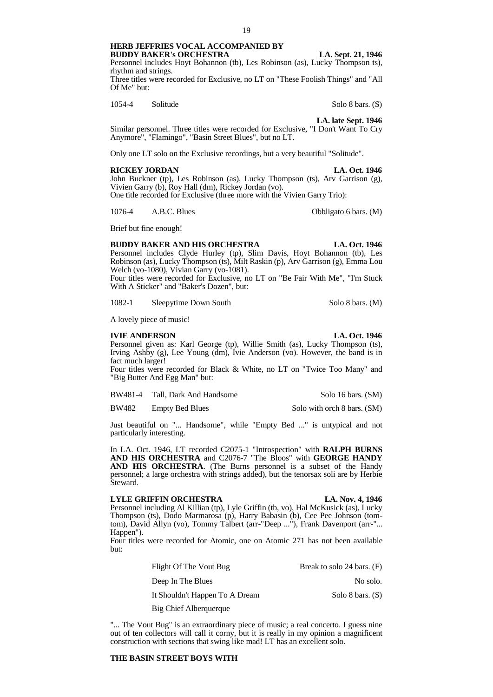**HERB JEFFRIES VOCAL ACCOMPANIED BY** 

**BUDDY BAKER's ORCHESTRA LA. Sept. 21, 1946** Personnel includes Hoyt Bohannon (tb), Les Robinson (as), Lucky Thompson ts), rhythm and strings.

Three titles were recorded for Exclusive, no LT on "These Foolish Things" and "All Of Me" but:

1054-4 Solitude Solo 8 bars. (S)

**LA. late Sept. 1946**

Similar personnel. Three titles were recorded for Exclusive, "I Don't Want To Cry Anymore", "Flamingo", "Basin Street Blues", but no LT.

Only one LT solo on the Exclusive recordings, but a very beautiful "Solitude".

# **RICKEY JORDAN LA. Oct. 1946**

John Buckner (tp), Les Robinson (as), Lucky Thompson (ts), Arv Garrison (g), Vivien Garry (b), Roy Hall (dm), Rickey Jordan (vo).

One title recorded for Exclusive (three more with the Vivien Garry Trio):

1076-4 A.B.C. Blues Obbligato 6 bars. (M)

Brief but fine enough!

# **BUDDY BAKER AND HIS ORCHESTRA LA. Oct. 1946**

Personnel includes Clyde Hurley (tp), Slim Davis, Hoyt Bohannon (tb), Les Robinson (as), Lucky Thompson (ts), Milt Raskin (p), Arv Garrison (g), Emma Lou Welch (vo-1080), Vivian Garry (vo-1081).

Four titles were recorded for Exclusive, no LT on "Be Fair With Me", "I'm Stuck With A Sticker" and "Baker's Dozen", but:

1082-1 Sleepytime Down South Solo 8 bars. (M)

A lovely piece of music!

# **IVIE ANDERSON LA. Oct. 1946**

Personnel given as: Karl George (tp), Willie Smith (as), Lucky Thompson (ts), Irving Ashby (g), Lee Young (dm), Ivie Anderson (vo). However, the band is in fact much larger!

Four titles were recorded for Black & White, no LT on "Twice Too Many" and "Big Butter And Egg Man" but:

BW481-4 Tall, Dark And Handsome Solo 16 bars. (SM)

BW482 Empty Bed Blues Solo with orch 8 bars. (SM)

Just beautiful on "... Handsome", while "Empty Bed ..." is untypical and not particularly interesting.

In LA. Oct. 1946, LT recorded C2075-1 "Introspection" with **RALPH BURNS AND HIS ORCHESTRA** and C2076-7 "The Bloos" with **GEORGE HANDY AND HIS ORCHESTRA**. (The Burns personnel is a subset of the Handy personnel; a large orchestra with strings added), but the tenorsax soli are by Herbie Steward.

# **LYLE GRIFFIN ORCHESTRA LA. Nov. 4, 1946**

Personnel including Al Killian (tp), Lyle Griffin (tb, vo), Hal McKusick (as), Lucky Thompson (ts), Dodo Marmarosa (p), Harry Babasin (b), Cee Pee Johnson (tomtom), David Allyn (vo), Tommy Talbert (arr-"Deep ..."), Frank Davenport (arr-"... Happen").

Four titles were recorded for Atomic, one on Atomic 271 has not been available but:

| Flight Of The Vout Bug         | Break to solo 24 bars. (F) |
|--------------------------------|----------------------------|
| Deep In The Blues              | No solo.                   |
| It Shouldn't Happen To A Dream | Solo 8 bars. $(S)$         |
| Big Chief Alberguergue         |                            |

"... The Vout Bug" is an extraordinary piece of music; a real concerto. I guess nine out of ten collectors will call it corny, but it is really in my opinion a magnificent construction with sections that swing like mad! LT has an excellent solo.

# **THE BASIN STREET BOYS WITH**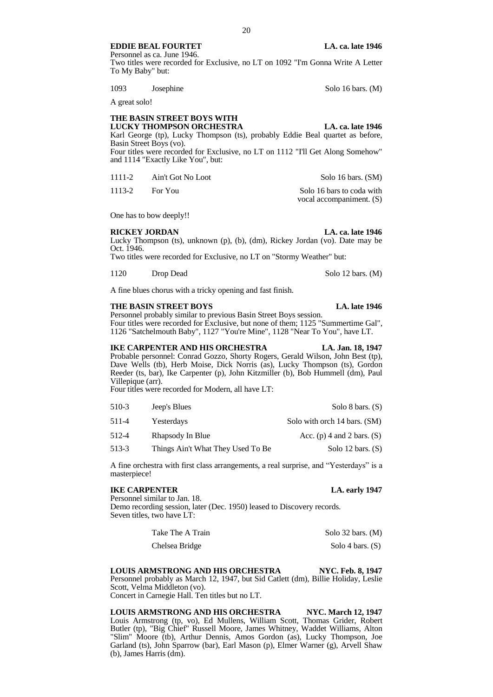# **EDDIE BEAL FOURTET** LA. ca. late 1946

Personnel as ca. June 1946. Two titles were recorded for Exclusive, no LT on 1092 "I'm Gonna Write A Letter To My Baby" but:

1093 Josephine Solo 16 bars. (M)

A great solo!

# **THE BASIN STREET BOYS WITH LUCKY THOMPSON ORCHESTRA LA. ca. late 1946**

Karl George (tp), Lucky Thompson (ts), probably Eddie Beal quartet as before, Basin Street Boys (vo).

Four titles were recorded for Exclusive, no LT on 1112 "I'll Get Along Somehow" and 1114 "Exactly Like You", but:

| 1111-2 | Ain't Got No Loot | Solo 16 bars. (SM)        |
|--------|-------------------|---------------------------|
| 1113-2 | For You           | Solo 16 bars to coda with |
|        |                   | vocal accompaniment. (S)  |

One has to bow deeply!!

# **RICKEY JORDAN LA. ca. late 1946**

Lucky Thompson (ts), unknown (p), (b), (dm), Rickey Jordan (vo). Date may be Oct. 1946.

Two titles were recorded for Exclusive, no LT on "Stormy Weather" but:

1120 Drop Dead Solo 12 bars. (M)

A fine blues chorus with a tricky opening and fast finish.

# **THE BASIN STREET BOYS LA. late 1946**

Personnel probably similar to previous Basin Street Boys session. Four titles were recorded for Exclusive, but none of them; 1125 "Summertime Gal", 1126 "Satchelmouth Baby", 1127 "You're Mine", 1128 "Near To You", have LT.

# **IKE CARPENTER AND HIS ORCHESTRA** LA. Jan. 18, 1947

Probable personnel: Conrad Gozzo, Shorty Rogers, Gerald Wilson, John Best (tp), Dave Wells (tb), Herb Moise, Dick Norris (as), Lucky Thompson (ts), Gordon Reeder (ts, bar), Ike Carpenter (p), John Kitzmiller (b), Bob Hummell (dm), Paul Villepique (arr).

Four titles were recorded for Modern, all have LT:

| 510-3 | Jeep's Blues                      | Solo 8 bars. $(S)$           |
|-------|-----------------------------------|------------------------------|
| 511-4 | Yesterdays                        | Solo with orch 14 bars. (SM) |
| 512-4 | Rhapsody In Blue                  | Acc. (p) 4 and 2 bars. $(S)$ |
| 513-3 | Things Ain't What They Used To Be | Solo 12 bars. $(S)$          |

A fine orchestra with first class arrangements, a real surprise, and "Yesterdays" is a masterpiece!

# **IKE CARPENTER LA. early 1947** Personnel similar to Jan. 18.

Demo recording session, later (Dec. 1950) leased to Discovery records. Seven titles, two have LT:

| Take The A Train | Solo 32 bars. $(M)$ |
|------------------|---------------------|
| Chelsea Bridge   | Solo 4 bars. $(S)$  |

**LOUIS ARMSTRONG AND HIS ORCHESTRA NYC. Feb. 8, 1947** Personnel probably as March 12, 1947, but Sid Catlett (dm), Billie Holiday, Leslie Scott, Velma Middleton (vo). Concert in Carnegie Hall. Ten titles but no LT.

LOUIS ARMSTRONG AND HIS ORCHESTRA NYC. March 12, 1947 Louis Armstrong (tp, vo), Ed Mullens, William Scott, Thomas Grider, Robert Butler (tp), "Big Chief" Russell Moore, James Whitney, Waddet Williams, Alton "Slim" Moore (tb), Arthur Dennis, Amos Gordon (as), Lucky Thompson, Joe Garland (ts), John Sparrow (bar), Earl Mason (p), Elmer Warner (g), Arvell Shaw (b), James Harris (dm).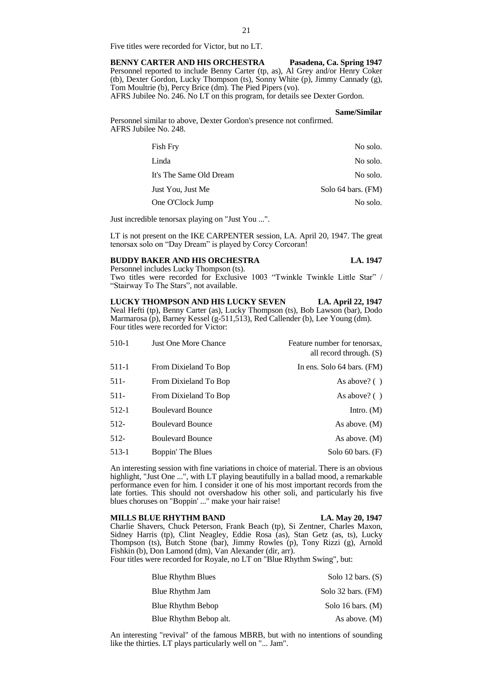Five titles were recorded for Victor, but no LT.

**BENNY CARTER AND HIS ORCHESTRA Pasadena, Ca. Spring 1947** Personnel reported to include Benny Carter (tp, as), Al Grey and/or Henry Coker (tb), Dexter Gordon, Lucky Thompson (ts), Sonny White (p), Jimmy Cannady (g), Tom Moultrie (b), Percy Brice (dm). The Pied Pipers (vo). AFRS Jubilee No. 246. No LT on this program, for details see Dexter Gordon.

# **Same/Similar**

Personnel similar to above, Dexter Gordon's presence not confirmed. AFRS Jubilee No. 248.

| <b>Fish Fry</b>         | No solo.           |
|-------------------------|--------------------|
| Linda                   | No solo.           |
| It's The Same Old Dream | No solo.           |
| Just You, Just Me       | Solo 64 bars. (FM) |
| One O'Clock Jump        | No solo.           |

Just incredible tenorsax playing on "Just You ...".

LT is not present on the IKE CARPENTER session, LA. April 20, 1947. The great tenorsax solo on "Day Dream" is played by Corcy Corcoran!

# **BUDDY BAKER AND HIS ORCHESTRA LA. 1947**

Personnel includes Lucky Thompson (ts). Two titles were recorded for Exclusive 1003 "Twinkle Twinkle Little Star" / "Stairway To The Stars", not available.

**LUCKY THOMPSON AND HIS LUCKY SEVEN LA. April 22, 1947** Neal Hefti (tp), Benny Carter (as), Lucky Thompson (ts), Bob Lawson (bar), Dodo Marmarosa (p), Barney Kessel (g-511,513), Red Callender (b), Lee Young (dm). Four titles were recorded for Victor:

| 510-1   | <b>Just One More Chance</b> | Feature number for tenorsax,<br>all record through. (S) |
|---------|-----------------------------|---------------------------------------------------------|
| 511-1   | From Dixieland To Bop       | In ens. Solo $64$ bars. $(FM)$                          |
| $511-$  | From Dixieland To Bop       | As above? $( )$                                         |
| 511-    | From Dixieland To Bop       | As above? $( )$                                         |
| $512-1$ | <b>Boulevard Bounce</b>     | Intro. $(M)$                                            |
| 512-    | <b>Boulevard Bounce</b>     | As above. (M)                                           |
| 512-    | <b>Boulevard Bounce</b>     | As above. $(M)$                                         |
| 513-1   | Boppin' The Blues           | Solo 60 bars. $(F)$                                     |

An interesting session with fine variations in choice of material. There is an obvious highlight, "Just One ...", with LT playing beautifully in a ballad mood, a remarkable performance even for him. I consider it one of his most important records from the late forties. This should not overshadow his other soli, and particularly his five blues choruses on "Boppin' ..." make your hair raise!

### **MILLS BLUE RHYTHM BAND LA. May 20, 1947**

Charlie Shavers, Chuck Peterson, Frank Beach (tp), Si Zentner, Charles Maxon, Sidney Harris (tp), Clint Neagley, Eddie Rosa (as), Stan Getz (as, ts), Lucky Thompson (ts), Butch Stone (bar), Jimmy Rowles (p), Tony Rizzi (g), Arnold Fishkin (b), Don Lamond (dm), Van Alexander (dir, arr).

Four titles were recorded for Royale, no LT on "Blue Rhythm Swing", but:

| <b>Blue Rhythm Blues</b> | Solo 12 bars. $(S)$ |
|--------------------------|---------------------|
| Blue Rhythm Jam          | Solo 32 bars. (FM)  |
| Blue Rhythm Bebop        | Solo 16 bars. $(M)$ |
| Blue Rhythm Bebop alt.   | As above. $(M)$     |

An interesting "revival" of the famous MBRB, but with no intentions of sounding like the thirties. LT plays particularly well on "... Jam".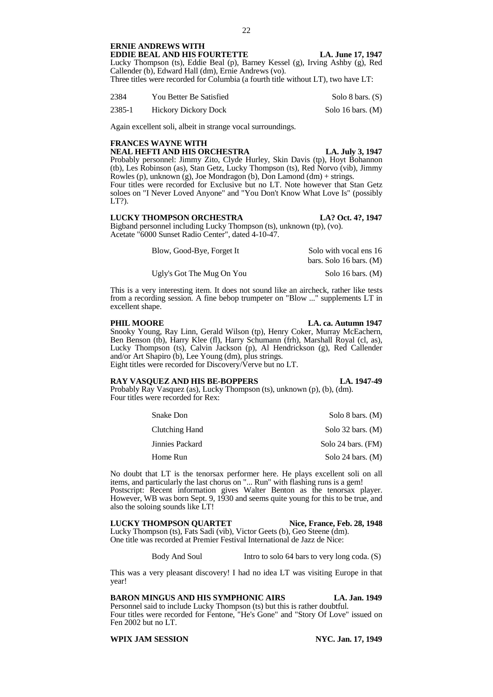# **ERNIE ANDREWS WITH EDDIE BEAL AND HIS FOURTETTE** LA. June 17, 1947

Lucky Thompson (ts), Eddie Beal (p), Barney Kessel (g), Irving Ashby (g), Red Callender (b), Edward Hall (dm), Ernie Andrews (vo). Three titles were recorded for Columbia (a fourth title without LT), two have LT:

| 2384   | You Better Be Satisfied     | Solo 8 bars. (S)    |
|--------|-----------------------------|---------------------|
| 2385-1 | <b>Hickory Dickory Dock</b> | Solo 16 bars. $(M)$ |

Again excellent soli, albeit in strange vocal surroundings.

# **FRANCES WAYNE WITH**

**NEAL HEFTI AND HIS ORCHESTRA LA. July 3, 1947**

Probably personnel: Jimmy Zito, Clyde Hurley, Skin Davis (tp), Hoyt Bohannon (tb), Les Robinson (as), Stan Getz, Lucky Thompson (ts), Red Norvo (vib), Jimmy Rowles (p), unknown (g), Joe Mondragon (b), Don Lamond (dm) + strings. Four titles were recorded for Exclusive but no LT. Note however that Stan Getz soloes on "I Never Loved Anyone" and "You Don't Know What Love Is" (possibly

**LUCKY THOMPSON ORCHESTRA LA? Oct. 4?, 1947**

Bigband personnel including Lucky Thompson (ts), unknown (tp), (vo). Acetate "6000 Sunset Radio Center", dated 4-10-47.

| Blow, Good-Bye, Forget It | Solo with vocal ens 16  |
|---------------------------|-------------------------|
|                           | bars. Solo 16 bars. (M) |
| Ugly's Got The Mug On You | Solo 16 bars. (M)       |

This is a very interesting item. It does not sound like an aircheck, rather like tests from a recording session. A fine bebop trumpeter on "Blow ..." supplements LT in excellent shape.

LT?).

# **PHIL MOORE LA. ca. Autumn 1947**

Snooky Young, Ray Linn, Gerald Wilson (tp), Henry Coker, Murray McEachern, Ben Benson (tb), Harry Klee (fl), Harry Schumann (frh), Marshall Royal (cl, as), Lucky Thompson (ts), Calvin Jackson (p), Al Hendrickson (g), Red Callender and/or Art Shapiro (b), Lee Young (dm), plus strings. Eight titles were recorded for Discovery/Verve but no LT.

# **RAY VASQUEZ AND HIS BE-BOPPERS LA. 1947-49**

Probably Ray Vasquez (as), Lucky Thompson (ts), unknown (p), (b), (dm). Four titles were recorded for Rex:

| Snake Don       | Solo 8 bars. (M)    |
|-----------------|---------------------|
| Clutching Hand  | Solo 32 bars. $(M)$ |
| Jinnies Packard | Solo 24 bars. (FM)  |
| Home Run        | Solo 24 bars. $(M)$ |

No doubt that LT is the tenorsax performer here. He plays excellent soli on all items, and particularly the last chorus on "... Run" with flashing runs is a gem!

Postscript: Recent information gives Walter Benton as the tenorsax player. However, WB was born Sept. 9, 1930 and seems quite young for this to be true, and also the soloing sounds like LT!

**LUCKY THOMPSON QUARTET Nice, France, Feb. 28, 1948** Lucky Thompson (ts), Fats Sadi (vib), Victor Geets (b), Geo Steene (dm). One title was recorded at Premier Festival International de Jazz de Nice:

Body And Soul Intro to solo 64 bars to very long coda. (S)

This was a very pleasant discovery! I had no idea LT was visiting Europe in that year!

**BARON MINGUS AND HIS SYMPHONIC AIRS LA. Jan. 1949**

Personnel said to include Lucky Thompson (ts) but this is rather doubtful. Four titles were recorded for Fentone, "He's Gone" and "Story Of Love" issued on Fen 2002 but no LT.

**WPIX JAM SESSION NYC. Jan. 17, 1949**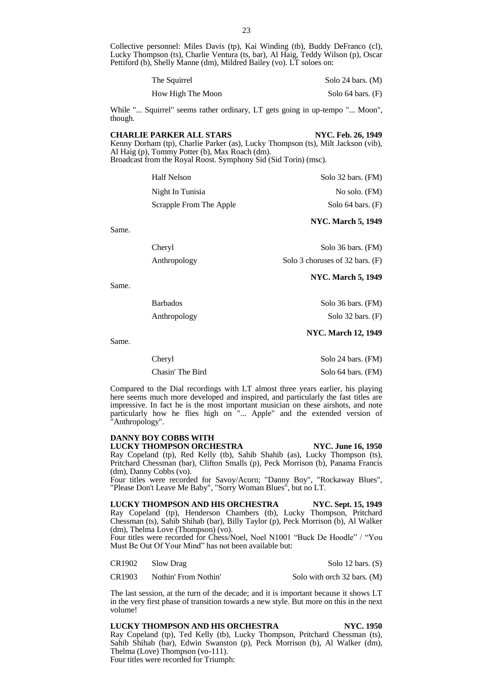Collective personnel: Miles Davis (tp), Kai Winding (tb), Buddy DeFranco (cl), Lucky Thompson (ts), Charlie Ventura (ts, bar), Al Haig, Teddy Wilson (p), Oscar Pettiford (b), Shelly Manne (dm), Mildred Bailey (vo). LT soloes on:

| The Squirrel      | Solo 24 bars. $(M)$ |
|-------------------|---------------------|
| How High The Moon | Solo 64 bars. (F)   |

While "... Squirrel" seems rather ordinary, LT gets going in up-tempo "... Moon", though.

# **CHARLIE PARKER ALL STARS NYC. Feb. 26, 1949** Kenny Dorham (tp), Charlie Parker (as), Lucky Thompson (ts), Milt Jackson (vib),

Al Haig (p), Tommy Potter (b), Max Roach (dm). Broadcast from the Royal Roost. Symphony Sid (Sid Torin) (msc).

| Half Nelson             | Solo $32$ bars. (FM)  |
|-------------------------|-----------------------|
| Night In Tunisia        | No solo. (FM)         |
| Scrapple From The Apple | Solo $64$ bars. $(F)$ |

Same.

| Cheryl       | Solo 36 bars. (FM)              |
|--------------|---------------------------------|
| Anthropology | Solo 3 choruses of 32 bars. (F) |

Same.

Barbados Solo 36 bars. (FM) Anthropology Solo 32 bars. (F)

Same.

# **NYC. March 12, 1949**

**NYC. March 5, 1949**

**NYC. March 5, 1949**

| Cheryl           | Solo 24 bars. (FM) |
|------------------|--------------------|
| Chasin' The Bird | Solo 64 bars. (FM) |

Compared to the Dial recordings with LT almost three years earlier, his playing here seems much more developed and inspired, and particularly the fast titles are impressive. In fact he is the most important musician on these airshots, and note particularly how he flies high on "... Apple" and the extended version of "Anthropology".

# **DANNY BOY COBBS WITH LUCKY THOMPSON ORCHESTRA NYC. June 16, 1950**

Ray Copeland (tp), Red Kelly (tb), Sahib Shahib (as), Lucky Thompson (ts), Pritchard Chessman (bar), Clifton Smalls (p), Peck Morrison (b), Panama Francis (dm), Danny Cobbs (vo).

Four titles were recorded for Savoy/Acorn; "Danny Boy", "Rockaway Blues", "Please Don't Leave Me Baby", "Sorry Woman Blues", but no LT.

# **LUCKY THOMPSON AND HIS ORCHESTRA NYC. Sept. 15, 1949**

Ray Copeland (tp), Henderson Chambers (tb), Lucky Thompson, Pritchard Chessman (ts), Sahib Shihab (bar), Billy Taylor (p), Peck Morrison (b), Al Walker (dm), Thelma Love (Thompson) (vo).

Four titles were recorded for Chess/Noel, Noel N1001 "Buck De Hoodle" / "You Must Be Out Of Your Mind" has not been available but:

| CR1902 | Slow Drag |  | Solo 12 bars. $(S)$ |  |
|--------|-----------|--|---------------------|--|
|--------|-----------|--|---------------------|--|

CR1903 Nothin' From Nothin' Solo with orch 32 bars. (M)

The last session, at the turn of the decade; and it is important because it shows LT in the very first phase of transition towards a new style. But more on this in the next volume!

**LUCKY THOMPSON AND HIS ORCHESTRA NYC. 1950** Ray Copeland (tp), Ted Kelly (tb), Lucky Thompson, Pritchard Chessman (ts), Sahib Shihab (bar), Edwin Swanston (p), Peck Morrison (b), Al Walker (dm), Thelma (Love) Thompson (vo-111). Four titles were recorded for Triumph: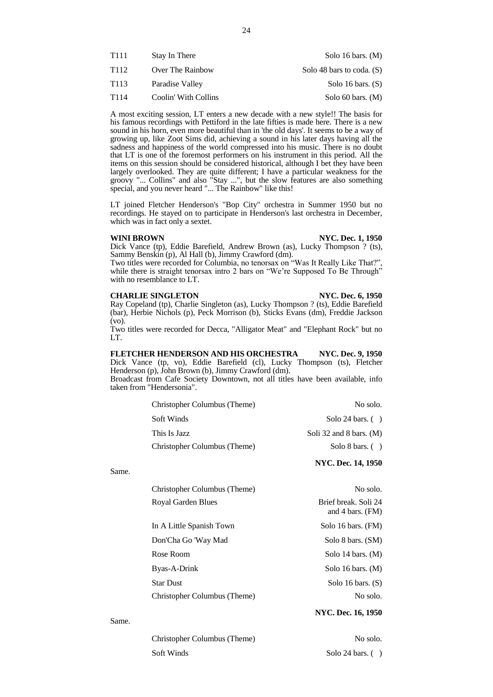| T111 | Stay In There        | Solo 16 bars. $(M)$         |
|------|----------------------|-----------------------------|
| T112 | Over The Rainbow     | Solo 48 bars to coda. $(S)$ |
| T113 | Paradise Valley      | Solo 16 bars. $(S)$         |
| T114 | Coolin' With Collins | Solo 60 bars. $(M)$         |

A most exciting session, LT enters a new decade with a new style!! The basis for his famous recordings with Pettiford in the late fifties is made here. There is a new sound in his horn, even more beautiful than in 'the old days'. It seems to be a way of growing up, like Zoot Sims did, achieving a sound in his later days having all the sadness and happiness of the world compressed into his music. There is no doubt that LT is one of the foremost performers on his instrument in this period. All the items on this session should be considered historical, although I bet they have been largely overlooked. They are quite different; I have a particular weakness for the groovy "... Collins" and also "Stay ...", but the slow features are also something special, and you never heard "... The Rainbow" like this!

LT joined Fletcher Henderson's "Bop City" orchestra in Summer 1950 but no recordings. He stayed on to participate in Henderson's last orchestra in December, which was in fact only a sextet.

# **WINI BROWN NYC. Dec. 1, 1950**

Dick Vance (tp), Eddie Barefield, Andrew Brown (as), Lucky Thompson ? (ts), Sammy Benskin (p), Al Hall (b), Jimmy Crawford (dm).

Two titles were recorded for Columbia, no tenorsax on "Was It Really Like That?", while there is straight tenorsax intro 2 bars on "We're Supposed To Be Through" with no resemblance to LT.

# **CHARLIE SINGLETON NYC. Dec. 6, 1950**

# Ray Copeland (tp), Charlie Singleton (as), Lucky Thompson ? (ts), Eddie Barefield (bar), Herbie Nichols (p), Peck Morrison (b), Sticks Evans (dm), Freddie Jackson (vo).

Two titles were recorded for Decca, "Alligator Meat" and "Elephant Rock" but no LT.

|                           |  |  | FLETCHER HENDERSON AND HIS ORCHESTRA                |  |                                                                                | <b>NYC. Dec. 9, 1950</b> |
|---------------------------|--|--|-----------------------------------------------------|--|--------------------------------------------------------------------------------|--------------------------|
|                           |  |  |                                                     |  | Dick Vance (tp, vo), Eddie Barefield (cl), Lucky Thompson (ts), Fletcher       |                          |
|                           |  |  | Henderson (p), John Brown (b), Jimmy Crawford (dm). |  |                                                                                |                          |
|                           |  |  |                                                     |  | Broadcast from Cafe Society Downtown, not all titles have been available, info |                          |
| taken from "Hendersonia". |  |  |                                                     |  |                                                                                |                          |
|                           |  |  |                                                     |  |                                                                                |                          |

| Christopher Columbus (Theme) | No solo.                  |
|------------------------------|---------------------------|
| Soft Winds                   | Solo 24 bars. $( )$       |
| This Is Jazz                 | Soli 32 and 8 bars. $(M)$ |
| Christopher Columbus (Theme) | Solo 8 bars. $( )$        |
|                              | <b>NYC. Dec. 14, 1950</b> |
|                              |                           |

| Christopher Columbus (Theme) | No solo.                                   |
|------------------------------|--------------------------------------------|
| Royal Garden Blues           | Brief break. Soli 24<br>and 4 bars. $(FM)$ |
| In A Little Spanish Town     | Solo 16 bars. (FM)                         |
| Don'Cha Go 'Way Mad          | Solo 8 bars. (SM)                          |
| Rose Room                    | Solo 14 bars. $(M)$                        |
| Byas-A-Drink                 | Solo 16 bars. $(M)$                        |
| Star Dust                    | Solo 16 bars. $(S)$                        |
| Christopher Columbus (Theme) | No solo.                                   |
|                              |                                            |

Same.

Same.

# **NYC. Dec. 16, 1950**

| Christopher Columbus (Theme) | No solo.            |
|------------------------------|---------------------|
| Soft Winds                   | Solo 24 bars. $( )$ |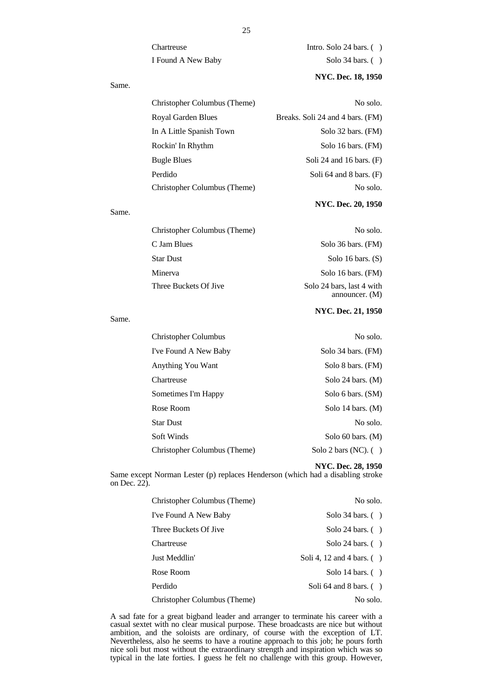Chartreuse Intro. Solo 24 bars. ( ) I Found A New Baby Solo 34 bars. ( )

# **NYC. Dec. 18, 1950**

| Christopher Columbus (Theme) | No solo.                         |
|------------------------------|----------------------------------|
| Royal Garden Blues           | Breaks. Soli 24 and 4 bars. (FM) |
| In A Little Spanish Town     | Solo 32 bars. (FM)               |
| Rockin' In Rhythm            | Solo 16 bars. (FM)               |
| <b>Bugle Blues</b>           | Soli 24 and 16 bars. $(F)$       |
| Perdido                      | Soli 64 and 8 bars. $(F)$        |
| Christopher Columbus (Theme) | No solo.                         |

| Christopher Columbus (Theme) | No solo.                                      |
|------------------------------|-----------------------------------------------|
| C Jam Blues                  | Solo 36 bars. (FM)                            |
| <b>Star Dust</b>             | Solo 16 bars. $(S)$                           |
| Minerva                      | Solo 16 bars. (FM)                            |
| Three Buckets Of Jive        | Solo 24 bars, last 4 with<br>announcer. $(M)$ |

Same.

Same.

Same.

# **NYC. Dec. 21, 1950**

**NYC. Dec. 20, 1950**

| <b>Christopher Columbus</b>  | No solo.                |
|------------------------------|-------------------------|
| I've Found A New Baby        | Solo 34 bars. (FM)      |
| Anything You Want            | Solo 8 bars. (FM)       |
| Chartreuse                   | Solo 24 bars. $(M)$     |
| Sometimes I'm Happy          | Solo 6 bars. (SM)       |
| Rose Room                    | Solo 14 bars. $(M)$     |
| <b>Star Dust</b>             | No solo.                |
| Soft Winds                   | Solo 60 bars. $(M)$     |
| Christopher Columbus (Theme) | Solo 2 bars (NC). $( )$ |
|                              |                         |

**NYC. Dec. 28, 1950**

Same except Norman Lester (p) replaces Henderson (which had a disabling stroke on Dec. 22).

| Christopher Columbus (Theme) | No solo.                     |
|------------------------------|------------------------------|
| I've Found A New Baby        | Solo 34 bars. $( )$          |
| Three Buckets Of Jive        | Solo 24 bars. $( )$          |
| Chartreuse                   | Solo 24 bars. $( )$          |
| Just Meddlin'                | Soli 4, 12 and 4 bars. $( )$ |
| Rose Room                    | Solo 14 bars. $( )$          |
| Perdido                      | Soli 64 and 8 bars. $( )$    |
| Christopher Columbus (Theme) | No solo.                     |

A sad fate for a great bigband leader and arranger to terminate his career with a casual sextet with no clear musical purpose. These broadcasts are nice but without ambition, and the soloists are ordinary, of course with the exception of LT. Nevertheless, also he seems to have a routine approach to this job; he pours forth nice soli but most without the extraordinary strength and inspiration which was so typical in the late forties. I guess he felt no challenge with this group. However,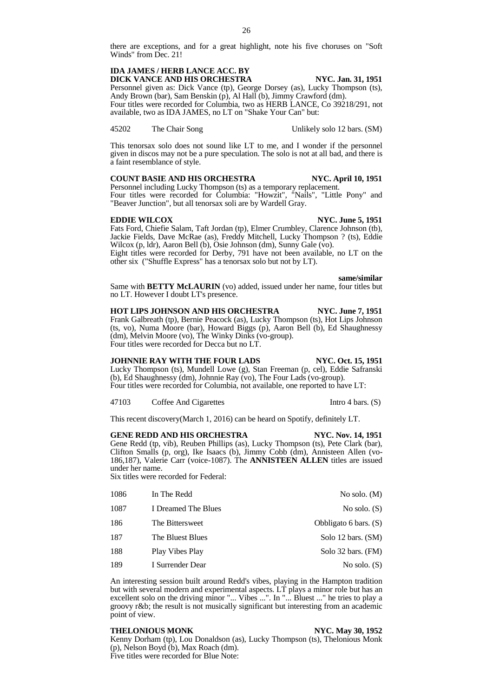there are exceptions, and for a great highlight, note his five choruses on "Soft Winds" from Dec. 21!

# **IDA JAMES / HERB LANCE ACC. BY DICK VANCE AND HIS ORCHESTRA NYC. Jan. 31, 1951**

Personnel given as: Dick Vance (tp), George Dorsey (as), Lucky Thompson (ts), Andy Brown (bar), Sam Benskin (p), Al Hall (b), Jimmy Crawford (dm). Four titles were recorded for Columbia, two as HERB LANCE, Co 39218/291, not available, two as IDA JAMES, no LT on "Shake Your Can" but:

45202 The Chair Song Unlikely solo 12 bars. (SM)

This tenorsax solo does not sound like LT to me, and I wonder if the personnel given in discos may not be a pure speculation. The solo is not at all bad, and there is a faint resemblance of style.

# **COUNT BASIE AND HIS ORCHESTRA NYC. April 10, 1951**

Personnel including Lucky Thompson (ts) as a temporary replacement. Four titles were recorded for Columbia: "Howzit", "Nails", "Little Pony" and "Beaver Junction", but all tenorsax soli are by Wardell Gray.

# **EDDIE WILCOX NYC. June 5, 1951**

Fats Ford, Chiefie Salam, Taft Jordan (tp), Elmer Crumbley, Clarence Johnson (tb), Jackie Fields, Dave McRae (as), Freddy Mitchell, Lucky Thompson ? (ts), Eddie Wilcox (p, ldr), Aaron Bell (b), Osie Johnson (dm), Sunny Gale (vo). Eight titles were recorded for Derby, 791 have not been available, no LT on the

other six ("Shuffle Express" has a tenorsax solo but not by LT).

**same/similar**

Same with **BETTY McLAURIN** (vo) added, issued under her name, four titles but no LT. However I doubt LT's presence.

**HOT LIPS JOHNSON AND HIS ORCHESTRA NYC. June 7, 1951** Frank Galbreath (tp), Bernie Peacock (as), Lucky Thompson (ts), Hot Lips Johnson (ts, vo), Numa Moore (bar), Howard Biggs (p), Aaron Bell (b), Ed Shaughnessy (dm), Melvin Moore (vo), The Winky Dinks (vo-group). Four titles were recorded for Decca but no LT.

# **JOHNNIE RAY WITH THE FOUR LADS NYC. Oct. 15, 1951**

Lucky Thompson (ts), Mundell Lowe (g), Stan Freeman (p, cel), Eddie Safranski (b), Ed Shaughnessy (dm), Johnnie Ray (vo), The Four Lads (vo-group). Four titles were recorded for Columbia, not available, one reported to have LT:

47103 Coffee And Cigarettes Intro 4 bars. (S)

This recent discovery(March 1, 2016) can be heard on Spotify, definitely LT.

**GENE REDD AND HIS ORCHESTRA NYC. Nov. 14, 1951** Gene Redd (tp, vib), Reuben Phillips (as), Lucky Thompson (ts), Pete Clark (bar), Clifton Smalls (p, org), Ike Isaacs (b), Jimmy Cobb (dm), Annisteen Allen (vo-186,187), Valerie Carr (voice-1087). The **ANNISTEEN ALLEN** titles are issued under her name.

Six titles were recorded for Federal:

| 1086 | In The Redd         | No solo. $(M)$          |
|------|---------------------|-------------------------|
| 1087 | I Dreamed The Blues | No solo. $(S)$          |
| 186  | The Bittersweet     | Obbligato 6 bars. $(S)$ |
| 187  | The Bluest Blues    | Solo 12 bars. (SM)      |
| 188  | Play Vibes Play     | Solo 32 bars. (FM)      |
| 189  | I Surrender Dear    | No solo. $(S)$          |

An interesting session built around Redd's vibes, playing in the Hampton tradition but with several modern and experimental aspects. LT plays a minor role but has an excellent solo on the driving minor "... Vibes ...". In "... Bluest ..." he tries to play a groovy r&b; the result is not musically significant but interesting from an academic point of view.

# **THELONIOUS MONK NYC. May 30, 1952**

Kenny Dorham (tp), Lou Donaldson (as), Lucky Thompson (ts), Thelonious Monk (p), Nelson Boyd (b), Max Roach (dm). Five titles were recorded for Blue Note: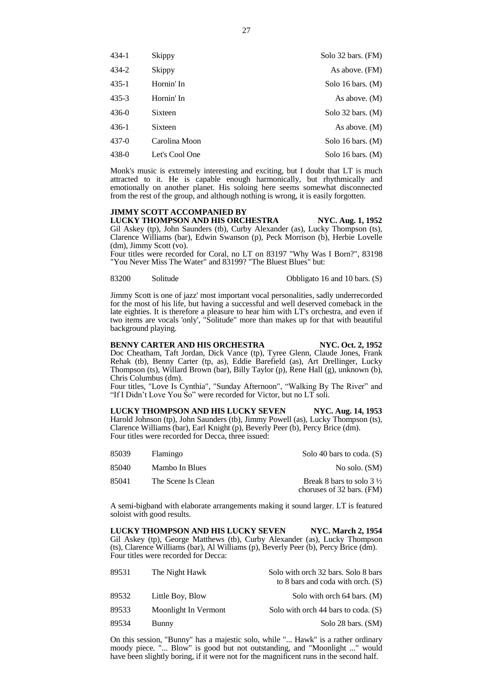| $434-1$   | Skippy         | Solo 32 bars. (FM)    |
|-----------|----------------|-----------------------|
| 434-2     | Skippy         | As above. (FM)        |
| $435 - 1$ | Hornin' In     | Solo 16 bars. $(M)$   |
| $435 - 3$ | Hornin' In     | As above. $(M)$       |
| $436-0$   | Sixteen        | Solo $32$ bars. $(M)$ |
| 436-1     | Sixteen        | As above. $(M)$       |
| $437-0$   | Carolina Moon  | Solo 16 bars. $(M)$   |
| 438-0     | Let's Cool One | Solo 16 bars. $(M)$   |

Monk's music is extremely interesting and exciting, but I doubt that LT is much attracted to it. He is capable enough harmonically, but rhythmically and emotionally on another planet. His soloing here seems somewhat disconnected from the rest of the group, and although nothing is wrong, it is easily forgotten.

# **JIMMY SCOTT ACCOMPANIED BY**

**LUCKY THOMPSON AND HIS ORCHESTRA NYC. Aug. 1, 1952** Gil Askey (tp), John Saunders (tb), Curby Alexander (as), Lucky Thompson (ts), Clarence Williams (bar), Edwin Swanson (p), Peck Morrison (b), Herbie Lovelle (dm), Jimmy Scott (vo).

Four titles were recorded for Coral, no LT on 83197 "Why Was I Born?", 83198 "You Never Miss The Water" and 83199? "The Bluest Blues" but:

83200 Solitude Obbligato 16 and 10 bars. (S)

Jimmy Scott is one of jazz' most important vocal personalities, sadly underrecorded for the most of his life, but having a successful and well deserved comeback in the late eighties. It is therefore a pleasure to hear him with LT's orchestra, and even if two items are vocals 'only', "Solitude" more than makes up for that with beautiful background playing.

# **BENNY CARTER AND HIS ORCHESTRA NYC. Oct. 2, 1952**

Doc Cheatham, Taft Jordan, Dick Vance (tp), Tyree Glenn, Claude Jones, Frank Rehak (tb), Benny Carter (tp, as), Eddie Barefield (as), Art Drellinger, Lucky Thompson (ts), Willard Brown (bar), Billy Taylor (p), Rene Hall (g), unknown (b), Chris Columbus (dm).

Four titles, "Love Is Cynthia", "Sunday Afternoon", "Walking By The River" and "If I Didn't Love You So" were recorded for Victor, but no LT soli.

**LUCKY THOMPSON AND HIS LUCKY SEVEN NYC. Aug. 14, 1953** Harold Johnson (tp), John Saunders (tb), Jimmy Powell (as), Lucky Thompson (ts), Clarence Williams (bar), Earl Knight (p), Beverly Peer (b), Percy Brice (dm). Four titles were recorded for Decca, three issued:

| Solo 40 bars to coda. $(S)$                                      | Flamingo           | 85039 |
|------------------------------------------------------------------|--------------------|-------|
| No solo. (SM)                                                    | Mambo In Blues     | 85040 |
| Break 8 bars to solo $3\frac{1}{2}$<br>choruses of 32 bars. (FM) | The Scene Is Clean | 85041 |

A semi-bigband with elaborate arrangements making it sound larger. LT is featured soloist with good results.

**LUCKY THOMPSON AND HIS LUCKY SEVEN NYC. March 2, 1954** Gil Askey (tp), George Matthews (tb), Curby Alexander (as), Lucky Thompson (ts), Clarence Williams (bar), Al Williams (p), Beverly Peer (b), Percy Brice (dm). Four titles were recorded for Decca:

| 89531 | The Night Hawk       | Solo with orch 32 bars. Solo 8 bars<br>to 8 bars and coda with orch. $(S)$ |
|-------|----------------------|----------------------------------------------------------------------------|
| 89532 | Little Boy, Blow     | Solo with orch 64 bars. (M)                                                |
| 89533 | Moonlight In Vermont | Solo with orch 44 bars to coda. $(S)$                                      |
| 89534 | <b>Bunny</b>         | Solo 28 bars. (SM)                                                         |

On this session, "Bunny" has a majestic solo, while "... Hawk" is a rather ordinary moody piece. "... Blow" is good but not outstanding, and "Moonlight ..." would have been slightly boring, if it were not for the magnificent runs in the second half.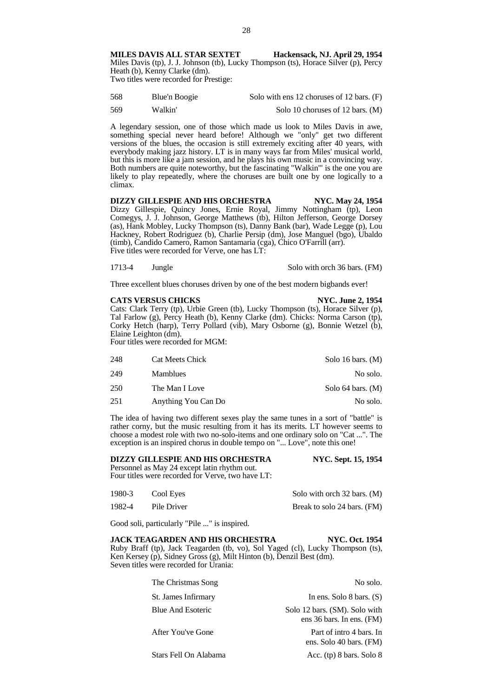**MILES DAVIS ALL STAR SEXTET Hackensack, NJ. April 29, 1954** Miles Davis (tp), J. J. Johnson (tb), Lucky Thompson (ts), Horace Silver (p), Percy Heath (b), Kenny Clarke (dm). Two titles were recorded for Prestige:

| 568 | Blue'n Boogie | Solo with ens 12 choruses of 12 bars. (F) |
|-----|---------------|-------------------------------------------|
| 569 | Walkin'       | Solo 10 choruses of 12 bars. (M)          |

A legendary session, one of those which made us look to Miles Davis in awe, something special never heard before! Although we "only" get two different versions of the blues, the occasion is still extremely exciting after 40 years, with everybody making jazz history. LT is in many ways far from Miles' musical world, but this is more like a jam session, and he plays his own music in a convincing way. Both numbers are quite noteworthy, but the fascinating "Walkin'" is the one you are likely to play repeatedly, where the choruses are built one by one logically to a climax.

**DIZZY GILLESPIE AND HIS ORCHESTRA NYC. May 24, 1954** Dizzy Gillespie, Quincy Jones, Ernie Royal, Jimmy Nottingham (tp), Leon Comegys, J. J. Johnson, George Matthews (tb), Hilton Jefferson, George Dorsey (as), Hank Mobley, Lucky Thompson (ts), Danny Bank (bar), Wade Legge (p), Lou Hackney, Robert Rodriguez (b), Charlie Persip (dm), Jose Manguel (bgo), Ubaldo (timb), Candido Camero, Ramon Santamaria (cga), Chico O'Farrill (arr). Five titles were recorded for Verve, one has LT:

1713-4 Jungle Solo with orch 36 bars. (FM)

Three excellent blues choruses driven by one of the best modern bigbands ever!

### **CATS VERSUS CHICKS NYC. June 2, 1954**

Cats: Clark Terry (tp), Urbie Green (tb), Lucky Thompson (ts), Horace Silver (p), Tal Farlow (g), Percy Heath (b), Kenny Clarke (dm). Chicks: Norma Carson (tp), Corky Hetch (harp), Terry Pollard (vib), Mary Osborne (g), Bonnie Wetzel (b), Elaine Leighton (dm).

Four titles were recorded for MGM:

| 248 | Cat Meets Chick     | Solo 16 bars. $(M)$   |
|-----|---------------------|-----------------------|
| 249 | <b>Mamblues</b>     | No solo.              |
| 250 | The Man I Love      | Solo $64$ bars. $(M)$ |
| 251 | Anything You Can Do | No solo.              |

The idea of having two different sexes play the same tunes in a sort of "battle" is rather corny, but the music resulting from it has its merits. LT however seems to choose a modest role with two no-solo-items and one ordinary solo on "Cat ...". The exception is an inspired chorus in double tempo on "... Love", note this one!

**DIZZY GILLESPIE AND HIS ORCHESTRA NYC. Sept. 15, 1954** Personnel as May 24 except latin rhythm out. Four titles were recorded for Verve, two have LT: 1980-3 Cool Eyes Solo with orch 32 bars. (M)

| 1982-4 | Pile Driver | Break to solo 24 bars. (FM) |  |
|--------|-------------|-----------------------------|--|

Good soli, particularly "Pile ..." is inspired.

# **JACK TEAGARDEN AND HIS ORCHESTRA NYC. Oct. 1954** Ruby Braff (tp), Jack Teagarden (tb, vo), Sol Yaged (cl), Lucky Thompson (ts), Ken Kersey (p), Sidney Gross (g), Milt Hinton (b), Denzil Best (dm). Seven titles were recorded for Urania:

| The Christmas Song       | No solo.                                                   |
|--------------------------|------------------------------------------------------------|
| St. James Infirmary      | In ens. Solo $8$ bars. $(S)$                               |
| <b>Blue And Esoteric</b> | Solo 12 bars. (SM). Solo with<br>ens 36 bars. In ens. (FM) |
| After You've Gone        | Part of intro 4 bars. In<br>ens. Solo 40 bars. (FM)        |
| Stars Fell On Alabama    | Acc. $(tp)$ 8 bars. Solo 8                                 |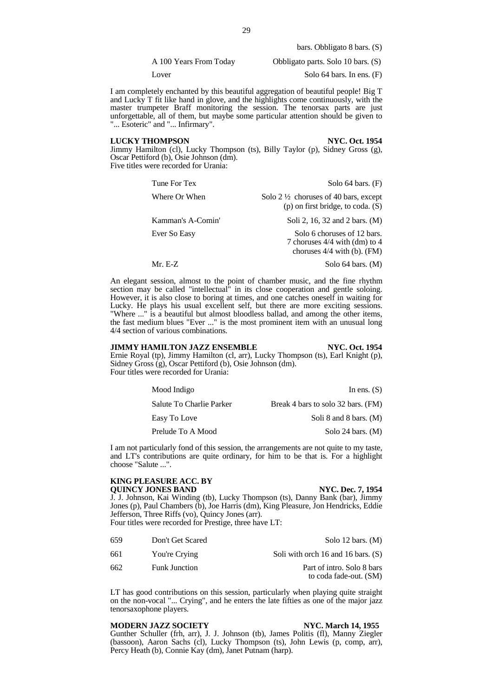bars. Obbligato 8 bars. (S)

A 100 Years From Today Obbligato parts. Solo 10 bars. (S)

Lover Solo 64 bars. In ens. (F)

I am completely enchanted by this beautiful aggregation of beautiful people! Big T and Lucky T fit like hand in glove, and the highlights come continuously, with the master trumpeter Braff monitoring the session. The tenorsax parts are just unforgettable, all of them, but maybe some particular attention should be given to "... Esoteric" and "... Infirmary".

# **LUCKY THOMPSON NYC. Oct. 1954**

Jimmy Hamilton (cl), Lucky Thompson (ts), Billy Taylor (p), Sidney Gross (g), Oscar Pettiford (b), Osie Johnson (dm). Five titles were recorded for Urania:

| Tune For Tex      | Solo $64$ bars. $(F)$                                                                           |
|-------------------|-------------------------------------------------------------------------------------------------|
| Where Or When     | Solo $2\frac{1}{2}$ choruses of 40 bars, except<br>$(p)$ on first bridge, to coda. $(S)$        |
| Kamman's A-Comin' | Soli 2, 16, 32 and 2 bars. (M)                                                                  |
| Ever So Easy      | Solo 6 choruses of 12 bars.<br>7 choruses $4/4$ with (dm) to 4<br>choruses $4/4$ with (b). (FM) |
| Mr. $E-Z$         | Solo 64 bars. $(M)$                                                                             |

An elegant session, almost to the point of chamber music, and the fine rhythm section may be called "intellectual" in its close cooperation and gentle soloing. However, it is also close to boring at times, and one catches oneself in waiting for Lucky. He plays his usual excellent self, but there are more exciting sessions. "Where ..." is a beautiful but almost bloodless ballad, and among the other items, the fast medium blues "Ever ..." is the most prominent item with an unusual long 4/4 section of various combinations.

# **JIMMY HAMILTON JAZZ ENSEMBLE NYC. Oct. 1954**

Ernie Royal (tp), Jimmy Hamilton (cl, arr), Lucky Thompson (ts), Earl Knight (p), Sidney Gross (g), Oscar Pettiford (b), Osie Johnson (dm). Four titles were recorded for Urania:

| Mood Indigo              | In ens. $(S)$                      |
|--------------------------|------------------------------------|
| Salute To Charlie Parker | Break 4 bars to solo 32 bars. (FM) |
| Easy To Love             | Soli 8 and 8 bars. $(M)$           |
| Prelude To A Mood        | Solo 24 bars. $(M)$                |

I am not particularly fond of this session, the arrangements are not quite to my taste, and LT's contributions are quite ordinary, for him to be that is. For a highlight choose "Salute ...".

# **KING PLEASURE ACC. BY**

**QUINCY JONES BAND NYC. Dec. 7, 1954** J. J. Johnson, Kai Winding (tb), Lucky Thompson (ts), Danny Bank (bar), Jimmy Jones (p), Paul Chambers (b), Joe Harris (dm), King Pleasure, Jon Hendricks, Eddie Jefferson, Three Riffs (vo), Quincy Jones (arr).

Four titles were recorded for Prestige, three have LT:

| 659  | Don't Get Scared     | Solo 12 bars. $(M)$                                  |
|------|----------------------|------------------------------------------------------|
| 661  | You're Crying        | Soli with orch 16 and 16 bars. $(S)$                 |
| 662. | <b>Funk Junction</b> | Part of intro. Solo 8 bars<br>to coda fade-out. (SM) |

LT has good contributions on this session, particularly when playing quite straight on the non-vocal "... Crying", and he enters the late fifties as one of the major jazz tenorsaxophone players.

# **MODERN JAZZ SOCIETY NYC. March 14, 1955**

Gunther Schuller (frh, arr), J. J. Johnson (tb), James Politis (fl), Manny Ziegler (bassoon), Aaron Sachs (cl), Lucky Thompson (ts), John Lewis (p, comp, arr), Percy Heath (b), Connie Kay (dm), Janet Putnam (harp).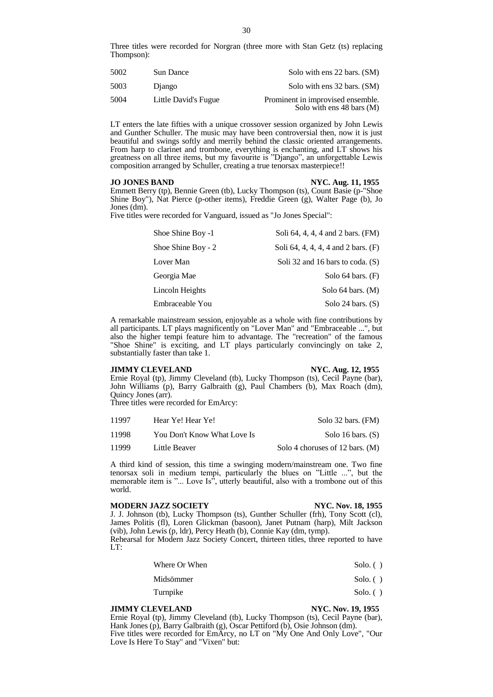Three titles were recorded for Norgran (three more with Stan Getz (ts) replacing Thompson):

| 5002 | Sun Dance            | Solo with ens 22 bars. (SM)                                              |
|------|----------------------|--------------------------------------------------------------------------|
| 5003 | Diango               | Solo with ens 32 bars. (SM)                                              |
| 5004 | Little David's Fugue | Prominent in improvised ensemble.<br>Solo with ens $48 \text{ bars}$ (M) |

LT enters the late fifties with a unique crossover session organized by John Lewis and Gunther Schuller. The music may have been controversial then, now it is just beautiful and swings softly and merrily behind the classic oriented arrangements. From harp to clarinet and trombone, everything is enchanting, and LT shows his greatness on all three items, but my favourite is "Django", an unforgettable Lewis composition arranged by Schuller, creating a true tenorsax masterpiece!!

# **JO JONES BAND NYC. Aug. 11, 1955**

Emmett Berry (tp), Bennie Green (tb), Lucky Thompson (ts), Count Basie (p-"Shoe Shine Boy"), Nat Pierce (p-other items), Freddie Green (g), Walter Page (b), Jo Jones (dm).

Five titles were recorded for Vanguard, issued as "Jo Jones Special":

| Shoe Shine Boy -1  | Soli 64, 4, 4, 4 and 2 bars. (FM)   |
|--------------------|-------------------------------------|
| Shoe Shine Boy - 2 | Soli 64, 4, 4, 4, 4 and 2 bars. (F) |
| Lover Man          | Soli 32 and 16 bars to coda. $(S)$  |
| Georgia Mae        | Solo $64$ bars. $(F)$               |
| Lincoln Heights    | Solo $64$ bars. $(M)$               |
| Embraceable You    | Solo 24 bars. $(S)$                 |

A remarkable mainstream session, enjoyable as a whole with fine contributions by all participants. LT plays magnificently on "Lover Man" and "Embraceable ...", but also the higher tempi feature him to advantage. The "recreation" of the famous "Shoe Shine" is exciting, and LT plays particularly convincingly on take 2, substantially faster than take 1.

## **JIMMY CLEVELAND NYC. Aug. 12, 1955**

Ernie Royal (tp), Jimmy Cleveland (tb), Lucky Thompson (ts), Cecil Payne (bar), John Williams (p), Barry Galbraith (g), Paul Chambers (b), Max Roach (dm), Quincy Jones (arr).

Three titles were recorded for EmArcy:

| 11997 | Hear Ye! Hear Ye!           | Solo 32 bars. (FM)                |
|-------|-----------------------------|-----------------------------------|
| 11998 | You Don't Know What Love Is | Solo 16 bars. $(S)$               |
| 11999 | Little Beaver               | Solo 4 choruses of 12 bars. $(M)$ |

A third kind of session, this time a swinging modern/mainstream one. Two fine tenorsax soli in medium tempi, particularly the blues on "Little ...", but the memorable item is "... Love Is", utterly beautiful, also with a trombone out of this world.

### **MODERN JAZZ SOCIETY NYC. Nov. 18, 1955**

J. J. Johnson (tb), Lucky Thompson (ts), Gunther Schuller (frh), Tony Scott (cl), James Politis (fl), Loren Glickman (basoon), Janet Putnam (harp), Milt Jackson (vib), John Lewis (p, ldr), Percy Heath (b), Connie Kay (dm, tymp).

Rehearsal for Modern Jazz Society Concert, thirteen titles, three reported to have LT:

| Where Or When | $Solo.$ () |
|---------------|------------|
|---------------|------------|

| Midsömmer | Solo. $( )$ |
|-----------|-------------|
|           |             |

Turnpike Solo. ( )

# **JIMMY CLEVELAND NYC. Nov. 19, 1955**

Ernie Royal (tp), Jimmy Cleveland (tb), Lucky Thompson (ts), Cecil Payne (bar), Hank Jones (p), Barry Galbraith (g), Oscar Pettiford (b), Osie Johnson (dm). Five titles were recorded for EmArcy, no LT on "My One And Only Love", "Our Love Is Here To Stay" and "Vixen" but: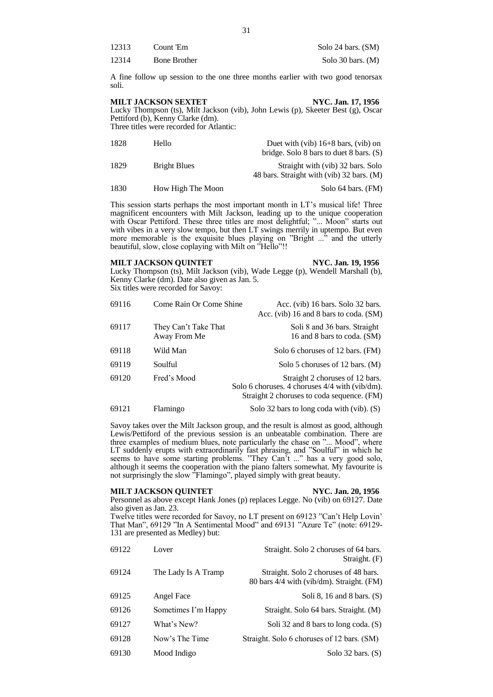| 12313 | Count 'Em           | Solo 24 bars. (SM)  |
|-------|---------------------|---------------------|
| 12314 | <b>Bone Brother</b> | Solo 30 bars. $(M)$ |

A fine follow up session to the one three months earlier with two good tenorsax soli.

**MILT JACKSON SEXTET NYC. Jan. 17, 1956**

Lucky Thompson (ts), Milt Jackson (vib), John Lewis (p), Skeeter Best (g), Oscar Pettiford (b), Kenny Clarke (dm). Three titles were recorded for Atlantic:

| 1828 | Hello             | Duet with (vib) $16+8$ bars, (vib) on<br>bridge. Solo 8 bars to duet 8 bars. $(S)$ |
|------|-------------------|------------------------------------------------------------------------------------|
| 1829 | Bright Blues      | Straight with (vib) 32 bars. Solo<br>48 bars. Straight with (vib) 32 bars. (M)     |
| 1830 | How High The Moon | Solo 64 bars. (FM)                                                                 |

This session starts perhaps the most important month in LT's musical life! Three magnificent encounters with Milt Jackson, leading up to the unique cooperation with Oscar Pettiford. These three titles are most delightful; "... Moon" starts out with vibes in a very slow tempo, but then LT swings merrily in uptempo. But even more memorable is the exquisite blues playing on "Bright ..." and the utterly beautiful, slow, close coplaying with Milt on "Hello"!!

# **MILT JACKSON QUINTET NYC. Jan. 19, 1956**

Lucky Thompson (ts), Milt Jackson (vib), Wade Legge (p), Wendell Marshall (b), Kenny Clarke (dm). Date also given as Jan. 5. Six titles were recorded for Savoy:

| 69116 | Come Rain Or Come Shine              | Acc. (vib) 16 bars. Solo 32 bars.<br>Acc. (vib) 16 and 8 bars to coda. (SM)                                                       |
|-------|--------------------------------------|-----------------------------------------------------------------------------------------------------------------------------------|
| 69117 | They Can't Take That<br>Away From Me | Soli 8 and 36 bars. Straight<br>16 and 8 bars to coda. (SM)                                                                       |
| 69118 | Wild Man                             | Solo 6 choruses of 12 bars. (FM)                                                                                                  |
| 69119 | Soulful                              | Solo 5 choruses of 12 bars. $(M)$                                                                                                 |
| 69120 | Fred's Mood                          | Straight 2 choruses of 12 bars.<br>Solo 6 choruses. 4 choruses $4/4$ with (vib/dm).<br>Straight 2 choruses to coda sequence. (FM) |
| 69121 | Flamingo                             | Solo 32 bars to long coda with (vib). $(S)$                                                                                       |

Savoy takes over the Milt Jackson group, and the result is almost as good, although Lewis/Pettiford of the previous session is an unbeatable combination. There are three examples of medium blues, note particularly the chase on "... Mood", where LT suddenly erupts with extraordinarily fast phrasing, and "Soulful" in which he seems to have some starting problems. "They Can't ..." has a very good solo, although it seems the cooperation with the piano falters somewhat. My favourite is not surprisingly the slow "Flamingo", played simply with great beauty.

# **MILT JACKSON QUINTET NYC. Jan. 20, 1956**

Personnel as above except Hank Jones (p) replaces Legge. No (vib) on 69127. Date also given as Jan. 23.

Twelve titles were recorded for Savoy, no LT present on 69123 "Can't Help Lovin' That Man", 69129 "In A Sentimental Mood" and 69131 "Azure Te" (note: 69129- 131 are presented as Medley) but:

| 69122 | Lover               | Straight. Solo 2 choruses of 64 bars.<br>Straight. (F)                             |
|-------|---------------------|------------------------------------------------------------------------------------|
| 69124 | The Lady Is A Tramp | Straight. Solo 2 choruses of 48 bars.<br>80 bars 4/4 with (vib/dm). Straight. (FM) |
| 69125 | Angel Face          | Soli 8, 16 and 8 bars. $(S)$                                                       |
| 69126 | Sometimes I'm Happy | Straight. Solo 64 bars. Straight. (M)                                              |
| 69127 | What's New?         | Soli 32 and 8 bars to long coda. (S)                                               |
| 69128 | Now's The Time      | Straight. Solo 6 choruses of 12 bars. (SM)                                         |
| 69130 | Mood Indigo         | Solo $32$ bars. $(S)$                                                              |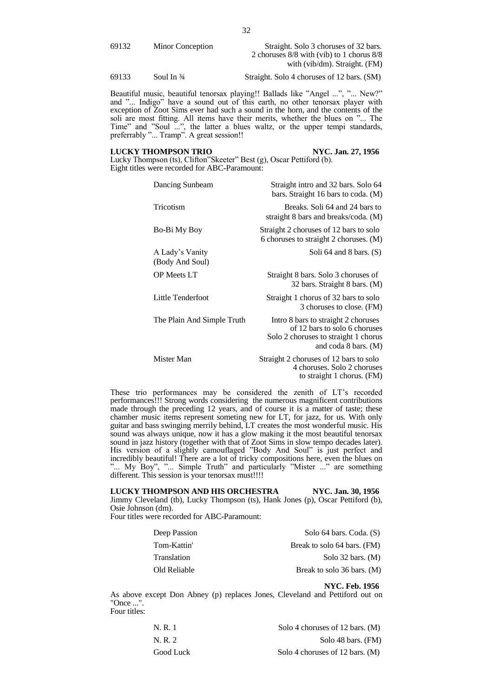69132 Minor Conception Straight. Solo 3 choruses of 32 bars. 2 choruses 8/8 with (vib) to 1 chorus 8/8 with (vib/dm). Straight. (FM)

69133 Soul In ¾ Straight. Solo 4 choruses of 12 bars. (SM)

Beautiful music, beautiful tenorsax playing!! Ballads like "Angel ...", "... New?" and "... Indigo" have a sound out of this earth, no other tenorsax player with exception of Zoot Sims ever had such a sound in the horn, and the contents of the soli are most fitting. All items have their merits, whether the blues on "... The Time" and "Soul ...", the latter a blues waltz, or the upper tempi standards, preferrably "... Tramp". A great session!!

### **LUCKY THOMPSON TRIO NYC. Jan. 27, 1956**

Lucky Thompson (ts), Clifton"Skeeter" Best (g), Oscar Pettiford (b). Eight titles were recorded for ABC-Paramount:

| Dancing Sunbeam                    | Straight intro and 32 bars. Solo 64<br>bars. Straight 16 bars to coda. (M)                                                                     |
|------------------------------------|------------------------------------------------------------------------------------------------------------------------------------------------|
| Tricotism                          | Breaks. Soli 64 and 24 bars to<br>straight 8 bars and breaks/coda. (M)                                                                         |
| Bo-Bi My Boy                       | Straight 2 choruses of 12 bars to solo<br>6 choruses to straight 2 choruses. (M)                                                               |
| A Lady's Vanity<br>(Body And Soul) | Soli 64 and 8 bars. $(S)$                                                                                                                      |
| <b>OP</b> Meets LT                 | Straight 8 bars. Solo 3 choruses of<br>32 bars. Straight 8 bars. (M)                                                                           |
| Little Tenderfoot                  | Straight 1 chorus of 32 bars to solo<br>3 choruses to close. (FM)                                                                              |
| The Plain And Simple Truth         | Intro 8 bars to straight 2 choruses<br>of 12 bars to solo 6 choruses<br>Solo 2 choruses to straight 1 chorus<br>and coda $8 \text{ bars.}$ (M) |
| Mister Man                         | Straight 2 choruses of 12 bars to solo<br>4 choruses. Solo 2 choruses<br>to straight 1 chorus. (FM)                                            |

These trio performances may be considered the zenith of LT's recorded performances!!! Strong words considering the numerous magnificent contributions made through the preceding 12 years, and of course it is a matter of taste; these chamber music items represent someting new for LT, for jazz, for us. With only guitar and bass swinging merrily behind, LT creates the most wonderful music. His sound was always unique, now it has a glow making it the most beautiful tenorsax sound in jazz history (together with that of Zoot Sims in slow tempo decades later). His version of a slightly camouflaged "Body And Soul" is just perfect and incredibly beautiful! There are a lot of tricky compositions here, even the blues on "... My Boy", "... Simple Truth" and particularly "Mister ..." are something different. This session is your tenorsax must!!!!

# **LUCKY THOMPSON AND HIS ORCHESTRA NYC. Jan. 30, 1956** Jimmy Cleveland (tb), Lucky Thompson (ts), Hank Jones (p), Oscar Pettiford (b), Osie Johnson (dm).

Four titles were recorded for ABC-Paramount:

| Deep Passion | Solo 64 bars. Coda. (S)     |
|--------------|-----------------------------|
| Tom-Kattin'  | Break to solo 64 bars. (FM) |
| Translation  | Solo 32 bars. $(M)$         |
| Old Reliable | Break to solo 36 bars. (M)  |

**NYC. Feb. 1956**

As above except Don Abney (p) replaces Jones, Cleveland and Pettiford out on "Once ..." Four titles:

| N. R. 1   | Solo 4 choruses of 12 bars. (M)   |
|-----------|-----------------------------------|
| N. R. 2   | Solo 48 bars. (FM)                |
| Good Luck | Solo 4 choruses of 12 bars. $(M)$ |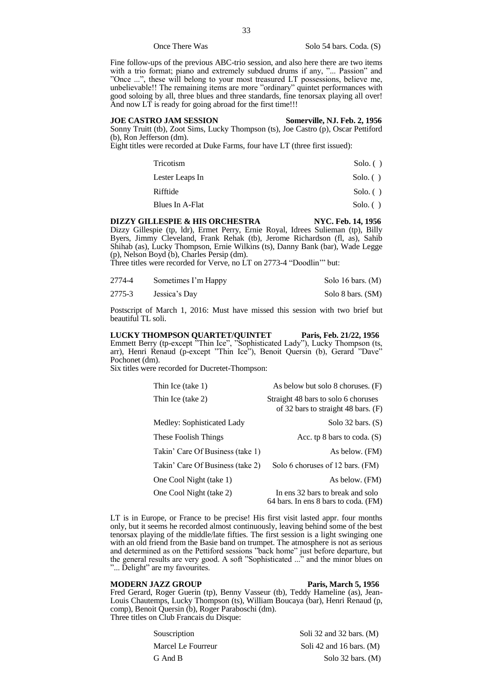# Once There Was Solo 54 bars. Coda. (S)

Fine follow-ups of the previous ABC-trio session, and also here there are two items with a trio format; piano and extremely subdued drums if any, "... Passion" and "Once ...", these will belong to your most treasured LT possessions, believe me, unbelievable!! The remaining items are more "ordinary" quintet performances with good soloing by all, three blues and three standards, fine tenorsax playing all over! And now LT is ready for going abroad for the first time!!!

# **JOE CASTRO JAM SESSION Somerville, NJ. Feb. 2, 1956**

Sonny Truitt (tb), Zoot Sims, Lucky Thompson (ts), Joe Castro (p), Oscar Pettiford (b), Ron Jefferson (dm).

Eight titles were recorded at Duke Farms, four have LT (three first issued):

| Tricotism       | Solo. $()$  |
|-----------------|-------------|
| Lester Leaps In | $Solo.$ ( ) |
| Rifftide        | Solo. $()$  |
| Blues In A-Flat | Solo. $()$  |

# DIZZY GILLESPIE & HIS ORCHESTRA NYC. Feb. 14, 1956

Dizzy Gillespie (tp, ldr), Ermet Perry, Ernie Royal, Idrees Sulieman (tp), Billy Byers, Jimmy Cleveland, Frank Rehak (tb), Jerome Richardson (fl, as), Sahib Shihab (as), Lucky Thompson, Ernie Wilkins (ts), Danny Bank (bar), Wade Legge (p), Nelson Boyd (b), Charles Persip (dm).

Three titles were recorded for Verve, no LT on 2773-4 "Doodlin'" but:

| 2774-4 | Sometimes I'm Happy | Solo 16 bars. (M) |
|--------|---------------------|-------------------|
| 2775-3 | Jessica's Day       | Solo 8 bars. (SM) |

Postscript of March 1, 2016: Must have missed this session with two brief but beautiful TL soli.

**LUCKY THOMPSON QUARTET/QUINTET Paris, Feb. 21/22, 1956** Emmett Berry (tp-except "Thin Ice", "Sophisticated Lady"), Lucky Thompson (ts, arr), Henri Renaud (p-except "Thin Ice"), Benoit Quersin (b), Gerard "Dave" Pochonet (dm).

Six titles were recorded for Ducretet-Thompson:

| Thin Ice (take 1)                | As below but solo 8 choruses. (F)                                            |
|----------------------------------|------------------------------------------------------------------------------|
| Thin Ice (take 2)                | Straight 48 bars to solo 6 choruses<br>of 32 bars to straight 48 bars. $(F)$ |
| Medley: Sophisticated Lady       | Solo $32$ bars. $(S)$                                                        |
| These Foolish Things             | Acc. tp $8$ bars to coda. $(S)$                                              |
| Takin' Care Of Business (take 1) | As below. (FM)                                                               |
| Takin' Care Of Business (take 2) | Solo 6 choruses of 12 bars. (FM)                                             |
| One Cool Night (take 1)          | As below. (FM)                                                               |
| One Cool Night (take 2)          | In ens 32 bars to break and solo<br>64 bars. In ens 8 bars to coda. (FM)     |

LT is in Europe, or France to be precise! His first visit lasted appr. four months only, but it seems he recorded almost continuously, leaving behind some of the best tenorsax playing of the middle/late fifties. The first session is a light swinging one with an old friend from the Basie band on trumpet. The atmosphere is not as serious and determined as on the Pettiford sessions "back home" just before departure, but the general results are very good. A soft "Sophisticated ..." and the minor blues on "... Delight" are my favourites.

# **MODERN JAZZ GROUP Paris, March 5, 1956**

Fred Gerard, Roger Guerin (tp), Benny Vasseur (tb), Teddy Hameline (as), Jean-Louis Chautemps, Lucky Thompson (ts), William Boucaya (bar), Henri Renaud (p, comp), Benoit Quersin (b), Roger Paraboschi (dm). Three titles on Club Francais du Disque:

| Soli 32 and 32 bars. $(M)$ |
|----------------------------|
| Soli 42 and 16 bars. $(M)$ |
| Solo 32 bars. $(M)$        |
|                            |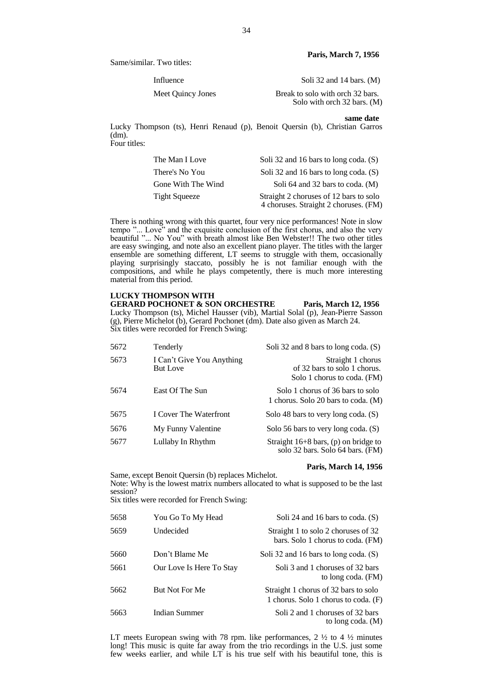Same/similar. Two titles:

Influence Soli 32 and 14 bars. (M)

Meet Quincy Jones Break to solo with orch 32 bars. Solo with orch 32 bars. (M)

**same date**

Lucky Thompson (ts), Henri Renaud (p), Benoit Quersin (b), Christian Garros (dm). Four titles:

| The Man I Love       | Soli 32 and 16 bars to long coda. (S)  |
|----------------------|----------------------------------------|
| There's No You       | Soli 32 and 16 bars to long coda. (S)  |
| Gone With The Wind   | Soli 64 and 32 bars to coda. (M)       |
| <b>Tight Squeeze</b> | Straight 2 choruses of 12 bars to solo |
|                      | 4 choruses. Straight 2 choruses. (FM)  |

There is nothing wrong with this quartet, four very nice performances! Note in slow tempo "... Love" and the exquisite conclusion of the first chorus, and also the very beautiful "... No You" with breath almost like Ben Webster!! The two other titles are easy swinging, and note also an excellent piano player. The titles with the larger ensemble are something different, LT seems to struggle with them, occasionally playing surprisingly staccato, possibly he is not familiar enough with the compositions, and while he plays competently, there is much more interesting material from this period.

# **LUCKY THOMPSON WITH**

**GERARD POCHONET & SON ORCHESTRE Paris, March 12, 1956** Lucky Thompson (ts), Michel Hausser (vib), Martial Solal (p), Jean-Pierre Sasson (g), Pierre Michelot (b), Gerard Pochonet (dm). Date also given as March 24. Six titles were recorded for French Swing:

| 5672 | Tenderly                                     | Soli 32 and 8 bars to long coda. (S)                                             |
|------|----------------------------------------------|----------------------------------------------------------------------------------|
| 5673 | I Can't Give You Anything<br><b>But Love</b> | Straight 1 chorus<br>of 32 bars to solo 1 chorus.<br>Solo 1 chorus to coda. (FM) |
| 5674 | East Of The Sun                              | Solo 1 chorus of 36 bars to solo<br>1 chorus. Solo 20 bars to coda. (M)          |
| 5675 | I Cover The Waterfront                       | Solo 48 bars to very long coda. (S)                                              |
| 5676 | My Funny Valentine                           | Solo 56 bars to very long coda. (S)                                              |
| 5677 | Lullaby In Rhythm                            | Straight 16+8 bars, (p) on bridge to<br>solo 32 bars. Solo 64 bars. (FM)         |

# **Paris, March 14, 1956**

Same, except Benoit Quersin (b) replaces Michelot. Note: Why is the lowest matrix numbers allocated to what is supposed to be the last session?

Six titles were recorded for French Swing:

| 5658 | You Go To My Head        | Soli 24 and 16 bars to coda. $(S)$                                           |
|------|--------------------------|------------------------------------------------------------------------------|
| 5659 | Undecided                | Straight 1 to solo 2 choruses of 32<br>bars. Solo 1 chorus to coda. (FM)     |
| 5660 | Don't Blame Me           | Soli 32 and 16 bars to long coda. (S)                                        |
| 5661 | Our Love Is Here To Stay | Soli 3 and 1 choruses of 32 bars<br>to long coda. (FM)                       |
| 5662 | But Not For Me           | Straight 1 chorus of 32 bars to solo<br>1 chorus. Solo 1 chorus to coda. (F) |
| 5663 | Indian Summer            | Soli 2 and 1 choruses of 32 bars<br>to long coda. $(M)$                      |

LT meets European swing with 78 rpm. like performances,  $2 \frac{1}{2}$  to  $4 \frac{1}{2}$  minutes long! This music is quite far away from the trio recordings in the U.S. just some few weeks earlier, and while LT is his true self with his beautiful tone, this is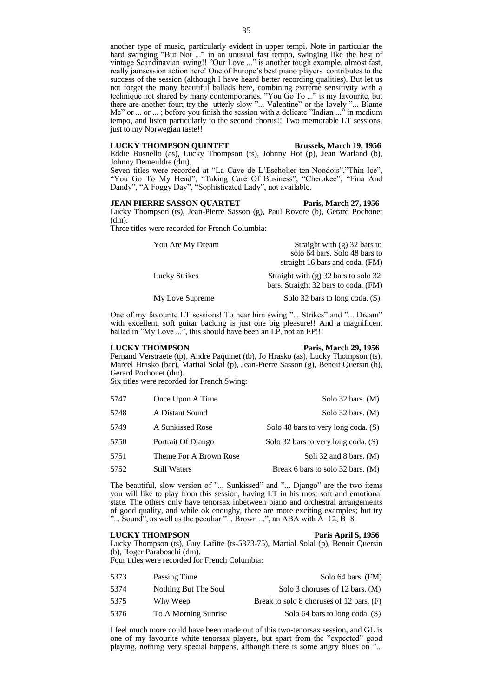# **LUCKY THOMPSON QUINTET Brussels, March 19, 1956**

Eddie Busnello (as), Lucky Thompson (ts), Johnny Hot (p), Jean Warland (b), Johnny Demeuldre (dm).

Seven titles were recorded at "La Cave de L'Escholier-ten-Noodois","Thin Ice", "You Go To My Head", "Taking Care Of Business", "Cherokee", "Fina And Dandy", "A Foggy Day", "Sophisticated Lady", not available.

# **JEAN PIERRE SASSON QUARTET Paris, March 27, 1956**

Lucky Thompson (ts), Jean-Pierre Sasson (g), Paul Rovere (b), Gerard Pochonet (dm).

Three titles were recorded for French Columbia:

| You Are My Dream | Straight with $(g)$ 32 bars to         |
|------------------|----------------------------------------|
|                  | solo 64 bars. Solo 48 bars to          |
|                  | straight 16 bars and coda. (FM)        |
| Lucky Strikes    | Straight with $(g)$ 32 bars to solo 32 |
|                  | bars. Straight 32 bars to coda. (FM)   |
| My Love Supreme  | Solo 32 bars to long coda. (S)         |

One of my favourite LT sessions! To hear him swing "... Strikes" and "... Dream" with excellent, soft guitar backing is just one big pleasure!! And a magnificent ballad in "My Love ...", this should have been an LP, not an EP!!!

# **LUCKY THOMPSON Paris, March 29, 1956**

Fernand Verstraete (tp), Andre Paquinet (tb), Jo Hrasko (as), Lucky Thompson (ts), Marcel Hrasko (bar), Martial Solal (p), Jean-Pierre Sasson (g), Benoit Quersin (b), Gerard Pochonet (dm).

Six titles were recorded for French Swing:

| 5747 | Once Upon A Time       | Solo $32$ bars. (M)                   |
|------|------------------------|---------------------------------------|
| 5748 | A Distant Sound        | Solo $32$ bars. (M)                   |
| 5749 | A Sunkissed Rose       | Solo 48 bars to very long coda. $(S)$ |
| 5750 | Portrait Of Django     | Solo 32 bars to very long coda. (S)   |
| 5751 | Theme For A Brown Rose | Soli 32 and 8 bars. $(M)$             |
| 5752 | Still Waters           | Break 6 bars to solo 32 bars. (M)     |

The beautiful, slow version of "... Sunkissed" and "... Django" are the two items you will like to play from this session, having LT in his most soft and emotional state. The others only have tenorsax inbetween piano and orchestral arrangements of good quality, and while ok enoughy, there are more exciting examples; but try "... Sound", as well as the peculiar "... Brown ...", an ABA with  $A=12$ ,  $B=8$ .

# **LUCKY THOMPSON Paris April 5, 1956**

Lucky Thompson (ts), Guy Lafitte (ts-5373-75), Martial Solal (p), Benoit Quersin (b), Roger Paraboschi (dm). Four titles were recorded for French Columbia:

| 5373 | Passing Time         | Solo 64 bars. (FM)                       |
|------|----------------------|------------------------------------------|
| 5374 | Nothing But The Soul | Solo 3 choruses of 12 bars. (M)          |
| 5375 | Why Weep             | Break to solo 8 choruses of 12 bars. (F) |
| 5376 | To A Morning Sunrise | Solo 64 bars to long coda. (S)           |

I feel much more could have been made out of this two-tenorsax session, and GL is one of my favourite white tenorsax players, but apart from the "expected" good playing, nothing very special happens, although there is some angry blues on "...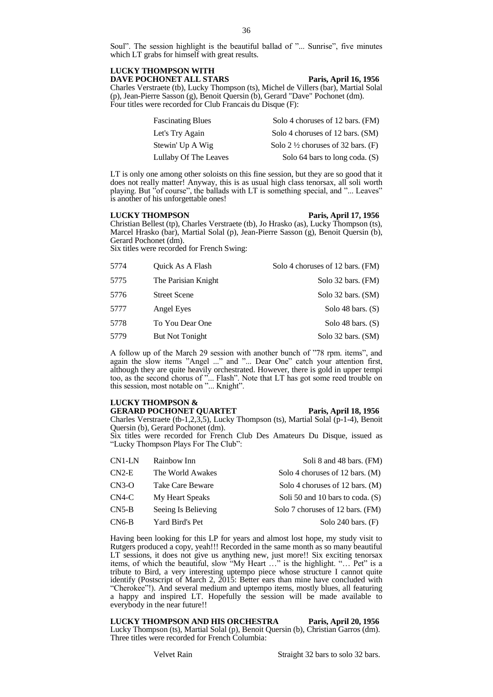Soul". The session highlight is the beautiful ballad of "... Sunrise", five minutes which LT grabs for himself with great results.

# **LUCKY THOMPSON WITH DAVE POCHONET ALL STARS Paris, April 16, 1956**

Charles Verstraete (tb), Lucky Thompson (ts), Michel de Villers (bar), Martial Solal (p), Jean-Pierre Sasson (g), Benoit Quersin (b), Gerard "Dave" Pochonet (dm). Four titles were recorded for Club Francais du Disque (F):

| <b>Fascinating Blues</b> | Solo 4 choruses of 12 bars. (FM)              |
|--------------------------|-----------------------------------------------|
| Let's Try Again          | Solo 4 choruses of 12 bars. (SM)              |
| Stewin' Up A Wig         | Solo 2 $\frac{1}{2}$ choruses of 32 bars. (F) |
| Lullaby Of The Leaves    | Solo 64 bars to long coda. (S)                |

LT is only one among other soloists on this fine session, but they are so good that it does not really matter! Anyway, this is as usual high class tenorsax, all soli worth playing. But "of course", the ballads with LT is something special, and "... Leaves" is another of his unforgettable ones!

# **LUCKY THOMPSON Paris, April 17, 1956**

Christian Bellest (tp), Charles Verstraete (tb), Jo Hrasko (as), Lucky Thompson (ts), Marcel Hrasko (bar), Martial Solal (p), Jean-Pierre Sasson (g), Benoit Quersin (b), Gerard Pochonet (dm).

Six titles were recorded for French Swing:

| 5774 | Quick As A Flash    | Solo 4 choruses of 12 bars. (FM) |
|------|---------------------|----------------------------------|
| 5775 | The Parisian Knight | Solo 32 bars. (FM)               |
| 5776 | <b>Street Scene</b> | Solo 32 bars. (SM)               |
| 5777 | <b>Angel Eyes</b>   | Solo 48 bars. $(S)$              |
| 5778 | To You Dear One     | Solo 48 bars. $(S)$              |
| 5779 | But Not Tonight     | Solo 32 bars. (SM)               |

A follow up of the March 29 session with another bunch of "78 rpm. items", and again the slow items "Angel ..." and "... Dear One" catch your attention first, although they are quite heavily orchestrated. However, there is gold in upper tempi too, as the second chorus of "... Flash". Note that LT has got some reed trouble on this session, most notable on "... Knight".

# **LUCKY THOMPSON &**

**GERARD POCHONET QUARTET Paris, April 18, 1956** Charles Verstraete (tb-1,2,3,5), Lucky Thompson (ts), Martial Solal (p-1-4), Benoit Quersin (b), Gerard Pochonet (dm).

Six titles were recorded for French Club Des Amateurs Du Disque, issued as "Lucky Thompson Plays For The Club":

| CN1-LN  | Rainbow Inn         | Soli 8 and 48 bars. (FM)         |
|---------|---------------------|----------------------------------|
| $CN2-E$ | The World Awakes    | Solo 4 choruses of 12 bars. (M)  |
| $CN3-O$ | Take Care Beware    | Solo 4 choruses of 12 bars. (M)  |
| $CN4-C$ | My Heart Speaks     | Soli 50 and 10 bars to coda. (S) |
| $CN5-B$ | Seeing Is Believing | Solo 7 choruses of 12 bars. (FM) |
| $CN6-B$ | Yard Bird's Pet     | Solo 240 bars. $(F)$             |

Having been looking for this LP for years and almost lost hope, my study visit to Rutgers produced a copy, yeah!!! Recorded in the same month as so many beautiful LT sessions, it does not give us anything new, just more!! Six exciting tenorsax items, of which the beautiful, slow "My Heart …" is the highlight. "… Pet" is a tribute to Bird, a very interesting uptempo piece whose structure I cannot quite identify (Postscript of March 2, 2015: Better ears than mine have concluded with "Cherokee"!). And several medium and uptempo items, mostly blues, all featuring a happy and inspired LT. Hopefully the session will be made available to everybody in the near future!!

**LUCKY THOMPSON AND HIS ORCHESTRA Paris, April 20, 1956** Lucky Thompson (ts), Martial Solal (p), Benoit Quersin (b), Christian Garros (dm). Three titles were recorded for French Columbia: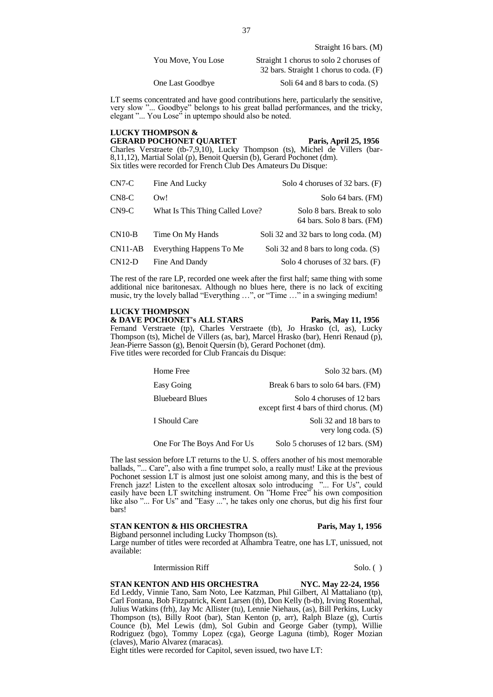| You Move, You Lose | Straight 1 chorus to solo 2 choruses of |
|--------------------|-----------------------------------------|
|                    | 32 bars. Straight 1 chorus to coda. (F) |

One Last Goodbye Soli 64 and 8 bars to coda. (S)

LT seems concentrated and have good contributions here, particularly the sensitive, very slow "... Goodbye" belongs to his great ballad performances, and the tricky, elegant "... You Lose" in uptempo should also be noted.

# **LUCKY THOMPSON &**

**GERARD POCHONET QUARTET Paris, April 25, 1956**

Charles Verstraete (tb-7,9,10), Lucky Thompson (ts), Michel de Villers (bar-8,11,12), Martial Solal (p), Benoit Quersin (b), Gerard Pochonet (dm). Six titles were recorded for French Club Des Amateurs Du Disque:

| $CN7-C$  | Fine And Lucky                  | Solo 4 choruses of 32 bars. (F)                          |
|----------|---------------------------------|----------------------------------------------------------|
| $CN8-C$  | Ow!                             | Solo 64 bars. (FM)                                       |
| $CN9-C$  | What Is This Thing Called Love? | Solo 8 bars. Break to solo<br>64 bars. Solo 8 bars. (FM) |
| $CN10-B$ | Time On My Hands                | Soli 32 and 32 bars to long coda. (M)                    |
| CN11-AB  | Everything Happens To Me        | Soli 32 and 8 bars to long coda. (S)                     |
| $CN12-D$ | Fine And Dandy                  | Solo 4 choruses of 32 bars. (F)                          |

The rest of the rare LP, recorded one week after the first half; same thing with some additional nice baritonesax. Although no blues here, there is no lack of exciting music, try the lovely ballad "Everything ...", or "Time ..." in a swinging medium!

# **LUCKY THOMPSON**

**& DAVE POCHONET's ALL STARS Paris, May 11, 1956**

Fernand Verstraete (tp), Charles Verstraete (tb), Jo Hrasko (cl, as), Lucky Thompson (ts), Michel de Villers (as, bar), Marcel Hrasko (bar), Henri Renaud (p), Jean-Pierre Sasson (g), Benoit Quersin (b), Gerard Pochonet (dm). Five titles were recorded for Club Francais du Disque:

| Home Free                   | Solo $32$ bars. (M)                                                      |
|-----------------------------|--------------------------------------------------------------------------|
| Easy Going                  | Break 6 bars to solo 64 bars. (FM)                                       |
| <b>Bluebeard Blues</b>      | Solo 4 choruses of 12 bars<br>except first 4 bars of third chorus. $(M)$ |
| I Should Care               | Soli 32 and 18 bars to<br>very long coda. (S)                            |
| One For The Boys And For Us | Solo 5 choruses of 12 bars. (SM)                                         |

The last session before LT returns to the U. S. offers another of his most memorable ballads, "... Care", also with a fine trumpet solo, a really must! Like at the previous Pochonet session LT is almost just one soloist among many, and this is the best of French jazz! Listen to the excellent altosax solo introducing "... For Us", could easily have been LT switching instrument. On "Home Free" his own composition like also "... For Us" and "Easy ...", he takes only one chorus, but dig his first four bars!

# **STAN KENTON & HIS ORCHESTRA** Paris, May 1, 1956

Bigband personnel including Lucky Thompson (ts). Large number of titles were recorded at Alhambra Teatre, one has LT, unissued, not available:

# Intermission Riff Solo. ( )

**STAN KENTON AND HIS ORCHESTRA NYC. May 22-24, 1956** Ed Leddy, Vinnie Tano, Sam Noto, Lee Katzman, Phil Gilbert, Al Mattaliano (tp), Carl Fontana, Bob Fitzpatrick, Kent Larsen (tb), Don Kelly (b-tb), Irving Rosenthal, Julius Watkins (frh), Jay Mc Allister (tu), Lennie Niehaus, (as), Bill Perkins, Lucky Thompson (ts), Billy Root (bar), Stan Kenton (p, arr), Ralph Blaze (g), Curtis Counce (b), Mel Lewis (dm), Sol Gubin and George Gaber (tymp), Willie Rodriguez (bgo), Tommy Lopez (cga), George Laguna (timb), Roger Mozian (claves), Mario Alvarez (maracas).

Eight titles were recorded for Capitol, seven issued, two have LT: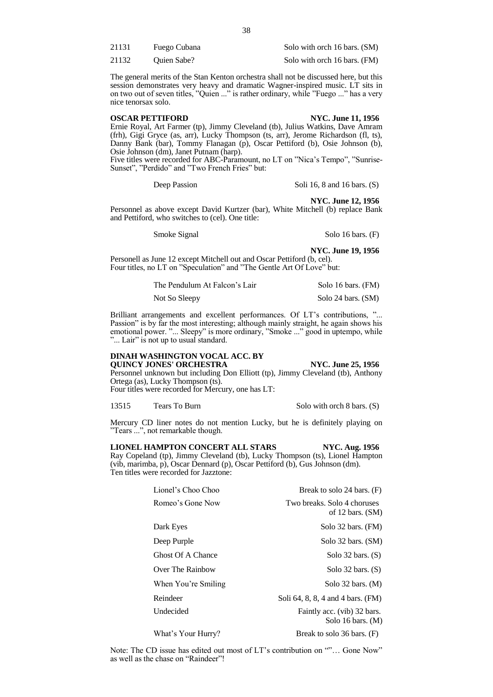| 21131 | Fuego Cubana       | Solo with orch 16 bars. (SM) |
|-------|--------------------|------------------------------|
| 21132 | <b>Ouien Sabe?</b> | Solo with orch 16 bars. (FM) |

The general merits of the Stan Kenton orchestra shall not be discussed here, but this session demonstrates very heavy and dramatic Wagner-inspired music. LT sits in on two out of seven titles, "Quien ..." is rather ordinary, while "Fuego ..." has a very nice tenorsax solo.

# **OSCAR PETTIFORD NYC. June 11, 1956**

Ernie Royal, Art Farmer (tp), Jimmy Cleveland (tb), Julius Watkins, Dave Amram (frh), Gigi Gryce (as, arr), Lucky Thompson (ts, arr), Jerome Richardson (fl, ts), Danny Bank (bar), Tommy Flanagan (p), Oscar Pettiford (b), Osie Johnson (b), Osie Johnson (dm), Janet Putnam (harp).

Five titles were recorded for ABC-Paramount, no LT on "Nica's Tempo", "Sunrise-Sunset", "Perdido" and "Two French Fries" but:

Deep Passion Soli 16, 8 and 16 bars. (S)

**NYC. June 12, 1956**

Personnel as above except David Kurtzer (bar), White Mitchell (b) replace Bank and Pettiford, who switches to (cel). One title:

Smoke Signal Solo 16 bars. (F)

**NYC. June 19, 1956** Personell as June 12 except Mitchell out and Oscar Pettiford (b, cel). Four titles, no LT on "Speculation" and "The Gentle Art Of Love" but:

| The Pendulum At Falcon's Lair | Solo 16 bars. (FM) |
|-------------------------------|--------------------|
| Not So Sleepy                 | Solo 24 bars. (SM) |

Brilliant arrangements and excellent performances. Of LT's contributions, "... Passion" is by far the most interesting; although mainly straight, he again shows his emotional power. "... Sleepy" is more ordinary, "Smoke ..." good in uptempo, while "... Lair" is not up to usual standard.

# **DINAH WASHINGTON VOCAL ACC. BY QUINCY JONES' ORCHESTRA NYC. June 25, 1956**

Personnel unknown but including Don Elliott (tp), Jimmy Cleveland (tb), Anthony Ortega (as), Lucky Thompson (ts). Four titles were recorded for Mercury, one has LT:

13515 Tears To Burn Solo with orch 8 bars. (S)

Mercury CD liner notes do not mention Lucky, but he is definitely playing on "Tears ...", not remarkable though.

# **LIONEL HAMPTON CONCERT ALL STARS NYC. Aug. 1956**

Ray Copeland (tp), Jimmy Cleveland (tb), Lucky Thompson (ts), Lionel Hampton (vib, marimba, p), Oscar Dennard (p), Oscar Pettiford (b), Gus Johnson (dm). Ten titles were recorded for Jazztone:

| Lionel's Choo Choo                                                                                                                                                                                                                                                                                                                 | Break to solo 24 bars. (F)                                                       |
|------------------------------------------------------------------------------------------------------------------------------------------------------------------------------------------------------------------------------------------------------------------------------------------------------------------------------------|----------------------------------------------------------------------------------|
| Romeo's Gone Now                                                                                                                                                                                                                                                                                                                   | Two breaks. Solo 4 choruses<br>of 12 bars. (SM)                                  |
| Dark Eyes                                                                                                                                                                                                                                                                                                                          | Solo 32 bars. (FM)                                                               |
| Deep Purple                                                                                                                                                                                                                                                                                                                        | Solo 32 bars. (SM)                                                               |
| Ghost Of A Chance                                                                                                                                                                                                                                                                                                                  | Solo 32 bars. $(S)$                                                              |
| Over The Rainbow                                                                                                                                                                                                                                                                                                                   | Solo 32 bars. $(S)$                                                              |
| When You're Smiling                                                                                                                                                                                                                                                                                                                | Solo $32$ bars. $(M)$                                                            |
| Reindeer                                                                                                                                                                                                                                                                                                                           | Soli 64, 8, 8, 4 and 4 bars. (FM)                                                |
| Undecided                                                                                                                                                                                                                                                                                                                          | Faintly acc. (vib) 32 bars.<br>Solo 16 bars. $(M)$                               |
| $\mathbf{w}$ $\mathbf{w}$ $\mathbf{w}$ $\mathbf{w}$ $\mathbf{w}$ $\mathbf{w}$ $\mathbf{w}$ $\mathbf{w}$ $\mathbf{w}$ $\mathbf{w}$ $\mathbf{w}$ $\mathbf{w}$ $\mathbf{w}$ $\mathbf{w}$ $\mathbf{w}$ $\mathbf{w}$ $\mathbf{w}$ $\mathbf{w}$ $\mathbf{w}$ $\mathbf{w}$ $\mathbf{w}$ $\mathbf{w}$ $\mathbf{w}$ $\mathbf{w}$ $\mathbf{$ | $\mathbf{D}$ 1. 1. $\mathbf{A} \times \mathbf{1}$ $\mathbf{A} \times \mathbf{D}$ |

What's Your Hurry? Break to solo 36 bars. (F)

Note: The CD issue has edited out most of LT's contribution on ""… Gone Now" as well as the chase on "Raindeer"!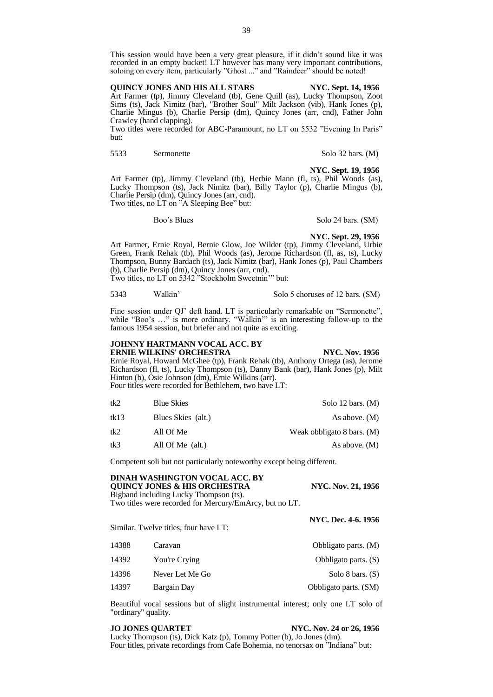This session would have been a very great pleasure, if it didn't sound like it was recorded in an empty bucket! LT however has many very important contributions, soloing on every item, particularly "Ghost ..." and "Raindeer" should be noted!

**QUINCY JONES AND HIS ALL STARS NYC. Sept. 14, 1956** Art Farmer (tp), Jimmy Cleveland (tb), Gene Quill (as), Lucky Thompson, Zoot Sims (ts), Jack Nimitz (bar), "Brother Soul" Milt Jackson (vib), Hank Jones (p), Charlie Mingus (b), Charlie Persip (dm), Quincy Jones (arr, cnd), Father John Crawley (hand clapping).

Two titles were recorded for ABC-Paramount, no LT on 5532 "Evening In Paris" but:

5533 Sermonette Solo 32 bars. (M)

**NYC. Sept. 19, 1956**

Art Farmer (tp), Jimmy Cleveland (tb), Herbie Mann (fl, ts), Phil Woods (as), Lucky Thompson (ts), Jack Nimitz (bar), Billy Taylor (p), Charlie Mingus (b), Charlie Persip (dm), Quincy Jones (arr, cnd). Two titles, no LT on "A Sleeping Bee" but:

Boo's Blues Solo 24 bars. (SM)

**NYC. Sept. 29, 1956**

Art Farmer, Ernie Royal, Bernie Glow, Joe Wilder (tp), Jimmy Cleveland, Urbie Green, Frank Rehak (tb), Phil Woods (as), Jerome Richardson (fl, as, ts), Lucky Thompson, Bunny Bardach (ts), Jack Nimitz (bar), Hank Jones (p), Paul Chambers (b), Charlie Persip (dm), Quincy Jones (arr, cnd). Two titles, no LT on 5342 "Stockholm Sweetnin'" but:

5343 Walkin' Solo 5 choruses of 12 bars. (SM)

Fine session under QJ' deft hand. LT is particularly remarkable on "Sermonette", while "Boo's ..." is more ordinary. "Walkin" is an interesting follow-up to the famous 1954 session, but briefer and not quite as exciting.

# **JOHNNY HARTMANN VOCAL ACC. BY ERNIE WILKINS' ORCHESTRA NYC. Nov. 1956**

Ernie Royal, Howard McGhee (tp), Frank Rehak (tb), Anthony Ortega (as), Jerome Richardson (fl, ts), Lucky Thompson (ts), Danny Bank (bar), Hank Jones (p), Milt Hinton (b), Osie Johnson (dm), Ernie Wilkins (arr). Four titles were recorded for Bethlehem, two have LT:

| tk2  | <b>Blue Skies</b>  | Solo 12 bars. $(M)$        |
|------|--------------------|----------------------------|
| tk13 | Blues Skies (alt.) | As above. $(M)$            |
| tk2  | All Of Me          | Weak obbligato 8 bars. (M) |
| tk3  | All Of Me (alt.)   | As above. $(M)$            |

Competent soli but not particularly noteworthy except being different.

| <b>DINAH WASHINGTON VOCAL ACC. BY</b><br><b>QUINCY JONES &amp; HIS ORCHESTRA</b> | <b>NYC. Nov. 21, 1956</b> |
|----------------------------------------------------------------------------------|---------------------------|
| Bigband including Lucky Thompson (ts).                                           |                           |
| Two titles were recorded for Mercury/EmArcy, but no LT.                          |                           |

Similar. Twelve titles, four have LT:

| 14388 | Caravan         | Obbligato parts. (M)  |
|-------|-----------------|-----------------------|
| 14392 | You're Crying   | Obbligato parts. (S)  |
| 14396 | Never Let Me Go | Solo 8 bars. $(S)$    |
| 14397 | Bargain Day     | Obbligato parts. (SM) |

Beautiful vocal sessions but of slight instrumental interest; only one LT solo of "ordinary" quality.

# **JO JONES QUARTET NYC. Nov. 24 or 26, 1956**

**NYC. Dec. 4-6. 1956**

Lucky Thompson (ts), Dick Katz (p), Tommy Potter (b), Jo Jones (dm). Four titles, private recordings from Cafe Bohemia, no tenorsax on "Indiana" but: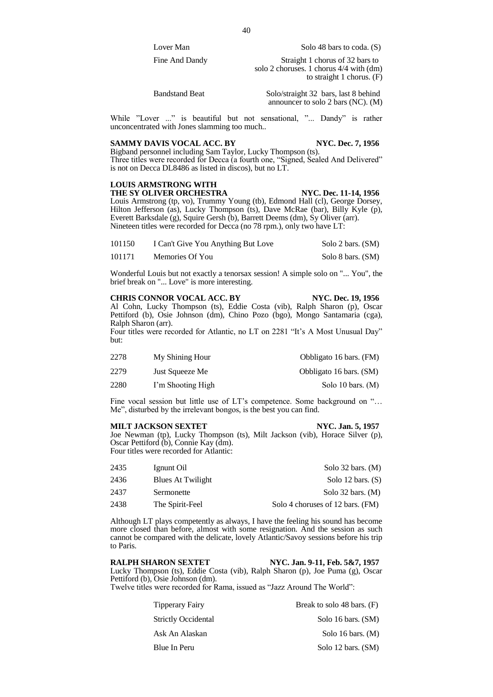Lover Man Solo 48 bars to coda. (S)

Fine And Dandy Straight 1 chorus of 32 bars to solo 2 choruses. 1 chorus 4/4 with (dm) to straight 1 chorus. (F)

Bandstand Beat Solo/straight 32 bars, last 8 behind announcer to solo 2 bars (NC). (M)

While "Lover ..." is beautiful but not sensational, "... Dandy" is rather unconcentrated with Jones slamming too much..

# **SAMMY DAVIS VOCAL ACC. BY NYC. Dec. 7, 1956**

Bigband personnel including Sam Taylor, Lucky Thompson (ts). Three titles were recorded for Decca (a fourth one, "Signed, Sealed And Delivered" is not on Decca DL8486 as listed in discos), but no LT.

# **LOUIS ARMSTRONG WITH THE SY OLIVER ORCHESTRA NYC. Dec. 11-14, 1956**

Louis Armstrong (tp, vo), Trummy Young (tb), Edmond Hall (cl), George Dorsey, Hilton Jefferson (as), Lucky Thompson (ts), Dave McRae (bar), Billy Kyle (p), Everett Barksdale (g), Squire Gersh (b), Barrett Deems (dm), Sy Oliver (arr). Nineteen titles were recorded for Decca (no 78 rpm.), only two have LT:

| 101150 | I Can't Give You Anything But Love | Solo 2 bars. (SM) |
|--------|------------------------------------|-------------------|
| 101171 | Memories Of You                    | Solo 8 bars. (SM) |

Wonderful Louis but not exactly a tenorsax session! A simple solo on "... You", the brief break on "... Love" is more interesting.

**CHRIS CONNOR VOCAL ACC. BY NYC. Dec. 19, 1956** Al Cohn, Lucky Thompson (ts), Eddie Costa (vib), Ralph Sharon (p), Oscar Pettiford (b), Osie Johnson (dm), Chino Pozo (bgo), Mongo Santamaria (cga), Ralph Sharon (arr).

Four titles were recorded for Atlantic, no LT on 2281 "It's A Most Unusual Day" but:

| 2278 | My Shining Hour   | Obbligato 16 bars. (FM) |
|------|-------------------|-------------------------|
| 2279 | Just Squeeze Me   | Obbligato 16 bars. (SM) |
| 2280 | I'm Shooting High | Solo 10 bars. $(M)$     |

Fine vocal session but little use of LT's competence. Some background on "… Me", disturbed by the irrelevant bongos, is the best you can find.

**MILT JACKSON SEXTET NYC. Jan. 5, 1957** Joe Newman (tp), Lucky Thompson (ts), Milt Jackson (vib), Horace Silver (p), Oscar Pettiford (b), Connie Kay (dm). Four titles were recorded for Atlantic:

| 2435 | Ignunt Oil        | Solo 32 bars. $(M)$              |
|------|-------------------|----------------------------------|
| 2436 | Blues At Twilight | Solo 12 bars. $(S)$              |
| 2437 | Sermonette        | Solo 32 bars. $(M)$              |
| 2438 | The Spirit-Feel   | Solo 4 choruses of 12 bars. (FM) |

Although LT plays competently as always, I have the feeling his sound has become more closed than before, almost with some resignation. And the session as such cannot be compared with the delicate, lovely Atlantic/Savoy sessions before his trip to Paris.

# **RALPH SHARON SEXTET NYC. Jan. 9-11, Feb. 5&7, 1957** Lucky Thompson (ts), Eddie Costa (vib), Ralph Sharon (p), Joe Puma (g), Oscar Pettiford (b), Osie Johnson (dm).

Twelve titles were recorded for Rama, issued as "Jazz Around The World":

| <b>Tipperary Fairy</b>     | Break to solo 48 bars. (F) |
|----------------------------|----------------------------|
| <b>Strictly Occidental</b> | Solo 16 bars. (SM)         |
| Ask An Alaskan             | Solo 16 bars. $(M)$        |
| Blue In Peru               | Solo 12 bars. (SM)         |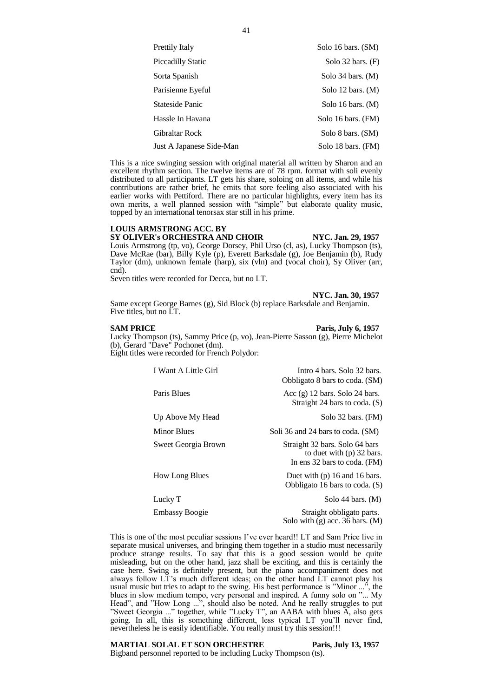| Prettily Italy           | Solo 16 bars. (SM)    |
|--------------------------|-----------------------|
| <b>Piccadilly Static</b> | Solo $32$ bars. $(F)$ |
| Sorta Spanish            | Solo 34 bars. $(M)$   |
| Parisienne Eyeful        | Solo 12 bars. $(M)$   |
| Stateside Panic          | Solo 16 bars. $(M)$   |
| Hassle In Havana         | Solo 16 bars. (FM)    |
| Gibraltar Rock           | Solo 8 bars. (SM)     |
| Just A Japanese Side-Man | Solo 18 bars. (FM)    |

This is a nice swinging session with original material all written by Sharon and an excellent rhythm section. The twelve items are of 78 rpm. format with soli evenly distributed to all participants. LT gets his share, soloing on all items, and while his contributions are rather brief, he emits that sore feeling also associated with his earlier works with Pettiford. There are no particular highlights, every item has its own merits, a well planned session with "simple" but elaborate quality music, topped by an international tenorsax star still in his prime.

# **LOUIS ARMSTRONG ACC. BY**

# **SY OLIVER's ORCHESTRA AND CHOIR NYC. Jan. 29, 1957** Louis Armstrong (tp, vo), George Dorsey, Phil Urso (cl, as), Lucky Thompson (ts), Dave McRae (bar), Billy Kyle (p), Everett Barksdale (g), Joe Benjamin (b), Rudy Taylor (dm), unknown female (harp), six (vln) and (vocal choir), Sy Oliver (arr, cnd).

Seven titles were recorded for Decca, but no LT.

**NYC. Jan. 30, 1957**

Same except George Barnes (g), Sid Block (b) replace Barksdale and Benjamin. Five titles, but no LT.

# **SAM PRICE Paris, July 6, 1957**

Lucky Thompson (ts), Sammy Price (p, vo), Jean-Pierre Sasson (g), Pierre Michelot (b), Gerard "Dave" Pochonet (dm). Eight titles were recorded for French Polydor:

| I Want A Little Girl  | Intro 4 bars. Solo 32 bars.<br>Obbligato 8 bars to coda. (SM)                                 |
|-----------------------|-----------------------------------------------------------------------------------------------|
| Paris Blues           | Acc $(g)$ 12 bars. Solo 24 bars.<br>Straight 24 bars to coda. (S)                             |
| Up Above My Head      | Solo 32 bars. (FM)                                                                            |
| Minor Blues           | Soli 36 and 24 bars to coda. (SM)                                                             |
| Sweet Georgia Brown   | Straight 32 bars. Solo 64 bars<br>to duet with $(p)$ 32 bars.<br>In ens 32 bars to coda. (FM) |
| <b>How Long Blues</b> | Duet with $(p)$ 16 and 16 bars.<br>Obbligato 16 bars to coda. $(S)$                           |
| Lucky T               | Solo 44 bars. $(M)$                                                                           |
| <b>Embassy Boogie</b> | Straight obbligato parts.<br>Solo with $(g)$ acc. 36 bars. $(M)$                              |

This is one of the most peculiar sessions I've ever heard!! LT and Sam Price live in separate musical universes, and bringing them together in a studio must necessarily produce strange results. To say that this is a good session would be quite misleading, but on the other hand, jazz shall be exciting, and this is certainly the case here. Swing is definitely present, but the piano accompaniment does not always follow LT's much different ideas; on the other hand LT cannot play his usual music but tries to adapt to the swing. His best performance is "Minor ...", the blues in slow medium tempo, very personal and inspired. A funny solo on "... My Head", and "How Long ...", should also be noted. And he really struggles to put "Sweet Georgia ..." together, while "Lucky T", an AABA with blues A, also gets going. In all, this is something different, less typical LT you'll never find, nevertheless he is easily identifiable. You really must try this session!!!

# **MARTIAL SOLAL ET SON ORCHESTRE Paris, July 13, 1957**

Bigband personnel reported to be including Lucky Thompson (ts).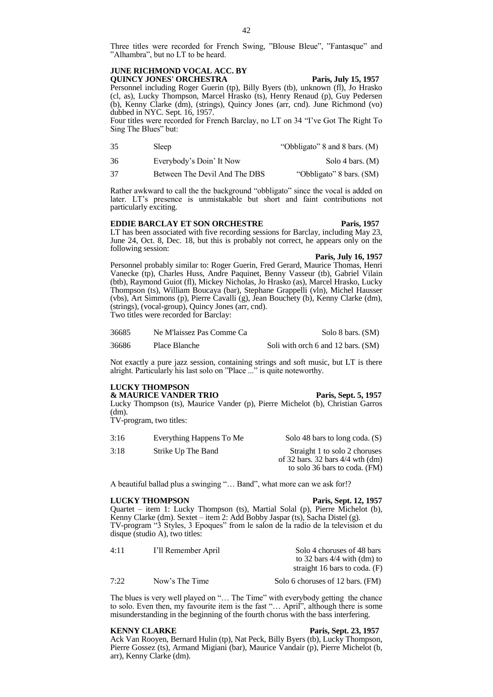Three titles were recorded for French Swing, "Blouse Bleue", "Fantasque" and "Alhambra", but no LT to be heard.

# **JUNE RICHMOND VOCAL ACC. BY QUINCY JONES' ORCHESTRA Paris, July 15, 1957**

Personnel including Roger Guerin (tp), Billy Byers (tb), unknown (fl), Jo Hrasko (cl, as), Lucky Thompson, Marcel Hrasko (ts), Henry Renaud (p), Guy Pedersen (b), Kenny Clarke (dm), (strings), Quincy Jones (arr, cnd). June Richmond (vo) dubbed in NYC. Sept. 16, 1957.

Four titles were recorded for French Barclay, no LT on 34 "I've Got The Right To Sing The Blues" but:

- 35 Sleep "Obbligato" 8 and 8 bars. (M)
- 36 Everybody's Doin' It Now Solo 4 bars. (M)
- 37 Between The Devil And The DBS "Obbligato" 8 bars. (SM)

Rather awkward to call the the background "obbligato" since the vocal is added on later. LT's presence is unmistakable but short and faint contributions not particularly exciting.

# **EDDIE BARCLAY ET SON ORCHESTRE Paris, 1957**

LT has been associated with five recording sessions for Barclay, including May 23, June 24, Oct. 8, Dec. 18, but this is probably not correct, he appears only on the following session:

**Paris, July 16, 1957**

Personnel probably similar to: Roger Guerin, Fred Gerard, Maurice Thomas, Henri Vanecke (tp), Charles Huss, Andre Paquinet, Benny Vasseur (tb), Gabriel Vilain (btb), Raymond Guiot (fl), Mickey Nicholas, Jo Hrasko (as), Marcel Hrasko, Lucky Thompson (ts), William Boucaya (bar), Stephane Grappelli (vln), Michel Hausser (vbs), Art Simmons (p), Pierre Cavalli (g), Jean Bouchety (b), Kenny Clarke (dm), (strings), (vocal-group), Quincy Jones (arr, cnd). Two titles were recorded for Barclay:

| 36685 | Ne M'laissez Pas Comme Ca | Solo 8 bars. (SM)                  |
|-------|---------------------------|------------------------------------|
| 36686 | Place Blanche             | Soli with orch 6 and 12 bars. (SM) |

Not exactly a pure jazz session, containing strings and soft music, but LT is there alright. Particularly his last solo on "Place ..." is quite noteworthy.

# **LUCKY THOMPSON**

**& MAURICE VANDER TRIO Paris, Sept. 5, 1957**

Lucky Thompson (ts), Maurice Vander (p), Pierre Michelot (b), Christian Garros (dm).

TV-program, two titles:

| 3:16<br>Everything Happens To Me | Solo 48 bars to long coda. $(S)$                                                                       |
|----------------------------------|--------------------------------------------------------------------------------------------------------|
| 3:18<br>Strike Up The Band       | Straight 1 to solo 2 choruses<br>of 32 bars. 32 bars $4/4$ wth $(dm)$<br>to solo 36 bars to coda. (FM) |

A beautiful ballad plus a swinging "… Band", what more can we ask for!?

# **LUCKY THOMPSON Paris, Sept. 12, 1957**

Quartet – item 1: Lucky Thompson (ts), Martial Solal (p), Pierre Michelot (b), Kenny Clarke (dm). Sextet – item 2: Add Bobby Jaspar (ts), Sacha Distel (g). TV-program "3 Styles, 3 Epoques" from le salon de la radio de la television et du disque (studio A), two titles:

| 4:11 | I'll Remember April | Solo 4 choruses of 48 bars                                       |
|------|---------------------|------------------------------------------------------------------|
|      |                     | to 32 bars $4/4$ with (dm) to<br>straight 16 bars to coda. $(F)$ |
| 7:22 | Now's The Time      | Solo 6 choruses of 12 bars. (FM)                                 |

The blues is very well played on "… The Time" with everybody getting the chance to solo. Even then, my favourite item is the fast "… April", although there is some misunderstanding in the beginning of the fourth chorus with the bass interfering.

### **KENNY CLARKE Paris, Sept. 23, 1957**

Ack Van Rooyen, Bernard Hulin (tp), Nat Peck, Billy Byers (tb), Lucky Thompson, Pierre Gossez (ts), Armand Migiani (bar), Maurice Vandair (p), Pierre Michelot (b, arr), Kenny Clarke (dm).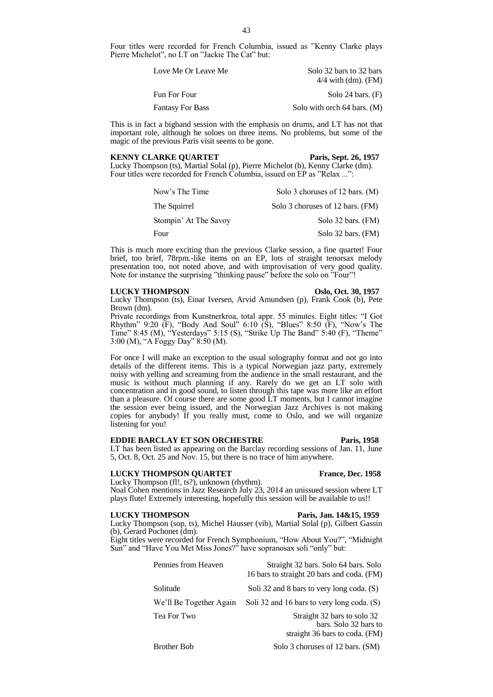Four titles were recorded for French Columbia, issued as "Kenny Clarke plays Pierre Michelot", no LT on "Jackie The Cat" but:

| Love Me Or Leave Me     | Solo 32 bars to 32 bars     |
|-------------------------|-----------------------------|
|                         | $4/4$ with (dm). (FM)       |
| Fun For Four            | Solo 24 bars. $(F)$         |
| <b>Fantasy For Bass</b> | Solo with orch 64 bars. (M) |

This is in fact a bigband session with the emphasis on drums, and LT has not that important role, although he soloes on three items. No problems, but some of the magic of the previous Paris visit seems to be gone.

# **KENNY CLARKE QUARTET Paris, Sept. 26, 1957**

Lucky Thompson (ts), Martial Solal (p), Pierre Michelot (b), Kenny Clarke (dm). Four titles were recorded for French Columbia, issued on EP as "Relax ...":

| Now's The Time        | Solo 3 choruses of 12 bars. (M)  |
|-----------------------|----------------------------------|
| The Squirrel          | Solo 3 choruses of 12 bars. (FM) |
| Stompin' At The Savoy | Solo 32 bars. (FM)               |
| Four                  | Solo 32 bars. (FM)               |

This is much more exciting than the previous Clarke session, a fine quartet! Four brief, too brief, 78rpm.-like items on an EP, lots of straight tenorsax melody presentation too, not noted above, and with improvisation of very good quality. Note for instance the surprising "thinking pause" before the solo on "Four"!

# **LUCKY THOMPSON Oslo, Oct. 30, 1957**

Lucky Thompson (ts), Einar Iversen, Arvid Amundsen (p), Frank Cook (b), Pete Brown (dm).

Private recordings from Kunstnerkroa, total appr. 55 minutes. Eight titles: "I Got Rhythm" 9:20  $(F)$ , "Body And Soul" 6:10  $(S)$ , "Blues" 8:50  $(F)$ , "Now's The Time" 8:45 (M), "Yesterdays" 5:15 (S), "Strike Up The Band" 5:40 (F), "Theme" 3:00 (M), "A Foggy Day" 8:50 (M).

For once I will make an exception to the usual solography format and not go into details of the different items. This is a typical Norwegian jazz party, extremely noisy with yelling and screaming from the audience in the small restaurant, and the music is without much planning if any. Rarely do we get an LT solo with concentration and in good sound, to listen through this tape was more like an effort than a pleasure. Of course there are some good LT moments, but I cannot imagine the session ever being issued, and the Norwegian Jazz Archives is not making copies for anybody! If you really must, come to Oslo, and we will organize listening for you!

# **EDDIE BARCLAY ET SON ORCHESTRE Paris, 1958**

# LT has been listed as appearing on the Barclay recording sessions of Jan.  $11$ , June 5, Oct. 8, Oct. 25 and Nov. 15, but there is no trace of him anywhere.

# **LUCKY THOMPSON QUARTET France, Dec. 1958**

Lucky Thompson (fl!, ts?), unknown (rhythm). Noal Cohen mentions in Jazz Research July 23, 2014 an unissued session where LT plays flute! Extremely interesting, hopefully this session will be available to us!!

# **LUCKY THOMPSON Paris, Jan. 14&15, 1959**

Lucky Thompson (sop, ts), Michel Hausser (vib), Martial Solal (p), Gilbert Gassin (b), Gerard Pochonet (dm).

Eight titles were recorded for French Symphonium, "How About You?", "Midnight Sun" and "Have You Met Miss Jones?" have sopranosax soli "only" but:

| Pennies from Heaven     | Straight 32 bars. Solo 64 bars. Solo<br>16 bars to straight 20 bars and coda. (FM)     |
|-------------------------|----------------------------------------------------------------------------------------|
| Solitude                | Soli 32 and 8 bars to very long coda. (S)                                              |
| We'll Be Together Again | Soli 32 and 16 bars to very long coda. (S)                                             |
| Tea For Two             | Straight 32 bars to solo 32<br>bars. Solo 32 bars to<br>straight 36 bars to coda. (FM) |
| <b>Brother Bob</b>      | Solo 3 choruses of 12 bars. (SM)                                                       |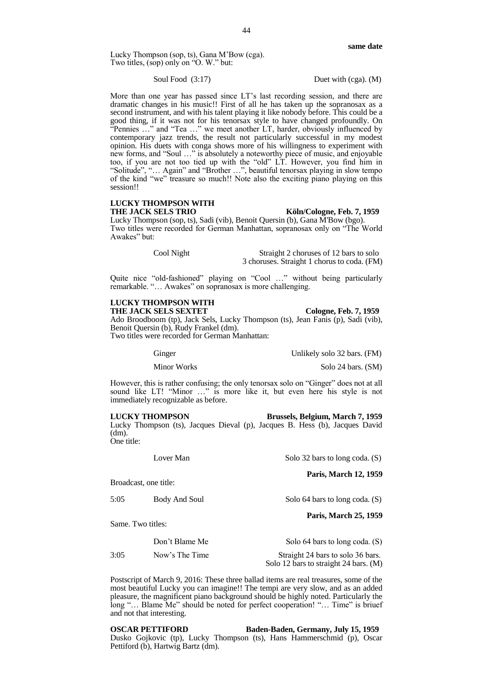Lucky Thompson (sop, ts), Gana M'Bow (cga). Two titles, (sop) only on "O. W." but:

Soul Food (3:17) Duet with (cga). (M)

More than one year has passed since LT's last recording session, and there are dramatic changes in his music!! First of all he has taken up the sopranosax as a second instrument, and with his talent playing it like nobody before. This could be a good thing, if it was not for his tenorsax style to have changed profoundly. On "Pennies …" and "Tea …" we meet another LT, harder, obviously influenced by contemporary jazz trends, the result not particularly successful in my modest opinion. His duets with conga shows more of his willingness to experiment with new forms, and "Soul …" is absolutely a noteworthy piece of music, and enjoyable too, if you are not too tied up with the "old" LT. However, you find him in "Solitude", "… Again" and "Brother …", beautiful tenorsax playing in slow tempo of the kind "we" treasure so much!! Note also the exciting piano playing on this session!!

# **LUCKY THOMPSON WITH**

# Köln/Cologne, Feb. 7, 1959

Lucky Thompson (sop, ts), Sadi (vib), Benoit Quersin (b), Gana M'Bow (bgo). Two titles were recorded for German Manhattan, sopranosax only on "The World Awakes" but:

> Cool Night Straight 2 choruses of 12 bars to solo 3 choruses. Straight 1 chorus to coda. (FM)

Quite nice "old-fashioned" playing on "Cool …" without being particularly remarkable. "… Awakes" on sopranosax is more challenging.

# **LUCKY THOMPSON WITH**

**THE JACK SELS SEXTET Cologne, Feb. 7, 1959** Ado Broodboom (tp), Jack Sels, Lucky Thompson (ts), Jean Fanis (p), Sadi (vib), Benoit Quersin (b), Rudy Frankel (dm). Two titles were recorded for German Manhattan:

Ginger Unlikely solo 32 bars. (FM)

Minor Works Solo 24 bars. (SM)

However, this is rather confusing; the only tenorsax solo on "Ginger" does not at all sound like LT! "Minor …" is more like it, but even here his style is not immediately recognizable as before.

**LUCKY THOMPSON Brussels, Belgium, March 7, 1959** Lucky Thompson (ts), Jacques Dieval (p), Jacques B. Hess (b), Jacques David (dm). One title:

Lover Man Solo 32 bars to long coda. (S)

**Paris, March 12, 1959**

Broadcast, one title: 5:05 Body And Soul Solo 64 bars to long coda. (S) **Paris, March 25, 1959** Same. Two titles: Don't Blame Me Solo 64 bars to long coda. (S)

3:05 Now's The Time Straight 24 bars to solo 36 bars. Solo 12 bars to straight 24 bars. (M)

Postscript of March 9, 2016: These three ballad items are real treasures, some of the most beautiful Lucky you can imagine!! The tempi are very slow, and as an added pleasure, the magnificent piano background should be highly noted. Particularly the long "… Blame Me" should be noted for perfect cooperation! "… Time" is briuef and not that interesting.

**OSCAR PETTIFORD Baden-Baden, Germany, July 15, 1959** Dusko Gojkovic (tp), Lucky Thompson (ts), Hans Hammerschmid (p), Oscar Pettiford (b), Hartwig Bartz (dm).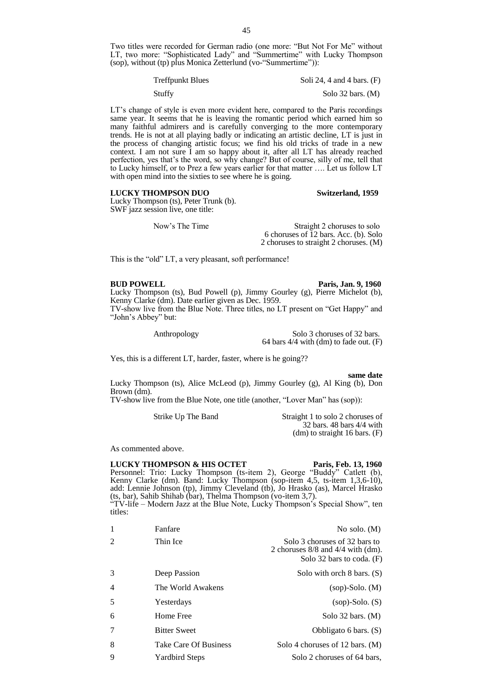Two titles were recorded for German radio (one more: "But Not For Me" without LT, two more: "Sophisticated Lady" and "Summertime" with Lucky Thompson (sop), without (tp) plus Monica Zetterlund (vo-"Summertime")):

| <b>Treffpunkt Blues</b> | Soli 24, 4 and 4 bars. $(F)$ |
|-------------------------|------------------------------|
| Stuffy                  | Solo $32$ bars. (M)          |

LT's change of style is even more evident here, compared to the Paris recordings same year. It seems that he is leaving the romantic period which earned him so many faithful admirers and is carefully converging to the more contemporary trends. He is not at all playing badly or indicating an artistic decline, LT is just in the process of changing artistic focus; we find his old tricks of trade in a new context. I am not sure I am so happy about it, after all LT has already reached perfection, yes that's the word, so why change? But of course, silly of me, tell that to Lucky himself, or to Prez a few years earlier for that matter …. Let us follow LT with open mind into the sixties to see where he is going.

# **LUCKY THOMPSON DUO Switzerland, 1959**

Lucky Thompson (ts), Peter Trunk (b). SWF jazz session live, one title:

Now's The Time Straight 2 choruses to solo 6 choruses of 12 bars. Acc. (b). Solo 2 choruses to straight 2 choruses. (M)

This is the "old" LT, a very pleasant, soft performance!

# **BUD POWELL Paris, Jan. 9, 1960**

Lucky Thompson (ts), Bud Powell (p), Jimmy Gourley (g), Pierre Michelot (b), Kenny Clarke (dm). Date earlier given as Dec. 1959. TV-show live from the Blue Note. Three titles, no LT present on "Get Happy" and "John's Abbey" but:

Anthropology Solo 3 choruses of 32 bars. 64 bars 4/4 with (dm) to fade out. (F)

Yes, this is a different LT, harder, faster, where is he going??

**same date** Lucky Thompson (ts), Alice McLeod (p), Jimmy Gourley (g), Al King (b), Don Brown (dm).

TV-show live from the Blue Note, one title (another, "Lover Man" has (sop)):

Strike Up The Band Straight 1 to solo 2 choruses of 32 bars. 48 bars 4/4 with (dm) to straight 16 bars. (F)

As commented above.

# **LUCKY THOMPSON & HIS OCTET Paris, Feb. 13, 1960**

Personnel: Trio: Lucky Thompson (ts-item 2), George "Buddy" Catlett (b), Kenny Clarke (dm). Band: Lucky Thompson (sop-item 4,5, ts-item 1,3,6-10), add: Lennie Johnson (tp), Jimmy Cleveland (tb), Jo Hrasko (as), Marcel Hrasko (ts, bar), Sahib Shihab (bar), Thelma Thompson (vo-item 3,7). "TV-life – Modern Jazz at the Blue Note, Lucky Thompson's Special Show", ten titles:

| 1              | Fanfare               | No solo. $(M)$                                                                                        |
|----------------|-----------------------|-------------------------------------------------------------------------------------------------------|
| 2              | Thin Ice              | Solo 3 choruses of 32 bars to<br>2 choruses $8/8$ and $4/4$ with (dm).<br>Solo 32 bars to coda. $(F)$ |
| 3              | Deep Passion          | Solo with orch $8 \text{ bars.}$ (S)                                                                  |
| $\overline{4}$ | The World Awakens     | $(sop)$ -Solo. $(M)$                                                                                  |
| .5             | Yesterdays            | $(sop)$ -Solo. $(S)$                                                                                  |
| 6              | Home Free             | Solo $32$ bars. (M)                                                                                   |
| 7              | <b>Bitter Sweet</b>   | Obbligato 6 bars. $(S)$                                                                               |
| 8              | Take Care Of Business | Solo 4 choruses of 12 bars. $(M)$                                                                     |
| 9              | <b>Yardbird Steps</b> | Solo 2 choruses of 64 bars,                                                                           |
|                |                       |                                                                                                       |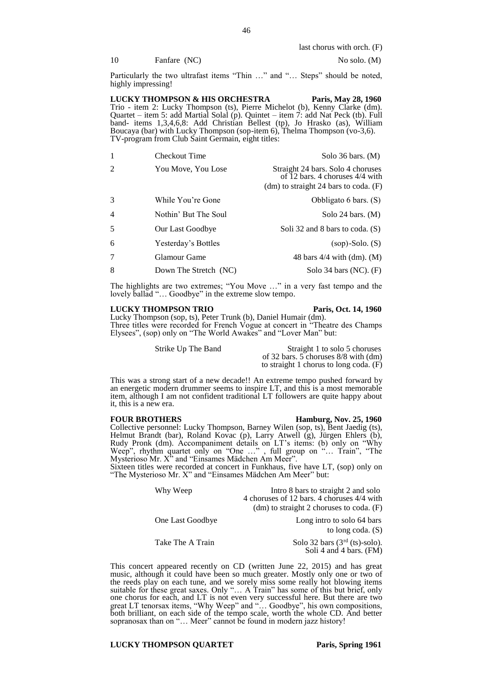last chorus with orch. (F)

10 Fanfare (NC) No solo. (M)

Particularly the two ultrafast items "Thin ..." and "... Steps" should be noted, highly impressing!

**LUCKY THOMPSON & HIS ORCHESTRA Paris, May 28, 1960** Trio - item 2: Lucky Thompson (ts), Pierre Michelot (b), Kenny Clarke (dm). Quartet – item 5: add Martial Solal (p). Quintet – item 7: add Nat Peck (tb). Full band- items 1,3,4,6,8: Add Christian Bellest (tp), Jo Hrasko (as), William Boucaya (bar) with Lucky Thompson (sop-item 6), Thelma Thompson (vo-3,6). TV-program from Club Saint Germain, eight titles:

| -1             | <b>Checkout Time</b>  | Solo $36$ bars. $(M)$                                                                                             |
|----------------|-----------------------|-------------------------------------------------------------------------------------------------------------------|
| $\mathcal{D}$  | You Move, You Lose    | Straight 24 bars. Solo 4 choruses<br>of 12 bars. 4 choruses $4/4$ with<br>(dm) to straight 24 bars to coda. $(F)$ |
| 3              | While You're Gone     | Obbligato 6 bars. (S)                                                                                             |
| $\overline{4}$ | Nothin' But The Soul  | Solo 24 bars. $(M)$                                                                                               |
| 5              | Our Last Goodbye      | Soli 32 and 8 bars to coda. (S)                                                                                   |
| 6              | Yesterday's Bottles   | $(sop)$ -Solo. $(S)$                                                                                              |
| 7              | Glamour Game          | 48 bars $4/4$ with $(dm)$ . $(M)$                                                                                 |
| 8              | Down The Stretch (NC) | Solo 34 bars $(NC)$ . $(F)$                                                                                       |

The highlights are two extremes; "You Move …" in a very fast tempo and the lovely ballad "… Goodbye" in the extreme slow tempo.

# **LUCKY THOMPSON TRIO Paris, Oct. 14, 1960**

Lucky Thompson (sop, ts), Peter Trunk (b), Daniel Humair (dm). Three titles were recorded for French Vogue at concert in "Theatre des Champs Elysees", (sop) only on "The World Awakes" and "Lover Man" but:

Strike Up The Band Straight 1 to solo 5 choruses of 32 bars. 5 choruses 8/8 with (dm) to straight 1 chorus to long coda. (F)

This was a strong start of a new decade!! An extreme tempo pushed forward by an energetic modern drummer seems to inspire LT, and this is a most memorable item, although I am not confident traditional LT followers are quite happy about it, this is a new era.

**FOUR BROTHERS** Hamburg, Nov. 25, 1960 Collective personnel: Lucky Thompson, Barney Wilen (sop, ts), Bent Jaedig (ts), Helmut Brandt (bar), Roland Kovac (p), Larry Atwell (g), Jürgen Ehlers (b), Rudy Pronk (dm). Accompaniment details on LT's items: (b) only on "Why Weep", rhythm quartet only on "One …" , full group on "… Train", "The Mysterioso Mr.  $X^{\prime\prime}$  and "Einsames Mädchen Am Meer".

Sixteen titles were recorded at concert in Funkhaus, five have LT, (sop) only on "The Mysterioso Mr. X" and "Einsames Mädchen Am Meer" but:

| Why Weep         | Intro 8 bars to straight 2 and solo<br>4 choruses of 12 bars. 4 choruses 4/4 with |
|------------------|-----------------------------------------------------------------------------------|
|                  | (dm) to straight 2 choruses to coda. $(F)$                                        |
| One Last Goodbye | Long intro to solo 64 bars<br>to long coda. $(S)$                                 |

Take The A Train Solo 32 bars  $(3<sup>rd</sup> (ts)-solo)$ . Soli 4 and 4 bars. (FM)

This concert appeared recently on CD (written June 22, 2015) and has great music, although it could have been so much greater. Mostly only one or two of the reeds play on each tune, and we sorely miss some really hot blowing items suitable for these great saxes. Only "… A Train" has some of this but brief, only one chorus for each, and LT is not even very successful here. But there are two great LT tenorsax items, "Why Weep" and "… Goodbye", his own compositions, both brilliant, on each side of the tempo scale, worth the whole CD. And better sopranosax than on "... Meer" cannot be found in modern jazz history!

**LUCKY THOMPSON QUARTET** Paris, Spring 1961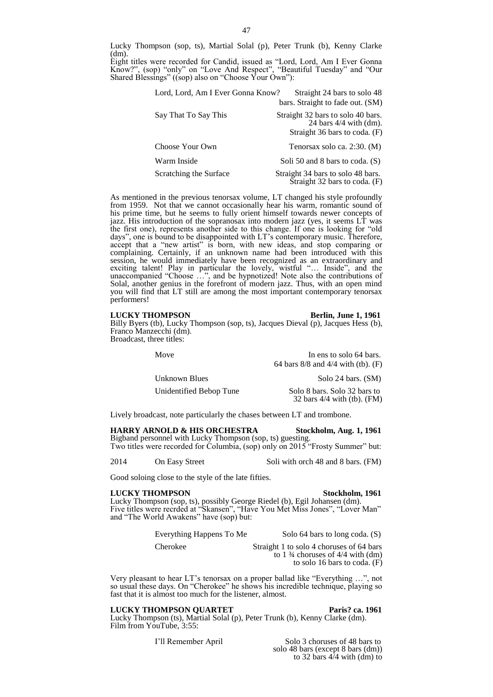Lucky Thompson (sop, ts), Martial Solal (p), Peter Trunk (b), Kenny Clarke  $(dm)$ 

Eight titles were recorded for Candid, issued as "Lord, Lord, Am I Ever Gonna Know?", (sop) "only" on "Love And Respect", "Beautiful Tuesday" and "Our Shared Blessings" ((sop) also on "Choose Your Own"):

| Lord, Lord, Am I Ever Gonna Know? | Straight 24 bars to solo 48<br>bars. Straight to fade out. (SM)                                |
|-----------------------------------|------------------------------------------------------------------------------------------------|
| Say That To Say This              | Straight 32 bars to solo 40 bars.<br>24 bars $4/4$ with (dm).<br>Straight 36 bars to coda. (F) |
| Choose Your Own                   | Tenorsax solo ca. 2:30. (M)                                                                    |
| Warm Inside                       | Soli 50 and 8 bars to coda. (S)                                                                |
| Scratching the Surface            | Straight 34 bars to solo 48 bars.<br>$\tilde{S}$ traight 32 bars to coda. (F)                  |

As mentioned in the previous tenorsax volume, LT changed his style profoundly from 1959. Not that we cannot occasionally hear his warm, romantic sound of his prime time, but he seems to fully orient himself towards newer concepts of jazz. His introduction of the sopranosax into modern jazz (yes, it seems LT was the first one), represents another side to this change. If one is looking for "old days", one is bound to be disappointed with LT's contemporary music. Therefore, accept that a "new artist" is born, with new ideas, and stop comparing or complaining. Certainly, if an unknown name had been introduced with this session, he would immediately have been recognized as an extraordinary and exciting talent! Play in particular the lovely, wistful "… Inside", and the unaccompanied "Choose …", and be hypnotized! Note also the contributions of Solal, another genius in the forefront of modern jazz. Thus, with an open mind you will find that LT still are among the most important contemporary tenorsax performers!

### **LUCKY THOMPSON Berlin, June 1, 1961**

Billy Byers (tb), Lucky Thompson (sop, ts), Jacques Dieval (p), Jacques Hess (b), Franco Manzecchi (dm). Broadcast, three titles:

Move In ens to solo 64 bars. 64 bars 8/8 and 4/4 with (tb). (F)

Unknown Blues Solo 24 bars. (SM) Unidentified Bebop Tune Solo 8 bars. Solo 32 bars to 32 bars 4/4 with (tb). (FM)

Lively broadcast, note particularly the chases between LT and trombone.

# **HARRY ARNOLD & HIS ORCHESTRA Stockholm, Aug. 1, 1961**

Bigband personnel with Lucky Thompson (sop, ts) guesting. Two titles were recorded for Columbia, (sop) only on 2015 "Frosty Summer" but:

2014 On Easy Street Soli with orch 48 and 8 bars. (FM)

Good soloing close to the style of the late fifties.

# **LUCKY THOMPSON** Stockholm, 1961

Lucky Thompson (sop, ts), possibly George Riedel (b), Egil Johansen (dm). Five titles were recrded at "Skansen", "Have You Met Miss Jones", "Lover Man" and "The World Awakens" have (sop) but:

Everything Happens To Me Solo 64 bars to long coda. (S)

Cherokee Straight 1 to solo 4 choruses of 64 bars to  $1\frac{3}{4}$  choruses of  $4/4$  with (dm) to solo 16 bars to coda. (F)

Very pleasant to hear LT's tenorsax on a proper ballad like "Everything …", not so usual these days. On "Cherokee" he shows his incredible technique, playing so fast that it is almost too much for the listener, almost.

# **LUCKY THOMPSON QUARTET** Paris? ca. 1961

Lucky Thompson (ts), Martial Solal (p), Peter Trunk (b), Kenny Clarke (dm). Film from YouTube, 3:55:

I'll Remember April Solo 3 choruses of 48 bars to solo 48 bars (except 8 bars (dm)) to 32 bars 4/4 with (dm) to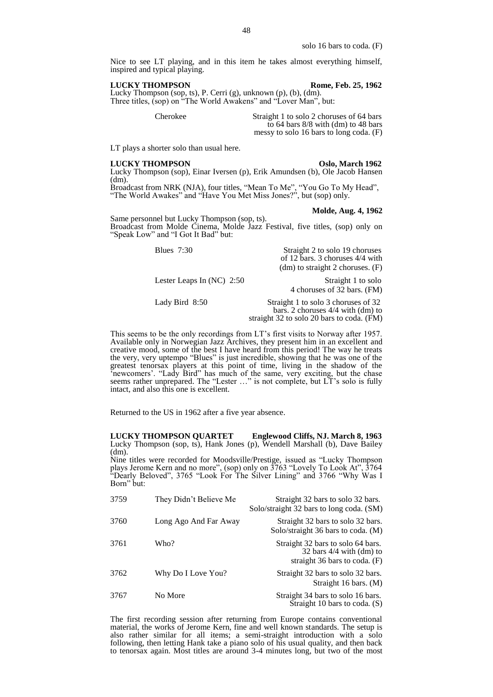solo 16 bars to coda. (F)

Nice to see LT playing, and in this item he takes almost everything himself, inspired and typical playing.

# **LUCKY THOMPSON Rome, Feb. 25, 1962**

Lucky Thompson (sop, ts), P. Cerri (g), unknown (p), (b), (dm). Three titles, (sop) on "The World Awakens" and "Lover Man", but:

Cherokee Straight 1 to solo 2 choruses of 64 bars to 64 bars 8/8 with (dm) to 48 bars messy to solo 16 bars to long coda. (F)

LT plays a shorter solo than usual here.

**LUCKY THOMPSON Oslo, March 1962** Lucky Thompson (sop), Einar Iversen (p), Erik Amundsen (b), Ole Jacob Hansen

(dm). Broadcast from NRK (NJA), four titles, "Mean To Me", "You Go To My Head", "The World Awakes" and "Have You Met Miss Jones?", but (sop) only.

### **Molde, Aug. 4, 1962**

Same personnel but Lucky Thompson (sop, ts). Broadcast from Molde Cinema, Molde Jazz Festival, five titles, (sop) only on "Speak Low" and "I Got It Bad" but:

| Blues $7:30$                | Straight 2 to solo 19 choruses<br>of 12 bars. 3 choruses $4/4$ with<br>$(dm)$ to straight 2 choruses. $(F)$ |
|-----------------------------|-------------------------------------------------------------------------------------------------------------|
| Lester Leaps In $(NC)$ 2:50 | Straight 1 to solo<br>4 choruses of 32 bars. (FM)                                                           |

Lady Bird 8:50 Straight 1 to solo 3 choruses of 32 bars. 2 choruses 4/4 with (dm) to

straight 32 to solo 20 bars to coda. (FM)

This seems to be the only recordings from LT's first visits to Norway after 1957. Available only in Norwegian Jazz Archives, they present him in an excellent and creative mood, some of the best I have heard from this period! The way he treats the very, very uptempo "Blues" is just incredible, showing that he was one of the greatest tenorsax players at this point of time, living in the shadow of the 'newcomers'. "Lady Bird" has much of the same, very exciting, but the chase seems rather unprepared. The "Lester …" is not complete, but LT's solo is fully intact, and also this one is excellent.

Returned to the US in 1962 after a five year absence.

**LUCKY THOMPSON QUARTET Englewood Cliffs, NJ. March 8, 1963** Lucky Thompson (sop, ts), Hank Jones (p), Wendell Marshall (b), Dave Bailey (dm).

Nine titles were recorded for Moodsville/Prestige, issued as "Lucky Thompson plays Jerome Kern and no more", (sop) only on 3763 "Lovely To Look At", 3764 "Dearly Beloved", 3765 "Look For The Silver Lining" and 3766 "Why Was I Born" but:

| 3759 | They Didn't Believe Me | Straight 32 bars to solo 32 bars.<br>Solo/straight 32 bars to long coda. (SM)                        |
|------|------------------------|------------------------------------------------------------------------------------------------------|
| 3760 | Long Ago And Far Away  | Straight 32 bars to solo 32 bars.<br>Solo/straight 36 bars to coda. (M)                              |
| 3761 | Who?                   | Straight 32 bars to solo 64 bars.<br>32 bars $4/4$ with (dm) to<br>straight $36$ bars to coda. $(F)$ |
| 3762 | Why Do I Love You?     | Straight 32 bars to solo 32 bars.<br>Straight 16 bars. (M)                                           |
| 3767 | No More                | Straight 34 bars to solo 16 bars.<br>Straight 10 bars to coda. (S)                                   |

The first recording session after returning from Europe contains conventional material, the works of Jerome Kern, fine and well known standards. The setup is also rather similar for all items; a semi-straight introduction with a solo following, then letting Hank take a piano solo of his usual quality, and then back to tenorsax again. Most titles are around 3-4 minutes long, but two of the most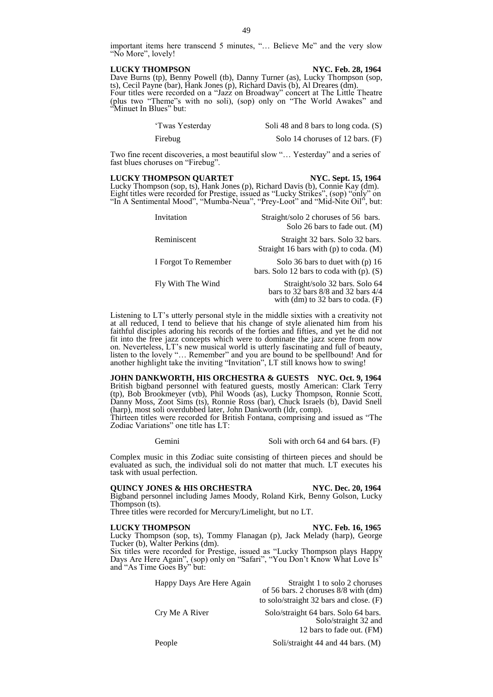important items here transcend 5 minutes, "… Believe Me" and the very slow "No More", lovely!

### **LUCKY THOMPSON NYC. Feb. 28, 1964**

"Minuet In Blues" but:

Dave Burns (tp), Benny Powell (tb), Danny Turner (as), Lucky Thompson (sop, ts), Cecil Payne (bar), Hank Jones (p), Richard Davis (b), Al Dreares (dm). Four titles were recorded on a "Jazz on Broadway" concert at The Little Theatre (plus two "Theme"s with no soli), (sop) only on "The World Awakes" and

| 'Twas Yesterday | Soli 48 and 8 bars to long coda. (S) |
|-----------------|--------------------------------------|
| Firebug         | Solo 14 choruses of 12 bars. (F)     |

Two fine recent discoveries, a most beautiful slow "… Yesterday" and a series of fast blues choruses on "Firebug".

## **LUCKY THOMPSON QUARTET NYC. Sept. 15, 1964**

Lucky Thompson (sop, ts), Hank Jones (p), Richard Davis (b), Connie Kay (dm). Eight titles were recorded for Prestige, issued as "Lucky Strikes", (sop) "only" on "In A Sentimental Mood", "Mumba-Neua", "Prey-Loot" and "Mid-Nite Oil", but:

| Invitation           | Straight/solo 2 choruses of 56 bars.<br>Solo 26 bars to fade out. (M)                                              |
|----------------------|--------------------------------------------------------------------------------------------------------------------|
| Reminiscent          | Straight 32 bars. Solo 32 bars.<br>Straight 16 bars with $(p)$ to coda. $(M)$                                      |
| I Forgot To Remember | Solo 36 bars to duet with $(p)$ 16<br>bars. Solo 12 bars to coda with $(p)$ . $(S)$                                |
| Fly With The Wind    | Straight/solo 32 bars. Solo 64<br>bars to 32 bars $8/8$ and 32 bars $4/4$<br>with $(dm)$ to 32 bars to coda. $(F)$ |

Listening to LT's utterly personal style in the middle sixties with a creativity not at all reduced, I tend to believe that his change of style alienated him from his faithful disciples adoring his records of the forties and fifties, and yet he did not fit into the free jazz concepts which were to dominate the jazz scene from now on. Neverteless, LT's new musical world is utterly fascinating and full of beauty, listen to the lovely "… Remember" and you are bound to be spellbound! And for another highlight take the inviting "Invitation", LT still knows how to swing!

**JOHN DANKWORTH, HIS ORCHESTRA & GUESTS NYC. Oct. 9, 1964** British bigband personnel with featured guests, mostly American: Clark Terry (tp), Bob Brookmeyer (vtb), Phil Woods (as), Lucky Thompson, Ronnie Scott, Danny Moss, Zoot Sims (ts), Ronnie Ross (bar), Chuck Israels (b), David Snell (harp), most soli overdubbed later, John Dankworth (ldr, comp).

Thirteen titles were recorded for British Fontana, comprising and issued as "The Zodiac Variations" one title has LT:

Gemini Soli with orch 64 and 64 bars. (F)

Complex music in this Zodiac suite consisting of thirteen pieces and should be evaluated as such, the individual soli do not matter that much. LT executes his task with usual perfection.

# **QUINCY JONES & HIS ORCHESTRA NYC. Dec. 20, 1964**

Bigband personnel including James Moody, Roland Kirk, Benny Golson, Lucky Thompson (ts).

Three titles were recorded for Mercury/Limelight, but no LT.

# **LUCKY THOMPSON NYC. Feb. 16, 1965**

Lucky Thompson (sop, ts), Tommy Flanagan (p), Jack Melady (harp), George Tucker (b), Walter Perkins (dm).

Six titles were recorded for Prestige, issued as "Lucky Thompson plays Happy Days Are Here Again", (sop) only on "Safari", "You Don't Know What Love Is" and "As Time Goes By" but:

> Happy Days Are Here Again Straight 1 to solo 2 choruses of 56 bars. 2 choruses 8/8 with (dm)

Cry Me A River Solo/straight 64 bars. Solo 64 bars. Solo/straight 32 and 12 bars to fade out. (FM)

to solo/straight 32 bars and close. (F)

People Soli/straight 44 and 44 bars. (M)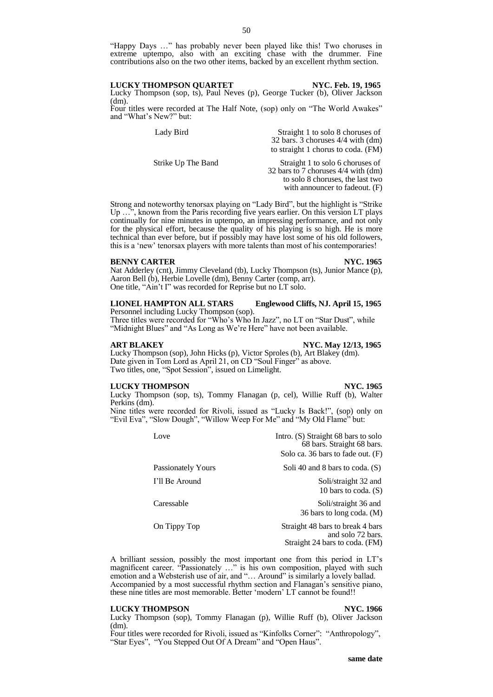"Happy Days …" has probably never been played like this! Two choruses in extreme uptempo, also with an exciting chase with the drummer. Fine contributions also on the two other items, backed by an excellent rhythm section.

Lucky Thompson (sop, ts), Paul Neves (p), George Tucker (b), Oliver Jackson (dm). Four titles were recorded at The Half Note, (sop) only on "The World Awakes"

and "What's New?" but:

| Lady Bird          | Straight 1 to solo 8 choruses of      |
|--------------------|---------------------------------------|
|                    | 32 bars. 3 choruses $4/4$ with $(dm)$ |
|                    | to straight 1 chorus to coda. (FM)    |
| Strike Up The Band | Straight 1 to solo 6 choruses of      |
|                    | 32 bars to 7 choruses 4/4 with (dm)   |
|                    | to solo 8 choruses, the last two      |
|                    | with announcer to fadeout. $(F)$      |

Strong and noteworthy tenorsax playing on "Lady Bird", but the highlight is "Strike Up ...", known from the Paris recording five years earlier. On this version LT plays continually for nine minutes in uptempo, an impressing performance, and not only for the physical effort, because the quality of his playing is so high. He is more technical than ever before, but if possibly may have lost some of his old followers, this is a 'new' tenorsax players with more talents than most of his contemporaries!

# **BENNY CARTER NYC. 1965**

Nat Adderley (cnt), Jimmy Cleveland (tb), Lucky Thompson (ts), Junior Mance (p), Aaron Bell (b), Herbie Lovelle (dm), Benny Carter (comp, arr). One title, "Ain't I" was recorded for Reprise but no LT solo.

# **LIONEL HAMPTON ALL STARS Englewood Cliffs, NJ. April 15, 1965** Personnel including Lucky Thompson (sop).

Three titles were recorded for "Who's Who In Jazz", no LT on "Star Dust", while "Midnight Blues" and "As Long as We're Here" have not been available.

# **ART BLAKEY NYC. May 12/13, 1965**

Lucky Thompson (sop), John Hicks (p), Victor Sproles (b), Art Blakey (dm). Date given in Tom Lord as April 21, on CD "Soul Finger" as above. Two titles, one, "Spot Session", issued on Limelight.

# **LUCKY THOMPSON NYC. 1965**

Lucky Thompson (sop, ts), Tommy Flanagan (p, cel), Willie Ruff (b), Walter Perkins (dm).

Nine titles were recorded for Rivoli, issued as "Lucky Is Back!", (sop) only on "Evil Eva", "Slow Dough", "Willow Weep For Me" and "My Old Flame" but:

| Love               | Intro. $(S)$ Straight 68 bars to solo<br>68 bars. Straight 68 bars.<br>Solo ca. 36 bars to fade out. $(F)$ |
|--------------------|------------------------------------------------------------------------------------------------------------|
| Passionately Yours | Soli 40 and 8 bars to coda. $(S)$                                                                          |
| I'll Be Around     | Soli/straight 32 and<br>10 bars to coda. $(S)$                                                             |
| Caressable         | Soli/straight 36 and<br>36 bars to long coda. (M)                                                          |
| On Tippy Top       | Straight 48 bars to break 4 bars<br>and solo 72 bars.<br>Straight 24 bars to coda. (FM)                    |

A brilliant session, possibly the most important one from this period in LT's magnificent career. "Passionately …" is his own composition, played with such emotion and a Websterish use of air, and "... Around" is similarly a lovely ballad. Accompanied by a most successful rhythm section and Flanagan's sensitive piano,

these nine titles are most memorable. Better 'modern' LT cannot be found!!

# **LUCKY THOMPSON NYC. 1966**

Lucky Thompson (sop), Tommy Flanagan (p), Willie Ruff (b), Oliver Jackson  $(dm)$ .

Four titles were recorded for Rivoli, issued as "Kinfolks Corner": "Anthropology", "Star Eyes", "You Stepped Out Of A Dream" and "Open Haus".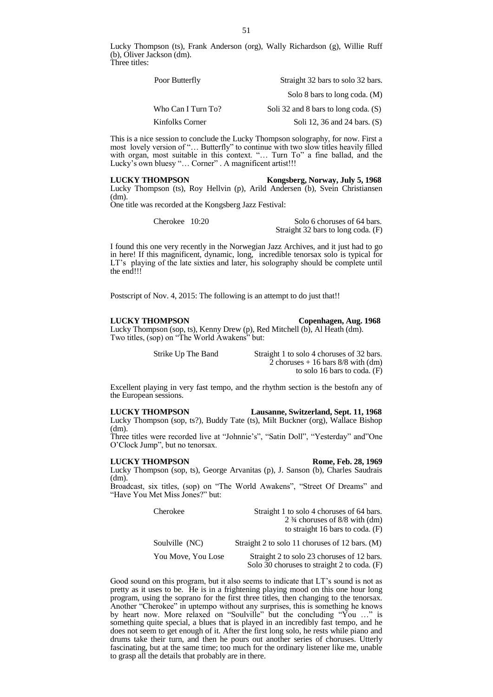Lucky Thompson (ts), Frank Anderson (org), Wally Richardson (g), Willie Ruff (b), Oliver Jackson (dm). Three titles:

| Poor Butterfly     | Straight 32 bars to solo 32 bars.    |
|--------------------|--------------------------------------|
|                    | Solo 8 bars to long coda. (M)        |
| Who Can I Turn To? | Soli 32 and 8 bars to long coda. (S) |
| Kinfolks Corner    | Soli 12, 36 and 24 bars. $(S)$       |

This is a nice session to conclude the Lucky Thompson solography, for now. First a most lovely version of "… Butterfly" to continue with two slow titles heavily filled with organ, most suitable in this context. "... Turn To" a fine ballad, and the Lucky's own bluesy "... Corner" . A magnificent artist!!!

**LUCKY THOMPSON Kongsberg, Norway, July 5, 1968**

Lucky Thompson (ts), Roy Hellvin (p), Arild Andersen (b), Svein Christiansen (dm).

One title was recorded at the Kongsberg Jazz Festival:

| Cherokee 10:20 | Solo 6 choruses of 64 bars.        |
|----------------|------------------------------------|
|                | Straight 32 bars to long coda. (F) |

I found this one very recently in the Norwegian Jazz Archives, and it just had to go in here! If this magnificent, dynamic, long, incredible tenorsax solo is typical for LT's playing of the late sixties and later, his solography should be complete until the end!!!

Postscript of Nov. 4, 2015: The following is an attempt to do just that!!

# **LUCKY THOMPSON Copenhagen, Aug. 1968**

Lucky Thompson (sop, ts), Kenny Drew (p), Red Mitchell (b), Al Heath (dm). Two titles, (sop) on "The World Awakens" but:

Strike Up The Band Straight 1 to solo 4 choruses of 32 bars. 2 choruses  $+16$  bars 8/8 with (dm) to solo 16 bars to coda. (F)

Excellent playing in very fast tempo, and the rhythm section is the bestofn any of the European sessions.

**LUCKY THOMPSON Lausanne, Switzerland, Sept. 11, 1968**

Lucky Thompson (sop, ts?), Buddy Tate (ts), Milt Buckner (org), Wallace Bishop (dm).

Three titles were recorded live at "Johnnie's", "Satin Doll", "Yesterday" and"One O'Clock Jump", but no tenorsax.

# **LUCKY THOMPSON Rome, Feb. 28, 1969**

Lucky Thompson (sop, ts), George Arvanitas (p), J. Sanson (b), Charles Saudrais (dm).

Broadcast, six titles, (sop) on "The World Awakens", "Street Of Dreams" and "Have You Met Miss Jones?" but:

| Cherokee           | Straight 1 to solo 4 choruses of 64 bars.<br>2 $\frac{3}{4}$ choruses of 8/8 with (dm)<br>to straight 16 bars to coda. $(F)$ |
|--------------------|------------------------------------------------------------------------------------------------------------------------------|
| Soulville (NC)     | Straight 2 to solo 11 choruses of 12 bars. (M)                                                                               |
| You Move, You Lose | Straight 2 to solo 23 choruses of 12 bars.<br>Solo 30 choruses to straight 2 to coda. $(F)$                                  |

Good sound on this program, but it also seems to indicate that LT's sound is not as pretty as it uses to be. He is in a frightening playing mood on this one hour long program, using the soprano for the first three titles, then changing to the tenorsax. Another "Cherokee" in uptempo without any surprises, this is something he knows by heart now. More relaxed on "Soulville" but the concluding "You ..." is something quite special, a blues that is played in an incredibly fast tempo, and he does not seem to get enough of it. After the first long solo, he rests while piano and drums take their turn, and then he pours out another series of choruses. Utterly fascinating, but at the same time; too much for the ordinary listener like me, unable to grasp all the details that probably are in there.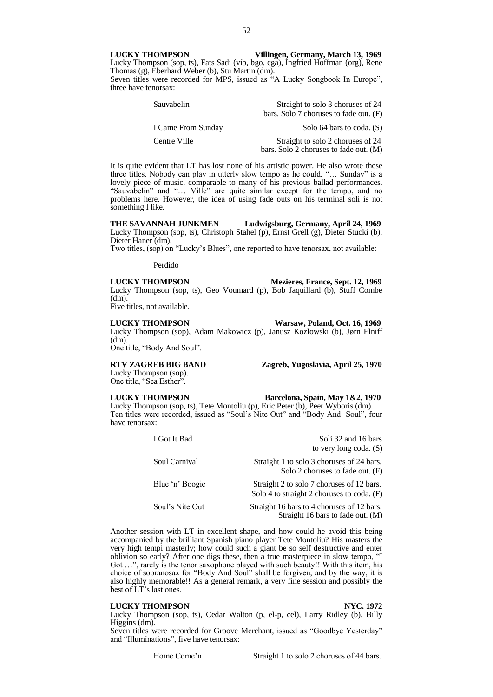**LUCKY THOMPSON Villingen, Germany, March 13, 1969** Lucky Thompson (sop, ts), Fats Sadi (vib, bgo, cga), Ingfried Hoffman (org), Rene Thomas (g), Eberhard Weber (b), Stu Martin (dm). Seven titles were recorded for MPS, issued as "A Lucky Songbook In Europe",

three have tenorsax:

| Sauvabelin         | Straight to solo 3 choruses of 24                                           |
|--------------------|-----------------------------------------------------------------------------|
|                    | bars. Solo 7 choruses to fade out. (F)                                      |
| I Came From Sunday | Solo 64 bars to coda. (S)                                                   |
| Centre Ville       | Straight to solo 2 choruses of 24<br>bars. Solo 2 choruses to fade out. (M) |

It is quite evident that LT has lost none of his artistic power. He also wrote these three titles. Nobody can play in utterly slow tempo as he could, "… Sunday" is a lovely piece of music, comparable to many of his previous ballad performances. "Sauvabelin" and "… Ville" are quite similar except for the tempo, and no problems here. However, the idea of using fade outs on his terminal soli is not something I like.

**THE SAVANNAH JUNKMEN Ludwigsburg, Germany, April 24, 1969** Lucky Thompson (sop, ts), Christoph Stahel (p), Ernst Grell (g), Dieter Stucki (b), Dieter Haner (dm).

Two titles, (sop) on "Lucky's Blues", one reported to have tenorsax, not available:

Perdido

# **LUCKY THOMPSON Mezieres, France, Sept. 12, 1969**

Lucky Thompson (sop, ts), Geo Voumard (p), Bob Jaquillard (b), Stuff Combe (dm). Five titles, not available.

**LUCKY THOMPSON Warsaw, Poland, Oct. 16, 1969** Lucky Thompson (sop), Adam Makowicz (p), Janusz Kozlowski (b), Jørn Elniff (dm).

One title, "Body And Soul".

**RTV ZAGREB BIG BAND Zagreb, Yugoslavia, April 25, 1970**

Lucky Thompson (sop). One title, "Sea Esther".

**LUCKY THOMPSON Barcelona, Spain, May 1&2, 1970**

Lucky Thompson (sop, ts), Tete Montoliu (p), Eric Peter (b), Peer Wyboris (dm). Ten titles were recorded, issued as "Soul's Nite Out" and "Body And Soul", four have tenorsax:

| I Got It Bad    | Soli 32 and 16 bars<br>to very long coda. $(S)$                                         |
|-----------------|-----------------------------------------------------------------------------------------|
| Soul Carnival   | Straight 1 to solo 3 choruses of 24 bars.<br>Solo 2 choruses to fade out. $(F)$         |
| Blue 'n' Boogie | Straight 2 to solo 7 choruses of 12 bars.<br>Solo 4 to straight 2 choruses to coda. (F) |
| Soul's Nite Out | Straight 16 bars to 4 choruses of 12 bars.<br>Straight 16 bars to fade out. (M)         |

Another session with LT in excellent shape, and how could he avoid this being accompanied by the brilliant Spanish piano player Tete Montoliu? His masters the very high tempi masterly; how could such a giant be so self destructive and enter oblivion so early? After one digs these, then a true masterpiece in slow tempo, "I Got …", rarely is the tenor saxophone played with such beauty!! With this item, his choice of sopranosax for "Body And Soul" shall be forgiven, and by the way, it is also highly memorable!! As a general remark, a very fine session and possibly the best of LT's last ones.

# **LUCKY THOMPSON NYC. 1972**

Lucky Thompson (sop, ts), Cedar Walton (p, el-p, cel), Larry Ridley (b), Billy Higgins (dm).

Seven titles were recorded for Groove Merchant, issued as "Goodbye Yesterday" and "Illuminations", five have tenorsax: